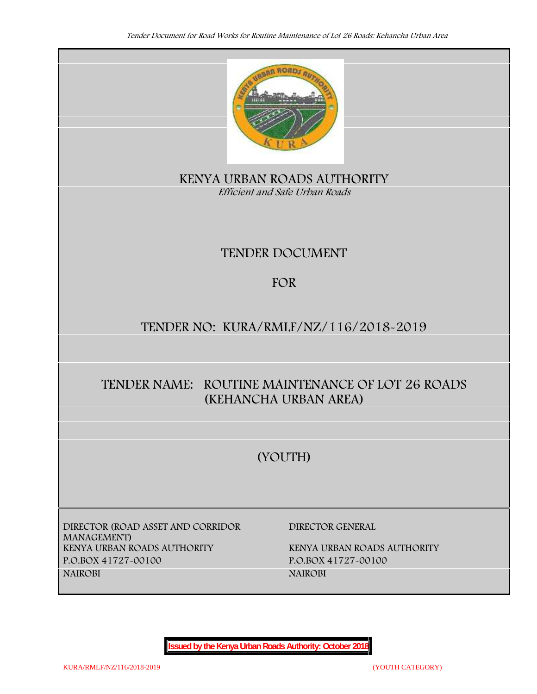

**KENYA URBAN ROADS AUTHORITY** *Efficient and Safe Urban Roads*

# **TENDER DOCUMENT**

# **FOR**

# **TENDER NO: KURA/RMLF/NZ/116/2018-2019**

# **TENDER NAME: ROUTINE MAINTENANCE OF LOT 26 ROADS (KEHANCHA URBAN AREA)**

# **(YOUTH)**

**DIRECTOR (ROAD ASSET AND CORRIDOR MANAGEMENT) KENYA URBAN ROADS AUTHORITY KENYA URBAN ROADS AUTHORITY P.O.BOX 41727-00100 P.O.BOX 41727-00100 NAIROBI NAIROBI**

**DIRECTOR GENERAL**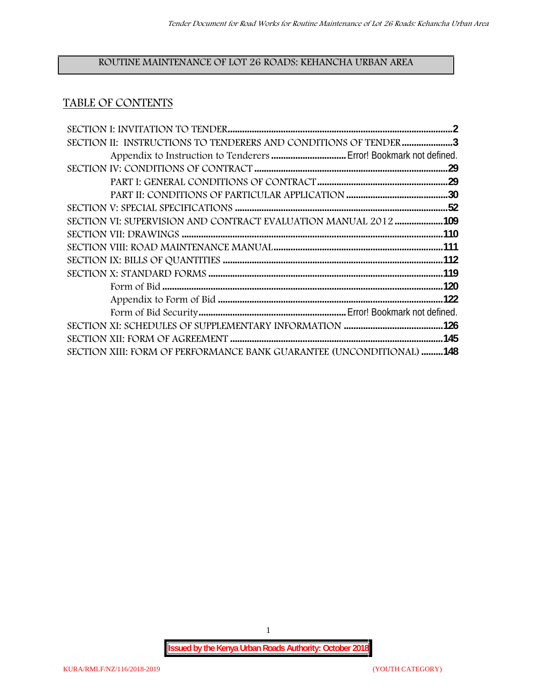# **ROUTINE MAINTENANCE OF LOT 26 ROADS: KEHANCHA URBAN AREA**

# **TABLE OF CONTENTS**

| SECTION II: INSTRUCTIONS TO TENDERERS AND CONDITIONS OF TENDER 3     |     |
|----------------------------------------------------------------------|-----|
|                                                                      |     |
|                                                                      | -29 |
|                                                                      |     |
|                                                                      |     |
|                                                                      |     |
| SECTION VI: SUPERVISION AND CONTRACT EVALUATION MANUAL 2012 109      |     |
|                                                                      |     |
|                                                                      |     |
|                                                                      |     |
|                                                                      |     |
|                                                                      |     |
|                                                                      |     |
|                                                                      |     |
|                                                                      |     |
|                                                                      |     |
| SECTION XIII: FORM OF PERFORMANCE BANK GUARANTEE (UNCONDITIONAL) 148 |     |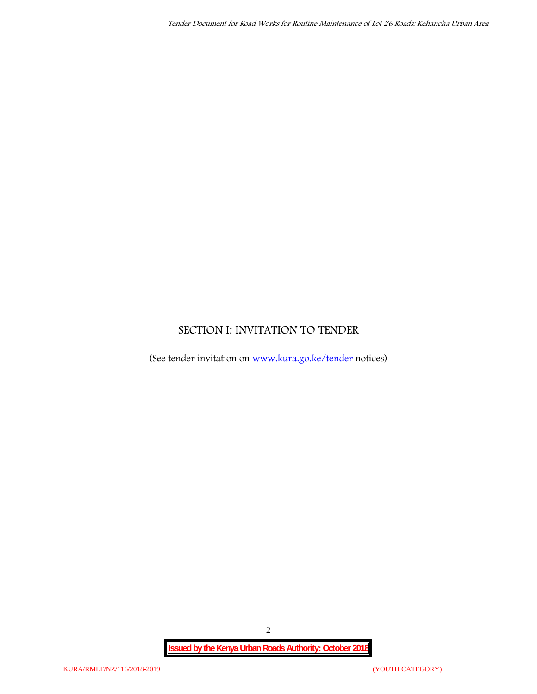# **SECTION I: INVITATION TO TENDER**

(See tender invitation on www.kura.go.ke/tender notices)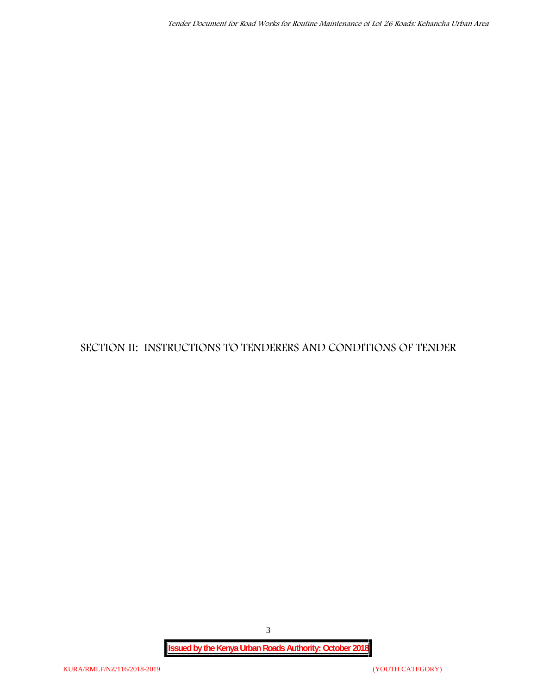**SECTION II: INSTRUCTIONS TO TENDERERS AND CONDITIONS OF TENDER**

3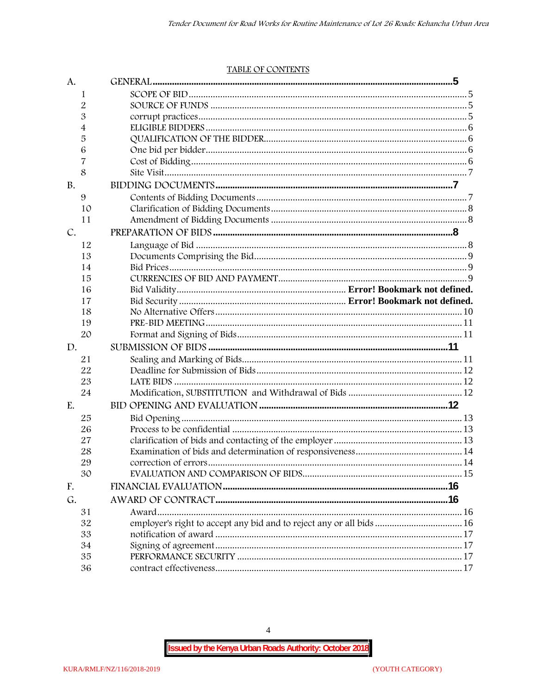#### TABLE OF CONTENTS

| A.        |                                                                      |  |
|-----------|----------------------------------------------------------------------|--|
| 1         |                                                                      |  |
| 2         |                                                                      |  |
| 3         |                                                                      |  |
| 4         |                                                                      |  |
| 5         |                                                                      |  |
| 6         |                                                                      |  |
| 7         |                                                                      |  |
| 8         |                                                                      |  |
| <b>B.</b> |                                                                      |  |
| 9         |                                                                      |  |
| 10        |                                                                      |  |
| 11        |                                                                      |  |
| C.        |                                                                      |  |
| 12        |                                                                      |  |
| 13        |                                                                      |  |
| 14        |                                                                      |  |
| 15        |                                                                      |  |
| 16        |                                                                      |  |
| 17        |                                                                      |  |
| 18        |                                                                      |  |
| 19        |                                                                      |  |
| 20        |                                                                      |  |
| D.        |                                                                      |  |
| 21        |                                                                      |  |
| 22        |                                                                      |  |
| 23        |                                                                      |  |
| 24        |                                                                      |  |
| E.        |                                                                      |  |
| 25        |                                                                      |  |
| 26        |                                                                      |  |
| 27        |                                                                      |  |
| 28        |                                                                      |  |
| 29        |                                                                      |  |
| 30        |                                                                      |  |
| F.        |                                                                      |  |
| G.        |                                                                      |  |
| 31        |                                                                      |  |
| 32        | employer's right to accept any bid and to reject any or all bids  16 |  |
| 33        |                                                                      |  |
| 34        |                                                                      |  |
| 35        |                                                                      |  |
| 36        |                                                                      |  |

 $\overline{4}$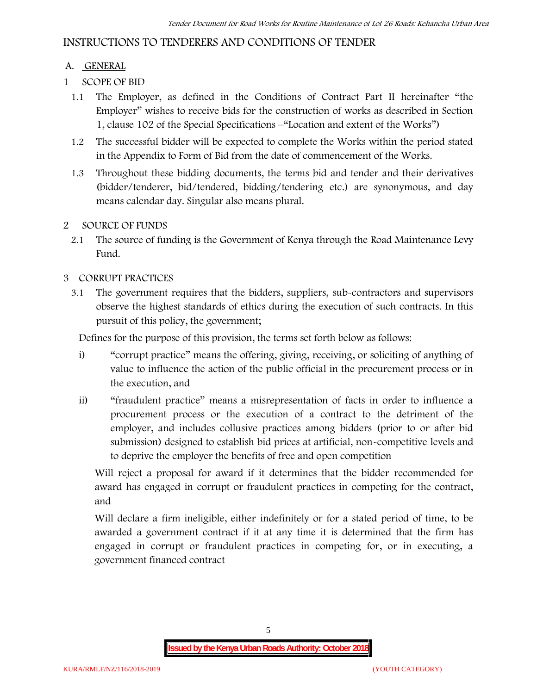## **INSTRUCTIONS TO TENDERERS AND CONDITIONS OF TENDER**

### **A. GENERAL**

- **1 SCOPE OF BID**
	- 1.1 The Employer, as defined in the Conditions of Contract Part II hereinafter "the Employer" wishes to receive bids for the construction of works as described in Section 1, clause 102 of the Special Specifications –"Location and extent of the Works")
	- 1.2 The successful bidder will be expected to complete the Works within the period stated in the Appendix to Form of Bid from the date of commencement of the Works.
	- 1.3 Throughout these bidding documents, the terms bid and tender and their derivatives (bidder/tenderer, bid/tendered, bidding/tendering etc.) are synonymous, and day means calendar day. Singular also means plural.

### **2 SOURCE OF FUNDS**

2.1 The source of funding is the Government of Kenya through the Road Maintenance Levy Fund.

### **3 CORRUPT PRACTICES**

3.1 The government requires that the bidders, suppliers, sub-contractors and supervisors observe the highest standards of ethics during the execution of such contracts. In this pursuit of this policy, the government;

Defines for the purpose of this provision, the terms set forth below as follows:

- i) "corrupt practice" means the offering, giving, receiving, or soliciting of anything of value to influence the action of the public official in the procurement process or in the execution, and
- ii) "fraudulent practice" means a misrepresentation of facts in order to influence a procurement process or the execution of a contract to the detriment of the employer, and includes collusive practices among bidders (prior to or after bid submission) designed to establish bid prices at artificial, non-competitive levels and to deprive the employer the benefits of free and open competition

Will reject a proposal for award if it determines that the bidder recommended for award has engaged in corrupt or fraudulent practices in competing for the contract, and

Will declare a firm ineligible, either indefinitely or for a stated period of time, to be awarded a government contract if it at any time it is determined that the firm has engaged in corrupt or fraudulent practices in competing for, or in executing, a government financed contract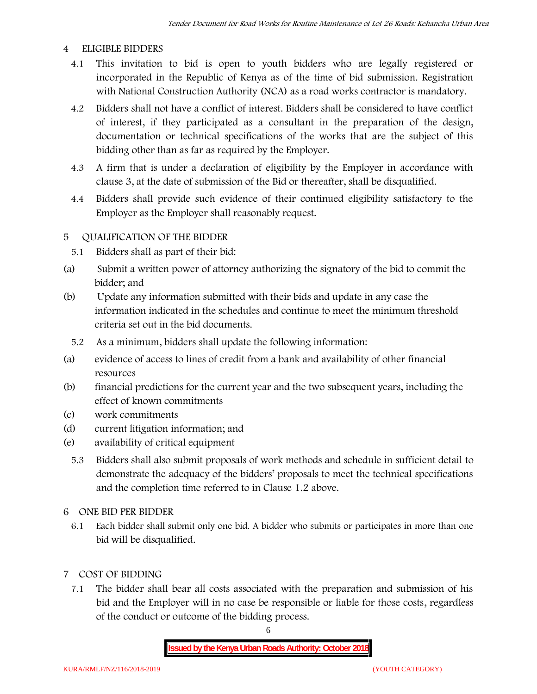#### **4 ELIGIBLE BIDDERS**

- 4.1 This invitation to bid is open to youth bidders who are legally registered or incorporated in the Republic of Kenya as of the time of bid submission. Registration with National Construction Authority (NCA) as a road works contractor is mandatory.
- 4.2 Bidders shall not have a conflict of interest. Bidders shall be considered to have conflict of interest, if they participated as a consultant in the preparation of the design, documentation or technical specifications of the works that are the subject of this bidding other than as far as required by the Employer.
- 4.3 A firm that is under a declaration of eligibility by the Employer in accordance with clause 3, at the date of submission of the Bid or thereafter, shall be disqualified.
- 4.4 Bidders shall provide such evidence of their continued eligibility satisfactory to the Employer as the Employer shall reasonably request.

### **5 QUALIFICATION OF THE BIDDER**

- 5.1 Bidders shall as part of their bid:
- (a) Submit a written power of attorney authorizing the signatory of the bid to commit the bidder; and
- (b) Update any information submitted with their bids and update in any case the information indicated in the schedules and continue to meet the minimum threshold criteria set out in the bid documents.
	- 5.2 As a minimum, bidders shall update the following information:
- (a) evidence of access to lines of credit from a bank and availability of other financial resources
- (b) financial predictions for the current year and the two subsequent years, including the effect of known commitments
- (c) work commitments
- (d) current litigation information; and
- (e) availability of critical equipment
	- 5.3 Bidders shall also submit proposals of work methods and schedule in sufficient detail to demonstrate the adequacy of the bidders' proposals to meet the technical specifications and the completion time referred to in Clause 1.2 above.
- **6 ONE BID PER BIDDER**
	- 6.1 Each bidder shall submit only one bid. A bidder who submits or participates in more than one bid will be disqualified.
- **7 COST OF BIDDING**
	- 7.1 The bidder shall bear all costs associated with the preparation and submission of his bid and the Employer will in no case be responsible or liable for those costs, regardless of the conduct or outcome of the bidding process.

6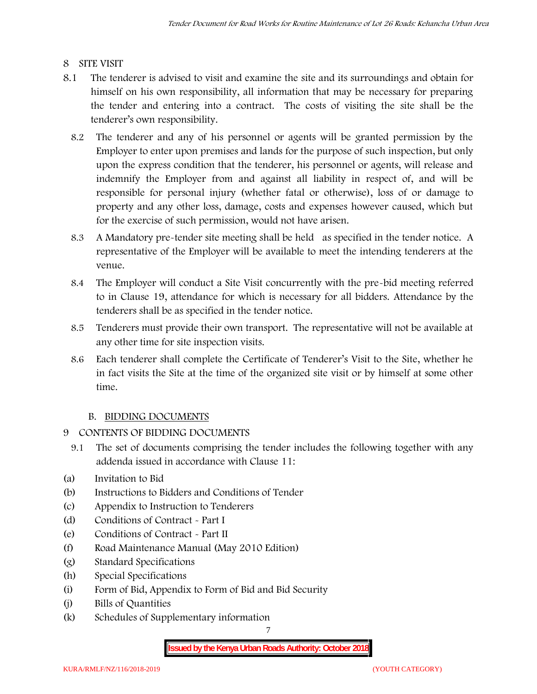### **8 SITE VISIT**

- 8.1 The tenderer is advised to visit and examine the site and its surroundings and obtain for himself on his own responsibility, all information that may be necessary for preparing the tender and entering into a contract. The costs of visiting the site shall be the tenderer's own responsibility.
	- 8.2 The tenderer and any of his personnel or agents will be granted permission by the Employer to enter upon premises and lands for the purpose of such inspection, but only upon the express condition that the tenderer, his personnel or agents, will release and indemnify the Employer from and against all liability in respect of, and will be responsible for personal injury (whether fatal or otherwise), loss of or damage to property and any other loss, damage, costs and expenses however caused, which but for the exercise of such permission, would not have arisen.
	- 8.3 A Mandatory pre-tender site meeting shall be held as specified in the tender notice. A representative of the Employer will be available to meet the intending tenderers at the venue.
	- 8.4 The Employer will conduct a Site Visit concurrently with the pre-bid meeting referred to in Clause 19, attendance for which is necessary for all bidders. Attendance by the tenderers shall be as specified in the tender notice.
	- 8.5 Tenderers must provide their own transport. The representative will not be available at any other time for site inspection visits.
	- 8.6 Each tenderer shall complete the Certificate of Tenderer's Visit to the Site, whether he in fact visits the Site at the time of the organized site visit or by himself at some other time.

### **B. BIDDING DOCUMENTS**

- **9 CONTENTS OF BIDDING DOCUMENTS**
	- 9.1 The set of documents comprising the tender includes the following together with any addenda issued in accordance with Clause 11:
- (a) Invitation to Bid
- (b) Instructions to Bidders and Conditions of Tender
- (c) Appendix to Instruction to Tenderers
- (d) Conditions of Contract Part I
- (e) Conditions of Contract Part II
- (f) Road Maintenance Manual (May 2010 Edition)
- (g) Standard Specifications
- (h) Special Specifications
- (i) Form of Bid, Appendix to Form of Bid and Bid Security
- (j) Bills of Quantities
- (k) Schedules of Supplementary information

7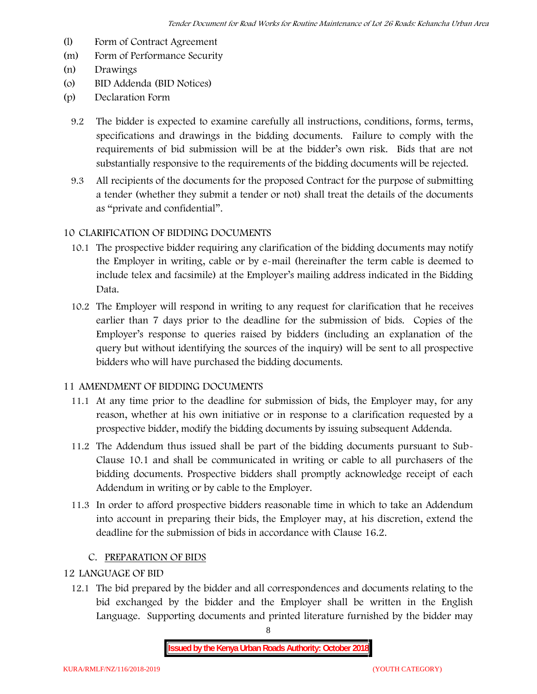- (l) Form of Contract Agreement
- (m) Form of Performance Security
- (n) Drawings
- (o) BID Addenda (BID Notices)
- (p) Declaration Form
	- 9.2 The bidder is expected to examine carefully all instructions, conditions, forms, terms, specifications and drawings in the bidding documents. Failure to comply with the requirements of bid submission will be at the bidder's own risk. Bids that are not substantially responsive to the requirements of the bidding documents will be rejected.
	- 9.3 All recipients of the documents for the proposed Contract for the purpose of submitting a tender (whether they submit a tender or not) shall treat the details of the documents as "private and confidential".

### **10 CLARIFICATION OF BIDDING DOCUMENTS**

- 10.1 The prospective bidder requiring any clarification of the bidding documents may notify the Employer in writing, cable or by e-mail (hereinafter the term cable is deemed to include telex and facsimile) at the Employer's mailing address indicated in the Bidding Data.
- 10.2 The Employer will respond in writing to any request for clarification that he receives earlier than 7 days prior to the deadline for the submission of bids. Copies of the Employer's response to queries raised by bidders (including an explanation of the query but without identifying the sources of the inquiry) will be sent to all prospective bidders who will have purchased the bidding documents.

#### **11 AMENDMENT OF BIDDING DOCUMENTS**

- 11.1 At any time prior to the deadline for submission of bids, the Employer may, for any reason, whether at his own initiative or in response to a clarification requested by a prospective bidder, modify the bidding documents by issuing subsequent Addenda.
- 11.2 The Addendum thus issued shall be part of the bidding documents pursuant to Sub- Clause 10.1 and shall be communicated in writing or cable to all purchasers of the bidding documents. Prospective bidders shall promptly acknowledge receipt of each Addendum in writing or by cable to the Employer.
- 11.3 In order to afford prospective bidders reasonable time in which to take an Addendum into account in preparing their bids, the Employer may, at his discretion, extend the deadline for the submission of bids in accordance with Clause 16.2.

#### **C. PREPARATION OF BIDS**

### **12 LANGUAGE OF BID**

12.1 The bid prepared by the bidder and all correspondences and documents relating to the bid exchanged by the bidder and the Employer shall be written in the English Language. Supporting documents and printed literature furnished by the bidder may

8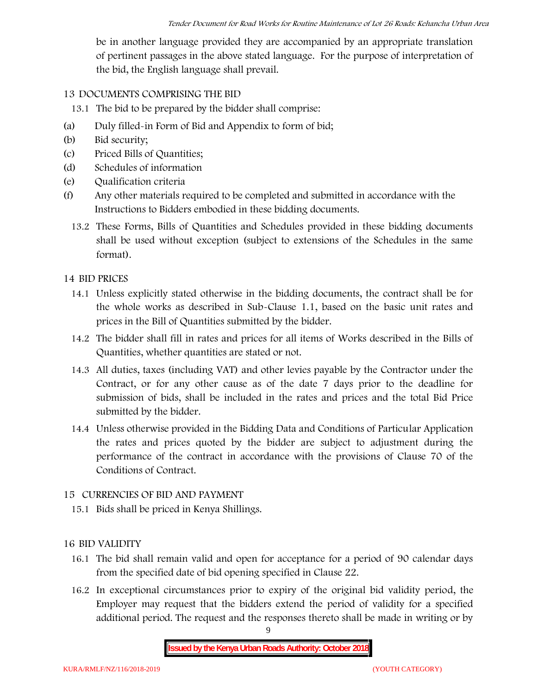be in another language provided they are accompanied by an appropriate translation of pertinent passages in the above stated language. For the purpose of interpretation of the bid, the English language shall prevail.

### **13 DOCUMENTS COMPRISING THE BID**

13.1 The bid to be prepared by the bidder shall comprise:

- (a) Duly filled-in Form of Bid and Appendix to form of bid;
- (b) Bid security;
- (c) Priced Bills of Quantities;
- (d) Schedules of information
- (e) Qualification criteria
- (f) Any other materials required to be completed and submitted in accordance with the Instructions to Bidders embodied in these bidding documents.
	- 13.2 These Forms, Bills of Quantities and Schedules provided in these bidding documents shall be used without exception (subject to extensions of the Schedules in the same format).

#### **14 BID PRICES**

- 14.1 Unless explicitly stated otherwise in the bidding documents, the contract shall be for the whole works as described in Sub-Clause 1.1, based on the basic unit rates and prices in the Bill of Quantities submitted by the bidder.
- 14.2 The bidder shall fill in rates and prices for all items of Works described in the Bills of Quantities, whether quantities are stated or not.
- 14.3 All duties, taxes (including VAT) and other levies payable by the Contractor under the Contract, or for any other cause as of the date 7 days prior to the deadline for submission of bids, shall be included in the rates and prices and the total Bid Price submitted by the bidder.
- 14.4 Unless otherwise provided in the Bidding Data and Conditions of Particular Application the rates and prices quoted by the bidder are subject to adjustment during the performance of the contract in accordance with the provisions of Clause 70 of the Conditions of Contract.

#### **15 CURRENCIES OF BID AND PAYMENT**

15.1 Bids shall be priced in Kenya Shillings.

#### **16 BID VALIDITY**

- 16.1 The bid shall remain valid and open for acceptance for a period of 90 calendar days from the specified date of bid opening specified in Clause 22.
- 16.2 In exceptional circumstances prior to expiry of the original bid validity period, the Employer may request that the bidders extend the period of validity for a specified additional period. The request and the responses thereto shall be made in writing or by

9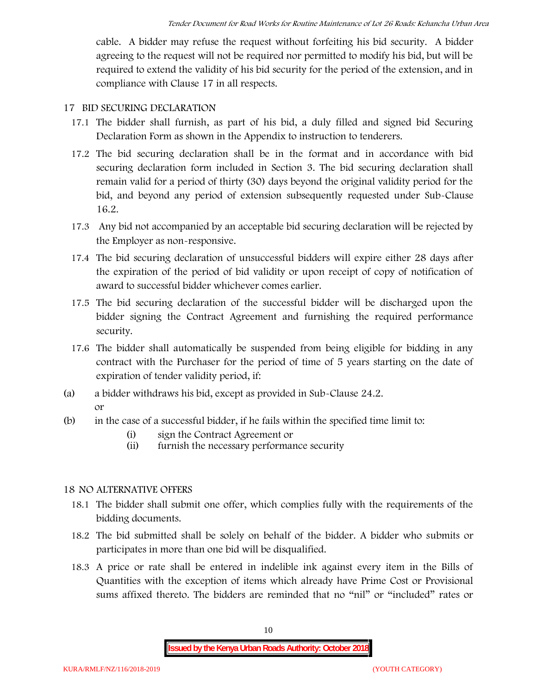cable. A bidder may refuse the request without forfeiting his bid security. A bidder agreeing to the request will not be required nor permitted to modify his bid, but will be required to extend the validity of his bid security for the period of the extension, and in compliance with Clause 17 in all respects.

### **17 BID SECURING DECLARATION**

- 17.1 The bidder shall furnish, as part of his bid, a duly filled and signed bid Securing Declaration Form as shown in the Appendix to instruction to tenderers.
- 17.2 The bid securing declaration shall be in the format and in accordance with bid securing declaration form included in Section 3. The bid securing declaration shall remain valid for a period of thirty (30) days beyond the original validity period for the bid, and beyond any period of extension subsequently requested under Sub-Clause 16.2.
- 17.3 Any bid not accompanied by an acceptable bid securing declaration will be rejected by the Employer as non-responsive.
- 17.4 The bid securing declaration of unsuccessful bidders will expire either 28 days after the expiration of the period of bid validity or upon receipt of copy of notification of award to successful bidder whichever comes earlier.
- 17.5 The bid securing declaration of the successful bidder will be discharged upon the bidder signing the Contract Agreement and furnishing the required performance security.
- 17.6 The bidder shall automatically be suspended from being eligible for bidding in any contract with the Purchaser for the period of time of 5 years starting on the date of expiration of tender validity period, if:
- (a) a bidder withdraws his bid, except as provided in Sub-Clause 24.2. or
- (b) in the case of a successful bidder, if he fails within the specified time limit to:
	- (i) sign the Contract Agreement or
	- (ii) furnish the necessary performance security

### **18 NO ALTERNATIVE OFFERS**

- 18.1 The bidder shall submit one offer, which complies fully with the requirements of the bidding documents.
- 18.2 The bid submitted shall be solely on behalf of the bidder. A bidder who submits or participates in more than one bid will be disqualified.
- 18.3 A price or rate shall be entered in indelible ink against every item in the Bills of Quantities with the exception of items which already have Prime Cost or Provisional sums affixed thereto. The bidders are reminded that no "nil" or "included" rates or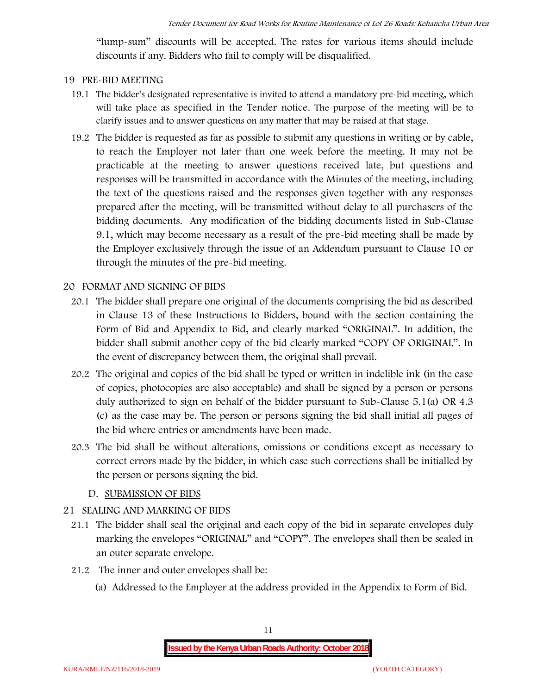"lump-sum" discounts will be accepted. The rates for various items should include discounts if any. Bidders who fail to comply will be disqualified.

#### **19 PRE-BID MEETING**

- 19.1 The bidder's designated representative is invited to attend a mandatory pre-bid meeting, which will take place as specified in the Tender notice. The purpose of the meeting will be to clarify issues and to answer questions on any matter that may be raised at that stage.
- 19.2 The bidder is requested as far as possible to submit any questions in writing or by cable, to reach the Employer not later than one week before the meeting. It may not be practicable at the meeting to answer questions received late, but questions and responses will be transmitted in accordance with the Minutes of the meeting, including the text of the questions raised and the responses given together with any responses prepared after the meeting, will be transmitted without delay to all purchasers of the bidding documents. Any modification of the bidding documents listed in Sub-Clause 9.1, which may become necessary as a result of the pre-bid meeting shall be made by the Employer exclusively through the issue of an Addendum pursuant to Clause 10 or through the minutes of the pre-bid meeting.

#### **20 FORMAT AND SIGNING OF BIDS**

- 20.1 The bidder shall prepare one original of the documents comprising the bid as described in Clause 13 of these Instructions to Bidders, bound with the section containing the Form of Bid and Appendix to Bid, and clearly marked "ORIGINAL". In addition, the bidder shall submit another copy of the bid clearly marked "COPY OF ORIGINAL". In the event of discrepancy between them, the original shall prevail.
- 20.2 The original and copies of the bid shall be typed or written in indelible ink (in the case of copies, photocopies are also acceptable) and shall be signed by a person or persons duly authorized to sign on behalf of the bidder pursuant to Sub-Clause 5.1(a) OR 4.3 (c) as the case may be. The person or persons signing the bid shall initial all pages of the bid where entries or amendments have been made.
- 20.3 The bid shall be without alterations, omissions or conditions except as necessary to correct errors made by the bidder, in which case such corrections shall be initialled by the person or persons signing the bid.

#### **D. SUBMISSION OF BIDS**

#### **21 SEALING AND MARKING OF BIDS**

- 21.1 The bidder shall seal the original and each copy of the bid in separate envelopes duly marking the envelopes "ORIGINAL" and "COPY". The envelopes shall then be sealed in an outer separate envelope.
- 21.2 The inner and outer envelopes shall be:
	- (a) Addressed to the Employer at the address provided in the Appendix to Form of Bid.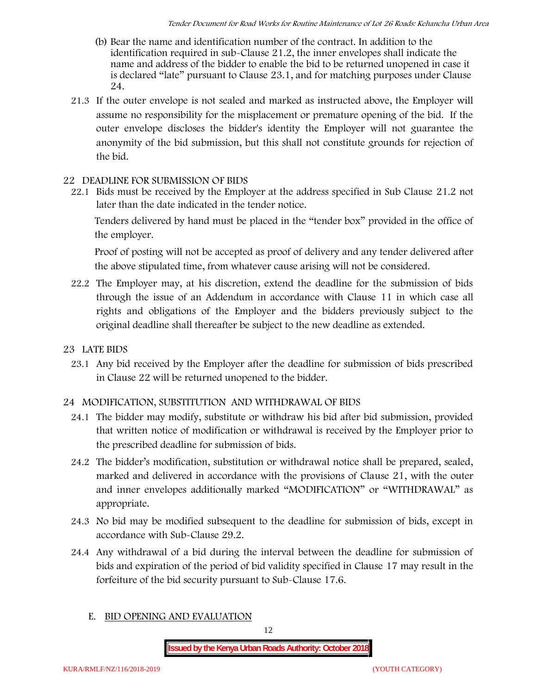- (b) Bear the name and identification number of the contract. In addition to the identification required in sub-Clause 21.2, the inner envelopes shall indicate the name and address of the bidder to enable the bid to be returned unopened in case it is declared "late" pursuant to Clause 23.1, and for matching purposes under Clause 24.
- 21.3 If the outer envelope is not sealed and marked as instructed above, the Employer will assume no responsibility for the misplacement or premature opening of the bid. If the outer envelope discloses the bidder's identity the Employer will not guarantee the anonymity of the bid submission, but this shall not constitute grounds for rejection of the bid.

#### **22 DEADLINE FOR SUBMISSION OF BIDS**

22.1 Bids must be received by the Employer at the address specified in Sub Clause 21.2 not later than **the date indicated in the tender notice.**

Tenders delivered by hand must be placed in the "tender box" provided in the office of the employer.

Proof of posting will not be accepted as proof of delivery and any tender delivered after the above stipulated time, from whatever cause arising will not be considered.

- 22.2 The Employer may, at his discretion, extend the deadline for the submission of bids through the issue of an Addendum in accordance with Clause 11 in which case all rights and obligations of the Employer and the bidders previously subject to the original deadline shall thereafter be subject to the new deadline as extended.
- **23 LATE BIDS**
	- 23.1 Any bid received by the Employer after the deadline for submission of bids prescribed in Clause 22 will be returned unopened to the bidder.

#### **24 MODIFICATION, SUBSTITUTION AND WITHDRAWAL OF BIDS**

- 24.1 The bidder may modify, substitute or withdraw his bid after bid submission, provided that written notice of modification or withdrawal is received by the Employer prior to the prescribed deadline for submission of bids.
- 24.2 The bidder's modification, substitution or withdrawal notice shall be prepared, sealed, marked and delivered in accordance with the provisions of Clause 21, with the outer and inner envelopes additionally marked "MODIFICATION" or "WITHDRAWAL" as appropriate.
- 24.3 No bid may be modified subsequent to the deadline for submission of bids, except in accordance with Sub-Clause 29.2.
- 24.4 Any withdrawal of a bid during the interval between the deadline for submission of bids and expiration of the period of bid validity specified in Clause 17 may result in the forfeiture of the bid security pursuant to Sub-Clause 17.6.
	- **E. BID OPENING AND EVALUATION**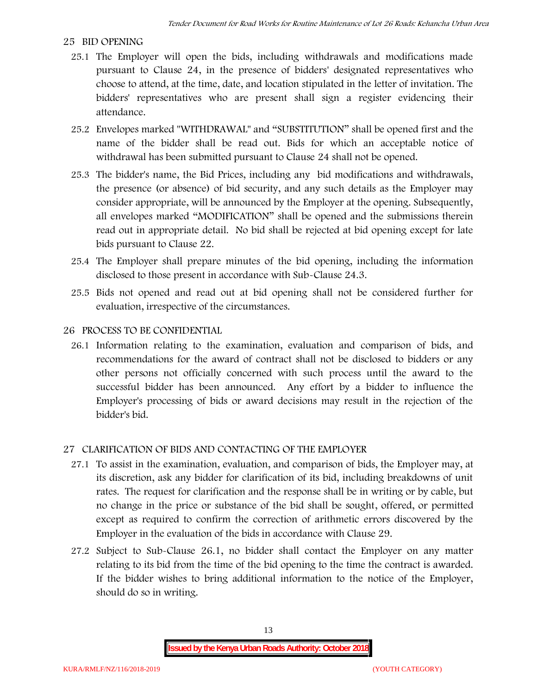#### **25 BID OPENING**

- 25.1 The Employer will open the bids, including withdrawals and modifications made pursuant to Clause 24, in the presence of bidders' designated representatives who choose to attend, at the time, date, and location stipulated in the letter of invitation. The bidders' representatives who are present shall sign a register evidencing their attendance.
- 25.2 Envelopes marked "WITHDRAWAL" and "SUBSTITUTION" shall be opened first and the name of the bidder shall be read out. Bids for which an acceptable notice of withdrawal has been submitted pursuant to Clause 24 shall not be opened.
- 25.3 The bidder's name, the Bid Prices, including any bid modifications and withdrawals, the presence (or absence) of bid security, and any such details as the Employer may consider appropriate, will be announced by the Employer at the opening. Subsequently, all envelopes marked "MODIFICATION" shall be opened and the submissions therein read out in appropriate detail. No bid shall be rejected at bid opening except for late bids pursuant to Clause 22.
- 25.4 The Employer shall prepare minutes of the bid opening, including the information disclosed to those present in accordance with Sub-Clause 24.3.
- 25.5 Bids not opened and read out at bid opening shall not be considered further for evaluation, irrespective of the circumstances.

#### **26 PROCESS TO BE CONFIDENTIAL**

26.1 Information relating to the examination, evaluation and comparison of bids, and recommendations for the award of contract shall not be disclosed to bidders or any other persons not officially concerned with such process until the award to the successful bidder has been announced. Any effort by a bidder to influence the Employer's processing of bids or award decisions may result in the rejection of the bidder's bid.

#### **27 CLARIFICATION OF BIDS AND CONTACTING OF THE EMPLOYER**

- 27.1 To assist in the examination, evaluation, and comparison of bids, the Employer may, at its discretion, ask any bidder for clarification of its bid, including breakdowns of unit rates. The request for clarification and the response shall be in writing or by cable, but no change in the price or substance of the bid shall be sought, offered, or permitted except as required to confirm the correction of arithmetic errors discovered by the Employer in the evaluation of the bids in accordance with Clause 29.
- 27.2 Subject to Sub-Clause 26.1, no bidder shall contact the Employer on any matter relating to its bid from the time of the bid opening to the time the contract is awarded. If the bidder wishes to bring additional information to the notice of the Employer, should do so in writing.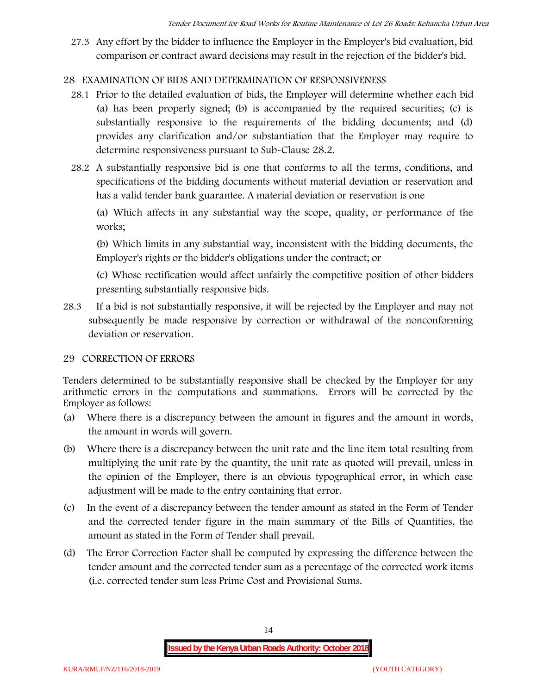27.3 Any effort by the bidder to influence the Employer in the Employer's bid evaluation, bid comparison or contract award decisions may result in the rejection of the bidder's bid.

### **28 EXAMINATION OF BIDS AND DETERMINATION OF RESPONSIVENESS**

- 28.1 Prior to the detailed evaluation of bids, the Employer will determine whether each bid (a) has been properly signed; (b) is accompanied by the required securities; (c) is substantially responsive to the requirements of the bidding documents; and (d) provides any clarification and/or substantiation that the Employer may require to determine responsiveness pursuant to Sub-Clause 28.2.
- 28.2 A substantially responsive bid is one that conforms to all the terms, conditions, and specifications of the bidding documents without material deviation or reservation and has a valid tender bank guarantee. A material deviation or reservation is one

(a) Which affects in any substantial way the scope, quality, or performance of the works;

(b) Which limits in any substantial way, inconsistent with the bidding documents, the Employer's rights or the bidder's obligations under the contract; or

(c) Whose rectification would affect unfairly the competitive position of other bidders presenting substantially responsive bids.

28.3 If a bid is not substantially responsive, it will be rejected by the Employer and may not subsequently be made responsive by correction or withdrawal of the nonconforming deviation or reservation.

#### **29 CORRECTION OF ERRORS**

Tenders determined to be substantially responsive shall be checked by the Employer for any arithmetic errors in the computations and summations. Errors will be corrected by the Employer as follows:

- (a) Where there is a discrepancy between the amount in figures and the amount in words, the amount in words will govern.
- (b) Where there is a discrepancy between the unit rate and the line item total resulting from multiplying the unit rate by the quantity, the unit rate as quoted will prevail, unless in the opinion of the Employer, there is an obvious typographical error, in which case adjustment will be made to the entry containing that error.
- (c) In the event of a discrepancy between the tender amount as stated in the Form of Tender and the corrected tender figure in the main summary of the Bills of Quantities, the amount as stated in the Form of Tender shall prevail.
- (d) The Error Correction Factor shall be computed by expressing the difference between the tender amount and the corrected tender sum as a percentage of the corrected work items (i.e. corrected tender sum less Prime Cost and Provisional Sums.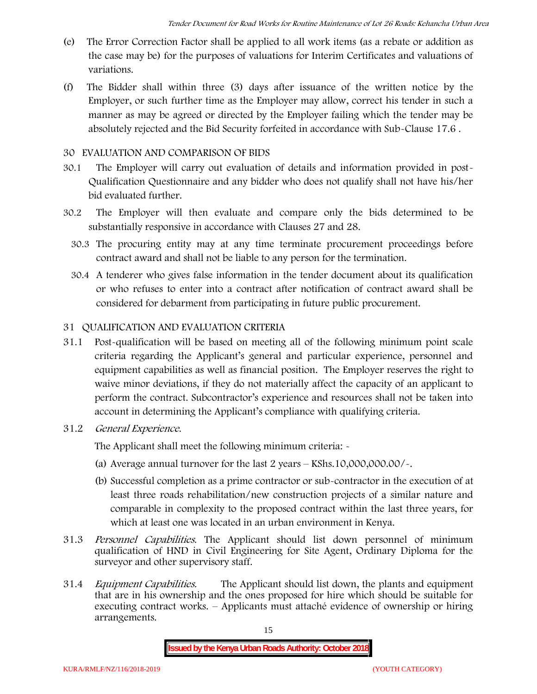- (e) The Error Correction Factor shall be applied to all work items (as a rebate or addition as the case may be) for the purposes of valuations for Interim Certificates and valuations of variations.
- (f) The Bidder shall within three (3) days after issuance of the written notice by the Employer, or such further time as the Employer may allow, correct his tender in such a manner as may be agreed or directed by the Employer failing which the tender may be absolutely rejected and the Bid Security forfeited in accordance with Sub-Clause 17.6 .

### **30 EVALUATION AND COMPARISON OF BIDS**

- 30.1 The Employer will carry out evaluation of details and information provided in post- Qualification Questionnaire and any bidder who does not qualify shall not have his/her bid evaluated further.
- 30.2 The Employer will then evaluate and compare only the bids determined to be substantially responsive in accordance with Clauses 27 and 28.
	- 30.3 The procuring entity may at any time terminate procurement proceedings before contract award and shall not be liable to any person for the termination.
	- 30.4 A tenderer who gives false information in the tender document about its qualification or who refuses to enter into a contract after notification of contract award shall be considered for debarment from participating in future public procurement.

### **31 QUALIFICATION AND EVALUATION CRITERIA**

- 31.1 Post-qualification will be based on meeting all of the following minimum point scale criteria regarding the Applicant's general and particular experience, personnel and equipment capabilities as well as financial position. The Employer reserves the right to waive minor deviations, if they do not materially affect the capacity of an applicant to perform the contract. Subcontractor's experience and resources shall not be taken into account in determining the Applicant's compliance with qualifying criteria.
- **31.2** *General Experience***.**

The Applicant shall meet the following minimum criteria: -

- (a) Average annual turnover for the last 2 years **KShs.10,000,000.00/-.**
- (b) Successful completion as a prime contractor or sub-contractor in the execution of at least three roads rehabilitation/new construction projects of a similar nature and comparable in complexity to the proposed contract within the last three years, for which at least one was located in an urban environment in Kenya.
- 31.3 *Personnel Capabilities***.** The Applicant should list down personnel of minimum qualification of HND in Civil Engineering for Site Agent, Ordinary Diploma for the surveyor and other supervisory staff.
- 31.4 *Equipment Capabilities.* The Applicant should list down, the plants and equipment that are in his ownership and the ones proposed for hire which should be suitable for executing contract works. – Applicants must attaché evidence of ownership or hiring arrangements.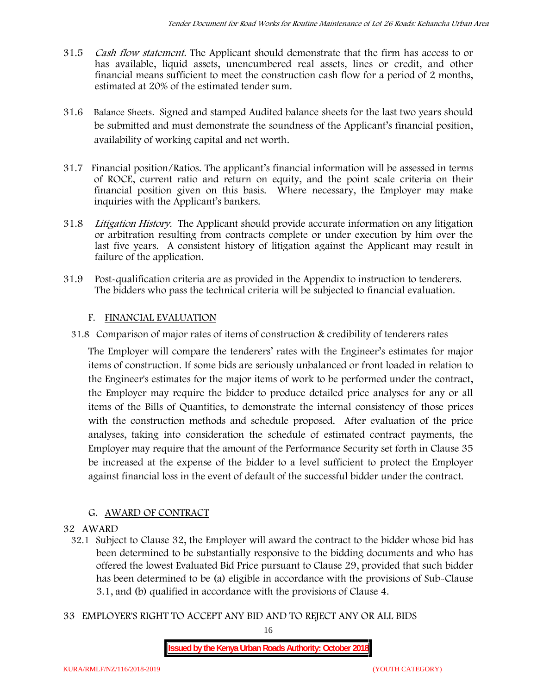- 31.5 *Cash flow statement.* The Applicant should demonstrate that the firm has access to or has available, liquid assets, unencumbered real assets, lines or credit, and other financial means sufficient to meet the construction cash flow for a period of 2 months, estimated at 20% of the estimated tender sum.
- 31.6 **Balance Sheets***.* Signed and stamped Audited balance sheets for the last two years should be submitted and must demonstrate the soundness of the Applicant's financial position, availability of working capital and net worth.
- 31.7 **Financial position/Ratios.** The applicant's financial information will be assessed in terms of ROCE, current ratio and return on equity, and the point scale criteria on their financial position given on this basis. Where necessary, the Employer may make inquiries with the Applicant's bankers.
- 31.8 *Litigation History.* The Applicant should provide accurate information on any litigation or arbitration resulting from contracts complete or under execution by him over the last five years. A consistent history of litigation against the Applicant may result in failure of the application.
- 31.9 Post-qualification criteria are as provided in the Appendix to instruction to tenderers. The bidders who pass the technical criteria will be subjected to financial evaluation.

### **F. FINANCIAL EVALUATION**

31.8 Comparison of major rates of items of construction & credibility of tenderers rates

The Employer will compare the tenderers' rates with the Engineer's estimates for major items of construction. If some bids are seriously unbalanced or front loaded in relation to the Engineer's estimates for the major items of work to be performed under the contract, the Employer may require the bidder to produce detailed price analyses for any or all items of the Bills of Quantities, to demonstrate the internal consistency of those prices with the construction methods and schedule proposed. After evaluation of the price analyses, taking into consideration the schedule of estimated contract payments, the Employer may require that the amount of the Performance Security set forth in Clause 35 be increased at the expense of the bidder to a level sufficient to protect the Employer against financial loss in the event of default of the successful bidder under the contract.

### **G. AWARD OF CONTRACT**

#### **32 AWARD**

- 32.1 Subject to Clause 32, the Employer will award the contract to the bidder whose bid has been determined to be substantially responsive to the bidding documents and who has offered the lowest Evaluated Bid Price pursuant to Clause 29, provided that such bidder has been determined to be (a) eligible in accordance with the provisions of Sub-Clause 3.1, and (b) qualified in accordance with the provisions of Clause 4.
- **33 EMPLOYER'S RIGHT TO ACCEPT ANY BID AND TO REJECT ANY OR ALL BIDS**

16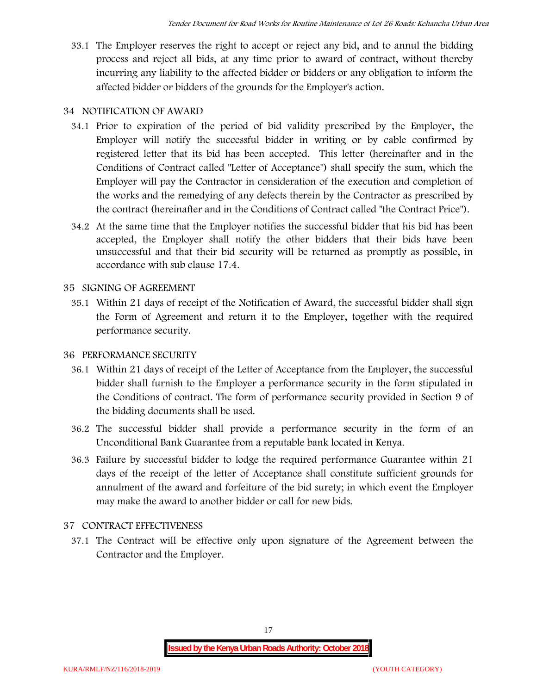33.1 The Employer reserves the right to accept or reject any bid, and to annul the bidding process and reject all bids, at any time prior to award of contract, without thereby incurring any liability to the affected bidder or bidders or any obligation to inform the affected bidder or bidders of the grounds for the Employer's action.

## **34 NOTIFICATION OF AWARD**

- 34.1 Prior to expiration of the period of bid validity prescribed by the Employer, the Employer will notify the successful bidder in writing or by cable confirmed by registered letter that its bid has been accepted. This letter (hereinafter and in the Conditions of Contract called "Letter of Acceptance") shall specify the sum, which the Employer will pay the Contractor in consideration of the execution and completion of the works and the remedying of any defects therein by the Contractor as prescribed by the contract (hereinafter and in the Conditions of Contract called "the Contract Price").
- 34.2 At the same time that the Employer notifies the successful bidder that his bid has been accepted, the Employer shall notify the other bidders that their bids have been unsuccessful and that their bid security will be returned as promptly as possible, in accordance with sub clause 17.4.

## **35 SIGNING OF AGREEMENT**

35.1 Within 21 days of receipt of the Notification of Award, the successful bidder shall sign the Form of Agreement and return it to the Employer, together with the required performance security.

### **36 PERFORMANCE SECURITY**

- 36.1 Within 21 days of receipt of the Letter of Acceptance from the Employer, the successful bidder shall furnish to the Employer a performance security in the form stipulated in the Conditions of contract. The form of performance security provided in Section 9 of the bidding documents shall be used.
- 36.2 The successful bidder shall provide a performance security in the form of an Unconditional Bank Guarantee from a reputable bank located in Kenya.
- 36.3 Failure by successful bidder to lodge the required performance Guarantee within 21 days of the receipt of the letter of Acceptance shall constitute sufficient grounds for annulment of the award and forfeiture of the bid surety; in which event the Employer may make the award to another bidder or call for new bids.

# **37 CONTRACT EFFECTIVENESS**

37.1 The Contract will be effective only upon signature of the Agreement between the Contractor and the Employer.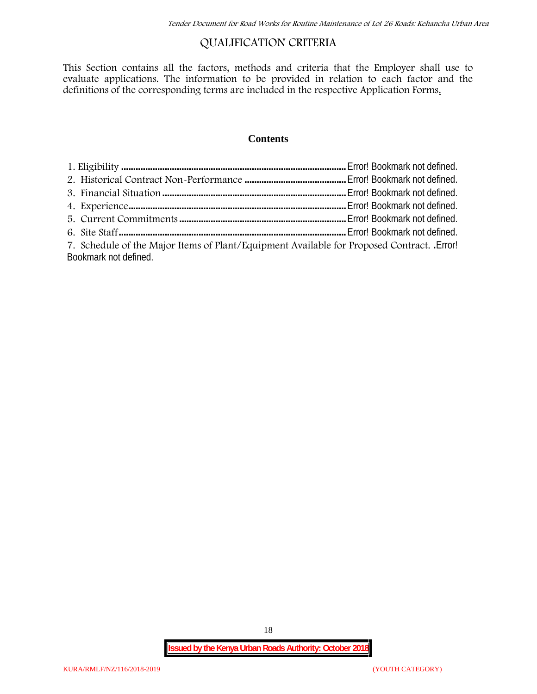# **QUALIFICATION CRITERIA**

This Section contains all the factors, methods and criteria that the Employer shall use to evaluate applications. The information to be provided in relation to each factor and the definitions of the corresponding terms are included in the respective Application Forms.

#### **Contents**

| 7. Schedule of the Major Items of Plant/Equipment Available for Proposed Contract. Error! |  |
|-------------------------------------------------------------------------------------------|--|
| Bookmark not defined.                                                                     |  |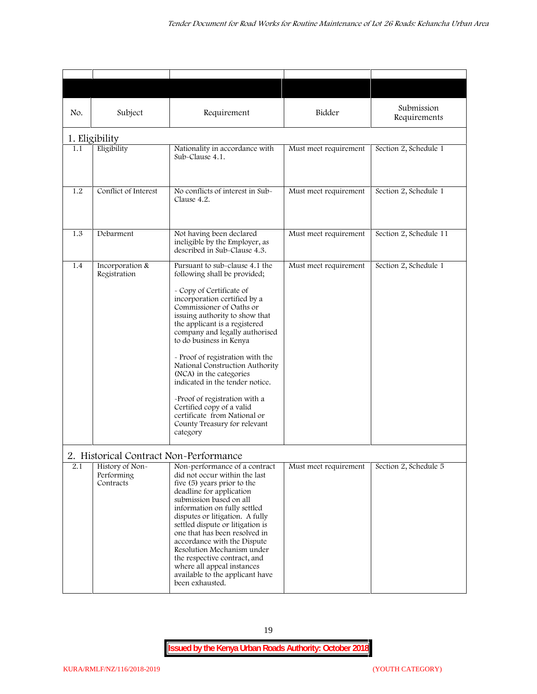| No. | Subject                                                   | Requirement                                                                                                                                                                                                                                                                                                                                                                                                                                                                                                                                                           | Bidder                | Submission<br>Requirements |
|-----|-----------------------------------------------------------|-----------------------------------------------------------------------------------------------------------------------------------------------------------------------------------------------------------------------------------------------------------------------------------------------------------------------------------------------------------------------------------------------------------------------------------------------------------------------------------------------------------------------------------------------------------------------|-----------------------|----------------------------|
|     | 1. Eligibility                                            |                                                                                                                                                                                                                                                                                                                                                                                                                                                                                                                                                                       |                       |                            |
| 1.1 | Eligibility                                               | Nationality in accordance with<br>Sub-Clause 4.1.                                                                                                                                                                                                                                                                                                                                                                                                                                                                                                                     | Must meet requirement | Section 2, Schedule 1      |
| 1.2 | Conflict of Interest                                      | No conflicts of interest in Sub-<br>Clause 4.2.                                                                                                                                                                                                                                                                                                                                                                                                                                                                                                                       | Must meet requirement | Section 2, Schedule 1      |
| 1.3 | Debarment                                                 | Not having been declared<br>ineligible by the Employer, as<br>described in Sub-Clause 4.3.                                                                                                                                                                                                                                                                                                                                                                                                                                                                            | Must meet requirement | Section 2, Schedule 11     |
| 1.4 | Incorporation &<br>Registration                           | Pursuant to sub-clause 4.1 the<br>following shall be provided;<br>- Copy of Certificate of<br>incorporation certified by a<br>Commissioner of Oaths or<br>issuing authority to show that<br>the applicant is a registered<br>company and legally authorised<br>to do business in Kenya<br>- Proof of registration with the<br>National Construction Authority<br>(NCA) in the categories<br>indicated in the tender notice.<br>-Proof of registration with a<br>Certified copy of a valid<br>certificate from National or<br>County Treasury for relevant<br>category | Must meet requirement | Section 2, Schedule 1      |
| 2.1 | 2. Historical Contract Non-Performance<br>History of Non- | Non-performance of a contract                                                                                                                                                                                                                                                                                                                                                                                                                                                                                                                                         | Must meet requirement | Section 2, Schedule 5      |
|     | Performing<br>Contracts                                   | did not occur within the last<br>five (5) years prior to the<br>deadline for application<br>submission based on all<br>information on fully settled<br>disputes or litigation. A fully<br>settled dispute or litigation is<br>one that has been resolved in<br>accordance with the Dispute<br>Resolution Mechanism under<br>the respective contract, and<br>where all appeal instances<br>available to the applicant have<br>been exhausted.                                                                                                                          |                       |                            |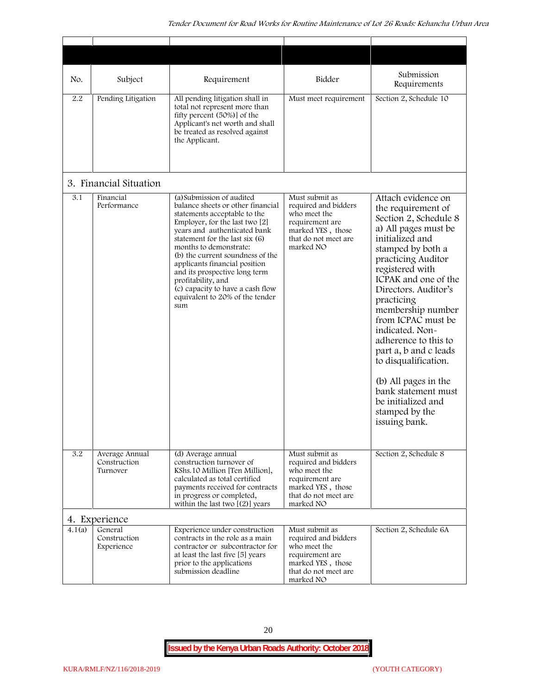| No.    | Subject                                    | Requirement                                                                                                                                                                                                                                                                                                                                                                                                                              | Bidder                                                                                                                              | Submission<br>Requirements                                                                                                                                                                                                                                                                                                                                                                                                                                                              |
|--------|--------------------------------------------|------------------------------------------------------------------------------------------------------------------------------------------------------------------------------------------------------------------------------------------------------------------------------------------------------------------------------------------------------------------------------------------------------------------------------------------|-------------------------------------------------------------------------------------------------------------------------------------|-----------------------------------------------------------------------------------------------------------------------------------------------------------------------------------------------------------------------------------------------------------------------------------------------------------------------------------------------------------------------------------------------------------------------------------------------------------------------------------------|
| 2.2    | Pending Litigation                         | All pending litigation shall in<br>total not represent more than<br>fifty percent (50%)] of the<br>Applicant's net worth and shall<br>be treated as resolved against<br>the Applicant.                                                                                                                                                                                                                                                   | Must meet requirement                                                                                                               | Section 2, Schedule 10                                                                                                                                                                                                                                                                                                                                                                                                                                                                  |
|        | 3. Financial Situation                     |                                                                                                                                                                                                                                                                                                                                                                                                                                          |                                                                                                                                     |                                                                                                                                                                                                                                                                                                                                                                                                                                                                                         |
| 3.1    | Financial<br>Performance                   | (a) Submission of audited<br>balance sheets or other financial<br>statements acceptable to the<br>Employer, for the last two [2]<br>years and authenticated bank<br>statement for the last six $(6)$<br>months to demonstrate:<br>(b) the current soundness of the<br>applicants financial position<br>and its prospective long term<br>profitability, and<br>(c) capacity to have a cash flow<br>equivalent to 20% of the tender<br>sum | Must submit as<br>required and bidders<br>who meet the<br>requirement are<br>marked YES, those<br>that do not meet are<br>marked NO | Attach evidence on<br>the requirement of<br>Section 2, Schedule 8<br>a) All pages must be<br>initialized and<br>stamped by both a<br>practicing Auditor<br>registered with<br>ICPAK and one of the<br>Directors. Auditor's<br>practicing<br>membership number<br>from ICPAC must be<br>indicated. Non-<br>adherence to this to<br>part a, b and c leads<br>to disqualification.<br>(b) All pages in the<br>bank statement must<br>be initialized and<br>stamped by the<br>issuing bank. |
| 3.2    | Average Annual<br>Construction<br>Turnover | (d) Average annual<br>construction turnover of<br>KShs.10 Million [Ten Million],<br>calculated as total certified<br>payments received for contracts<br>in progress or completed,<br>within the last two $[(2)]$ years                                                                                                                                                                                                                   | Must submit as<br>required and bidders<br>who meet the<br>requirement are<br>marked YES, those<br>that do not meet are<br>marked NO | Section 2, Schedule 8                                                                                                                                                                                                                                                                                                                                                                                                                                                                   |
|        | 4. Experience                              |                                                                                                                                                                                                                                                                                                                                                                                                                                          |                                                                                                                                     |                                                                                                                                                                                                                                                                                                                                                                                                                                                                                         |
| 4.1(a) | General<br>Construction<br>Experience      | Experience under construction<br>contracts in the role as a main<br>contractor or subcontractor for<br>at least the last five [5] years<br>prior to the applications<br>submission deadline                                                                                                                                                                                                                                              | Must submit as<br>required and bidders<br>who meet the<br>requirement are<br>marked YES, those<br>that do not meet are<br>marked NO | Section 2, Schedule 6A                                                                                                                                                                                                                                                                                                                                                                                                                                                                  |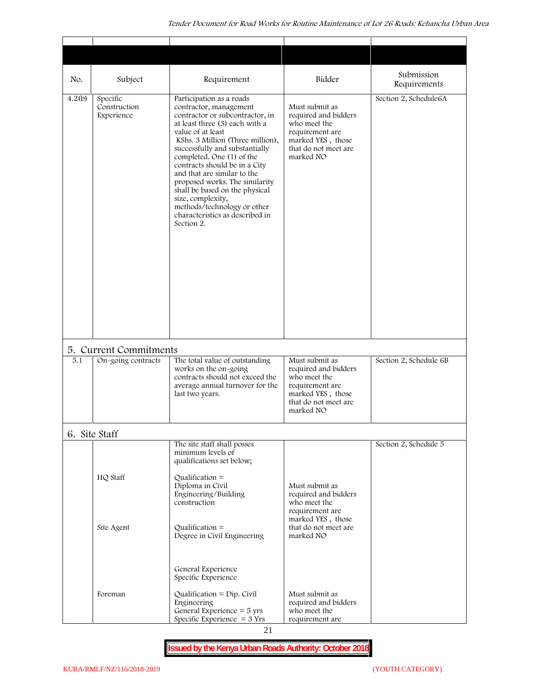| No.<br>4.2(b) | Subject<br>Specific<br>Construction<br>Experience | Requirement<br>Participation as a roads<br>contractor, management<br>contractor or subcontractor, in<br>at least three (3) each with a<br>value of at least<br>KShs. 3 Million (Three million),                                                                                                      | Bidder<br>Must submit as<br>required and bidders<br>who meet the<br>requirement are<br>marked YES, those          | Submission<br>Requirements<br>Section 2, Schedule6A |
|---------------|---------------------------------------------------|------------------------------------------------------------------------------------------------------------------------------------------------------------------------------------------------------------------------------------------------------------------------------------------------------|-------------------------------------------------------------------------------------------------------------------|-----------------------------------------------------|
|               |                                                   | successfully and substantially<br>completed. One (1) of the<br>contracts should be in a City<br>and that are similar to the<br>proposed works. The similarity<br>shall be based on the physical<br>size, complexity,<br>methods/technology or other<br>characteristics as described in<br>Section 2. | that do not meet are<br>marked NO                                                                                 |                                                     |
| 5.1           | 5. Current Commitments<br>On-going contracts      | The total value of outstanding                                                                                                                                                                                                                                                                       | Must submit as                                                                                                    | Section 2, Schedule 6B                              |
|               |                                                   | works on the on-going<br>contracts should not exceed the<br>average annual turnover for the<br>last two years.                                                                                                                                                                                       | required and bidders<br>who meet the<br>requirement are<br>marked YES, those<br>that do not meet are<br>marked NO |                                                     |
|               | 6. Site Staff                                     |                                                                                                                                                                                                                                                                                                      |                                                                                                                   |                                                     |
|               |                                                   | The site staff shall posses<br>minimum levels of<br>qualifications set below;                                                                                                                                                                                                                        |                                                                                                                   | Section 2, Schedule 5                               |
|               | HQ Staff                                          | Qualification $=$<br>Diploma in Civil<br>Engineering/Building<br>construction                                                                                                                                                                                                                        | Must submit as<br>required and bidders<br>who meet the<br>requirement are<br>marked YES, those                    |                                                     |
|               | Site Agent                                        | $Qualification =$<br>Degree in Civil Engineering                                                                                                                                                                                                                                                     | that do not meet are<br>marked NO                                                                                 |                                                     |
|               |                                                   | General Experience<br>Specific Experience                                                                                                                                                                                                                                                            |                                                                                                                   |                                                     |
|               | Foreman                                           | Qualification = $Dip$ . Civil<br>Engineering<br>General Experience $=$ 5 yrs<br>Specific Experience $=$ 3 Yrs                                                                                                                                                                                        | Must submit as<br>required and bidders<br>who meet the<br>requirement are                                         |                                                     |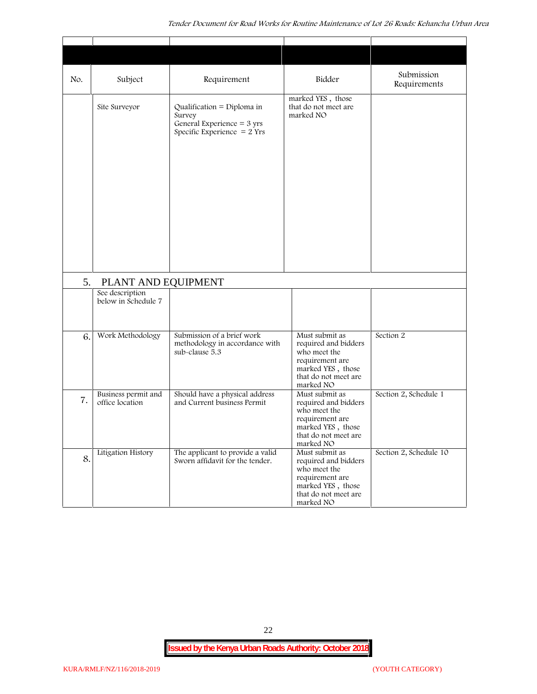| No. | Subject                                                       | Requirement                                                                                                   | Bidder                                                                                                                              | Submission<br>Requirements |
|-----|---------------------------------------------------------------|---------------------------------------------------------------------------------------------------------------|-------------------------------------------------------------------------------------------------------------------------------------|----------------------------|
|     | Site Surveyor                                                 | Qualification = Diploma in<br>Survey<br>General Experience = $3 \text{ yrs}$<br>Specific Experience $= 2$ Yrs | marked YES, those<br>that do not meet are<br>marked NO                                                                              |                            |
| 5.  | PLANT AND EQUIPMENT<br>See description<br>below in Schedule 7 |                                                                                                               |                                                                                                                                     |                            |
| 6.  | Work Methodology                                              | Submission of a brief work<br>methodology in accordance with<br>sub-clause 5.3                                | Must submit as<br>required and bidders<br>who meet the<br>requirement are<br>marked YES, those<br>that do not meet are<br>marked NO | Section 2                  |
| 7.  | Business permit and<br>office location                        | Should have a physical address<br>and Current business Permit                                                 | Must submit as<br>required and bidders<br>who meet the<br>requirement are<br>marked YES, those<br>that do not meet are<br>marked NO | Section 2, Schedule 1      |
| 8.  | Litigation History                                            | The applicant to provide a valid<br>Sworn affidavit for the tender.                                           | Must submit as<br>required and bidders<br>who meet the<br>requirement are<br>marked YES, those<br>that do not meet are<br>marked NO | Section 2, Schedule 10     |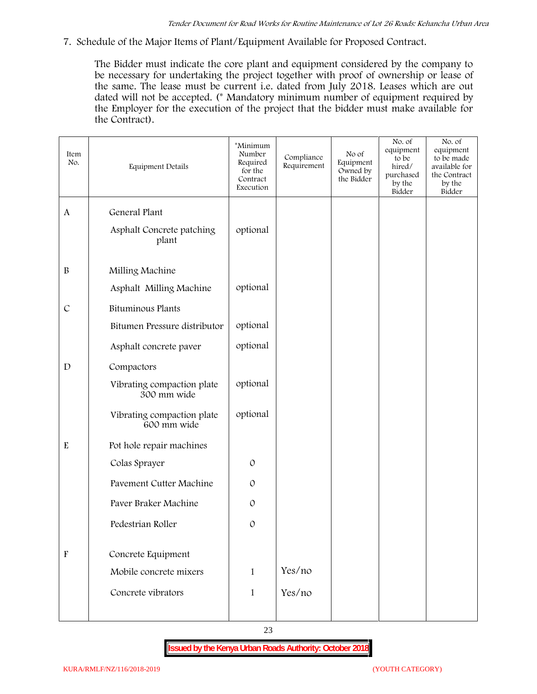**7. Schedule of the Major Items of Plant/Equipment Available for Proposed Contract.**

The Bidder must indicate the core plant and equipment considered by the company to be necessary for undertaking the project together with proof of ownership or lease of the same. The lease must be current i.e. dated from July 2018. Leases which are out dated will not be accepted. (\* Mandatory minimum number of equipment required by the Employer for the execution of the project that the bidder must make available for the Contract).

| Item<br>No.               | Equipment Details                         | *Minimum<br>Number<br>Required<br>for the<br>Contract<br>Execution | Compliance<br>Requirement | No of<br>Equipment<br>Owned by<br>the Bidder | No. of<br>equipment<br>to be<br>hired/<br>purchased<br>by the<br>Bidder | No. of<br>equipment<br>to be made<br>available for<br>the Contract<br>by the<br>Bidder |
|---------------------------|-------------------------------------------|--------------------------------------------------------------------|---------------------------|----------------------------------------------|-------------------------------------------------------------------------|----------------------------------------------------------------------------------------|
| $\mathbf{A}$              | General Plant                             |                                                                    |                           |                                              |                                                                         |                                                                                        |
|                           | Asphalt Concrete patching<br>plant        | optional                                                           |                           |                                              |                                                                         |                                                                                        |
| $\, {\bf B}$              | Milling Machine                           |                                                                    |                           |                                              |                                                                         |                                                                                        |
|                           | Asphalt Milling Machine                   | optional                                                           |                           |                                              |                                                                         |                                                                                        |
| $\mathcal{C}$             | Bituminous Plants                         |                                                                    |                           |                                              |                                                                         |                                                                                        |
|                           | Bitumen Pressure distributor              | optional                                                           |                           |                                              |                                                                         |                                                                                        |
|                           | Asphalt concrete paver                    | optional                                                           |                           |                                              |                                                                         |                                                                                        |
| $\mathbf D$               | Compactors                                |                                                                    |                           |                                              |                                                                         |                                                                                        |
|                           | Vibrating compaction plate<br>300 mm wide | optional                                                           |                           |                                              |                                                                         |                                                                                        |
|                           | Vibrating compaction plate<br>600 mm wide | optional                                                           |                           |                                              |                                                                         |                                                                                        |
| ${\bf E}$                 | Pot hole repair machines                  |                                                                    |                           |                                              |                                                                         |                                                                                        |
|                           | Colas Sprayer                             | $\mathcal{O}$                                                      |                           |                                              |                                                                         |                                                                                        |
|                           | Pavement Cutter Machine                   | $\mathcal{O}$                                                      |                           |                                              |                                                                         |                                                                                        |
|                           | Paver Braker Machine                      | $\mathcal{O}$                                                      |                           |                                              |                                                                         |                                                                                        |
|                           | Pedestrian Roller                         | $\mathcal{O}$                                                      |                           |                                              |                                                                         |                                                                                        |
| $\boldsymbol{\mathrm{F}}$ | Concrete Equipment                        |                                                                    |                           |                                              |                                                                         |                                                                                        |
|                           | Mobile concrete mixers                    | $\mathbf{1}$                                                       | Yes/no                    |                                              |                                                                         |                                                                                        |
|                           | Concrete vibrators                        | $\mathbf{1}$                                                       | Yes/no                    |                                              |                                                                         |                                                                                        |
|                           |                                           |                                                                    |                           |                                              |                                                                         |                                                                                        |

23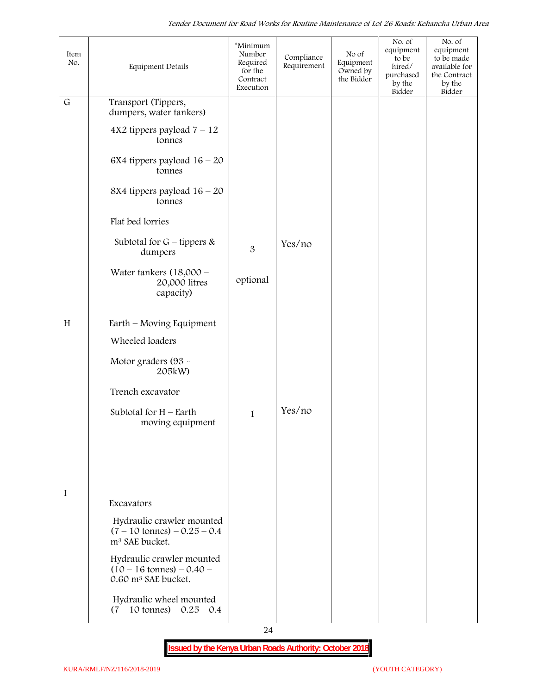| Item<br>No. | Equipment Details                                                                                   | *Minimum<br>Number<br>Required<br>for the<br>Contract<br>Execution | Compliance<br>Requirement | No of<br>Equipment<br>Owned by<br>the Bidder | No. of<br>equipment<br>to be<br>hired/<br>purchased<br>by the<br>Bidder | No. of<br>equipment<br>to be made<br>available for<br>the Contract<br>by the<br>Bidder |
|-------------|-----------------------------------------------------------------------------------------------------|--------------------------------------------------------------------|---------------------------|----------------------------------------------|-------------------------------------------------------------------------|----------------------------------------------------------------------------------------|
| $\mathsf G$ | Transport (Tippers,<br>dumpers, water tankers)                                                      |                                                                    |                           |                                              |                                                                         |                                                                                        |
|             | $4X2$ tippers payload $7 - 12$<br>tonnes                                                            |                                                                    |                           |                                              |                                                                         |                                                                                        |
|             | 6X4 tippers payload $16 - 20$<br>tonnes                                                             |                                                                    |                           |                                              |                                                                         |                                                                                        |
|             | 8X4 tippers payload $16 - 20$<br>tonnes                                                             |                                                                    |                           |                                              |                                                                         |                                                                                        |
|             | Flat bed lorries                                                                                    |                                                                    |                           |                                              |                                                                         |                                                                                        |
|             | Subtotal for $G$ – tippers &<br>dumpers                                                             | 3                                                                  | Yes/no                    |                                              |                                                                         |                                                                                        |
|             | Water tankers $(18,000 -$<br>20,000 litres<br>capacity)                                             | optional                                                           |                           |                                              |                                                                         |                                                                                        |
| H           | Earth – Moving Equipment                                                                            |                                                                    |                           |                                              |                                                                         |                                                                                        |
|             | Wheeled loaders                                                                                     |                                                                    |                           |                                              |                                                                         |                                                                                        |
|             | Motor graders (93 -<br>205kW)                                                                       |                                                                    |                           |                                              |                                                                         |                                                                                        |
|             | Trench excavator                                                                                    |                                                                    |                           |                                              |                                                                         |                                                                                        |
|             | Subtotal for $H$ – Earth<br>moving equipment                                                        | $\mathbf{1}$                                                       | Yes/no                    |                                              |                                                                         |                                                                                        |
|             |                                                                                                     |                                                                    |                           |                                              |                                                                         |                                                                                        |
|             |                                                                                                     |                                                                    |                           |                                              |                                                                         |                                                                                        |
| I           | Excavators                                                                                          |                                                                    |                           |                                              |                                                                         |                                                                                        |
|             | Hydraulic crawler mounted<br>$(7 - 10 \text{ tonnes}) - 0.25 - 0.4$<br>m <sup>3</sup> SAE bucket.   |                                                                    |                           |                                              |                                                                         |                                                                                        |
|             | Hydraulic crawler mounted<br>$(10 - 16 \text{ tonnes}) - 0.40 -$<br>0.60 m <sup>3</sup> SAE bucket. |                                                                    |                           |                                              |                                                                         |                                                                                        |
|             | Hydraulic wheel mounted<br>$(7 - 10 \text{ tonnes}) - 0.25 - 0.4$                                   |                                                                    |                           |                                              |                                                                         |                                                                                        |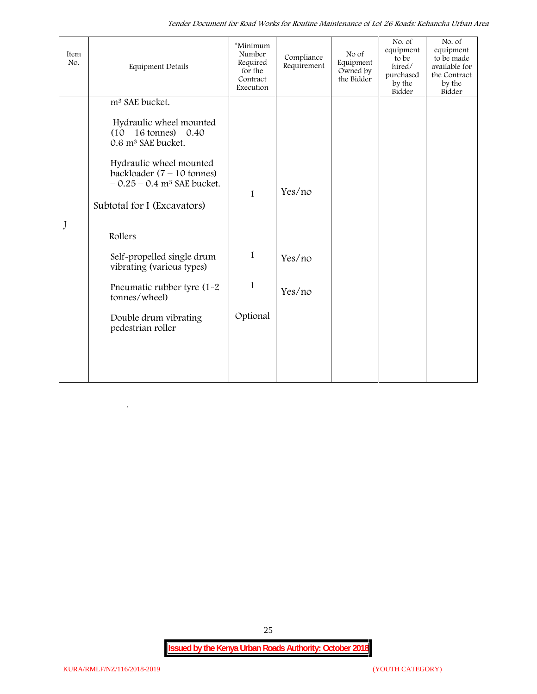*Tender Document for Road Works for Routine Maintenance of Lot 26 Roads: Kehancha Urban Area*

| Item<br>No. | <b>Equipment Details</b>                                                                                    | *Minimum<br>Number<br>Required<br>for the<br>Contract<br>Execution | Compliance<br>Requirement | No of<br>Equipment<br>Owned by<br>the Bidder | No. of<br>equipment<br>to be<br>hired/<br>purchased<br>by the<br>Bidder | No. of<br>equipment<br>to be made<br>available for<br>the Contract<br>by the<br>Bidder |
|-------------|-------------------------------------------------------------------------------------------------------------|--------------------------------------------------------------------|---------------------------|----------------------------------------------|-------------------------------------------------------------------------|----------------------------------------------------------------------------------------|
|             | m <sup>3</sup> SAE bucket.                                                                                  |                                                                    |                           |                                              |                                                                         |                                                                                        |
|             | Hydraulic wheel mounted<br>$(10 - 16 \text{ tonnes}) - 0.40 -$<br>0.6 m <sup>3</sup> SAE bucket.            |                                                                    |                           |                                              |                                                                         |                                                                                        |
|             | Hydraulic wheel mounted<br>backloader $(7 - 10 \text{ tonnes})$<br>$-0.25 - 0.4$ m <sup>3</sup> SAE bucket. | $\mathbf{1}$                                                       | Yes/no                    |                                              |                                                                         |                                                                                        |
|             | Subtotal for I (Excavators)                                                                                 |                                                                    |                           |                                              |                                                                         |                                                                                        |
| J           | Rollers                                                                                                     |                                                                    |                           |                                              |                                                                         |                                                                                        |
|             | Self-propelled single drum<br>vibrating (various types)                                                     | $\mathbf{1}$                                                       | Yes/no                    |                                              |                                                                         |                                                                                        |
|             | Pneumatic rubber tyre (1-2)<br>tonnes/wheel)                                                                | $\mathbf{1}$                                                       | Yes/no                    |                                              |                                                                         |                                                                                        |
|             | Double drum vibrating<br>pedestrian roller                                                                  | Optional                                                           |                           |                                              |                                                                         |                                                                                        |
|             |                                                                                                             |                                                                    |                           |                                              |                                                                         |                                                                                        |
|             |                                                                                                             |                                                                    |                           |                                              |                                                                         |                                                                                        |

25

 $\overline{\phantom{a}}$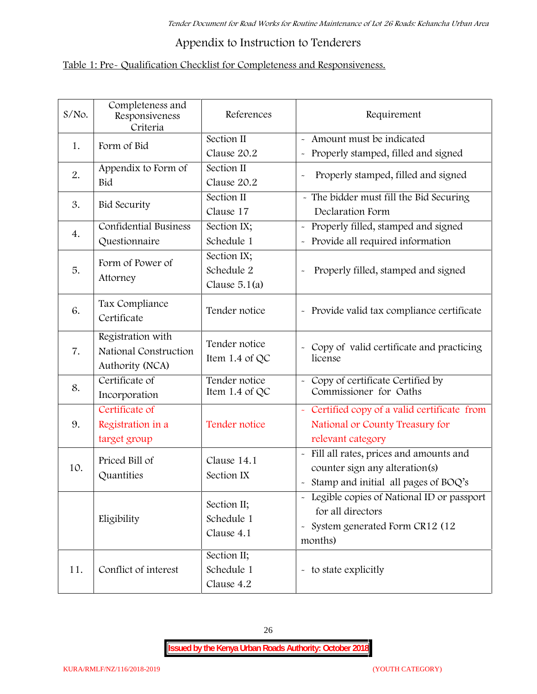# **Appendix to Instruction to Tenderers**

# **Table 1: Pre- Qualification Checklist for Completeness and Responsiveness.**

| $S/N$ o. | Completeness and<br>Responsiveness<br>Criteria                | References                                   | Requirement                                                                                                                               |
|----------|---------------------------------------------------------------|----------------------------------------------|-------------------------------------------------------------------------------------------------------------------------------------------|
| 1.       | Form of Bid                                                   | Section II<br>Clause 20.2                    | Amount must be indicated<br>Properly stamped, filled and signed<br>$\tilde{\phantom{a}}$                                                  |
| 2.       | Appendix to Form of<br>Bid                                    | Section II<br>Clause 20.2                    | Properly stamped, filled and signed<br>$\sim$                                                                                             |
| 3.       | <b>Bid Security</b>                                           | Section II<br>Clause 17                      | - The bidder must fill the Bid Securing<br>Declaration Form                                                                               |
| 4.       | Confidential Business<br>Questionnaire                        | Section IX;<br>Schedule 1                    | Properly filled, stamped and signed<br>Provide all required information                                                                   |
| 5.       | Form of Power of<br>Attorney                                  | Section IX;<br>Schedule 2<br>Clause $5.1(a)$ | Properly filled, stamped and signed                                                                                                       |
| 6.       | Tax Compliance<br>Certificate                                 | Tender notice                                | - Provide valid tax compliance certificate                                                                                                |
| 7.       | Registration with<br>National Construction<br>Authority (NCA) | Tender notice<br>Item 1.4 of QC              | - Copy of valid certificate and practicing<br>license                                                                                     |
| 8.       | Certificate of<br>Incorporation                               | Tender notice<br>Item 1.4 of QC              | Copy of certificate Certified by<br>Commissioner for Oaths                                                                                |
| 9.       | Certificate of<br>Registration in a<br>target group           | Tender notice                                | - Certified copy of a valid certificate from<br>National or County Treasury for<br>relevant category                                      |
| 10.      | Priced Bill of<br>Quantities                                  | Clause 14.1<br>Section IX                    | Fill all rates, prices and amounts and<br>$\tilde{\phantom{a}}$<br>counter sign any alteration(s)<br>Stamp and initial all pages of BOQ's |
|          | Eligibility                                                   | Section II;<br>Schedule 1<br>Clause 4.1      | Legible copies of National ID or passport<br>for all directors<br>System generated Form CR12 (12<br>$\tilde{}$<br>months)                 |
| 11.      | Conflict of interest                                          | Section II;<br>Schedule 1<br>Clause 4.2      | - to state explicitly                                                                                                                     |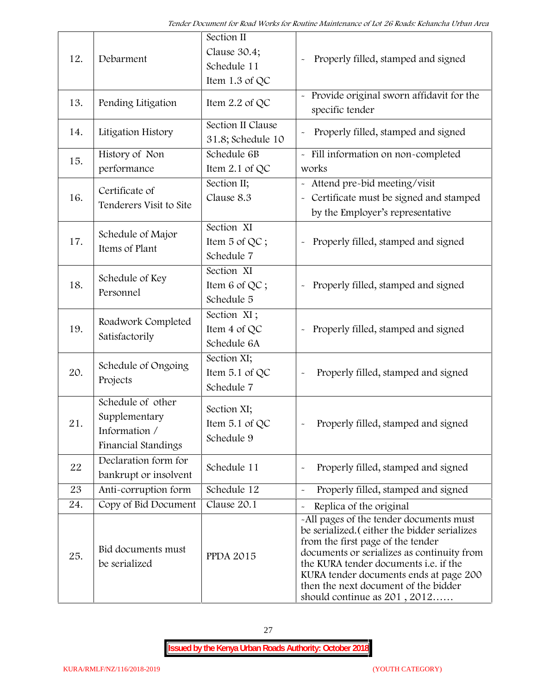| 12. | Debarment                                                                  | Section II<br>Clause 30.4;<br>Schedule 11<br>Item 1.3 of QC | Properly filled, stamped and signed                                                                                                                                                                                                                                                                                                            |
|-----|----------------------------------------------------------------------------|-------------------------------------------------------------|------------------------------------------------------------------------------------------------------------------------------------------------------------------------------------------------------------------------------------------------------------------------------------------------------------------------------------------------|
| 13. | Pending Litigation                                                         | Item $2.2$ of QC                                            | Provide original sworn affidavit for the<br>specific tender                                                                                                                                                                                                                                                                                    |
| 14. | Litigation History                                                         | Section II Clause<br>31.8; Schedule 10                      | Properly filled, stamped and signed                                                                                                                                                                                                                                                                                                            |
| 15. | History of Non<br>performance                                              | Schedule 6B<br>Item $2.1$ of QC                             | - Fill information on non-completed<br>works                                                                                                                                                                                                                                                                                                   |
| 16. | Certificate of<br>Tenderers Visit to Site                                  | Section II;<br>Clause 8.3                                   | - Attend pre-bid meeting/visit<br>- Certificate must be signed and stamped<br>by the Employer's representative                                                                                                                                                                                                                                 |
| 17. | Schedule of Major<br>Items of Plant                                        | Section XI<br>Item 5 of QC;<br>Schedule 7                   | Properly filled, stamped and signed                                                                                                                                                                                                                                                                                                            |
| 18. | Schedule of Key<br>Personnel                                               | Section XI<br>Item 6 of QC;<br>Schedule 5                   | Properly filled, stamped and signed                                                                                                                                                                                                                                                                                                            |
| 19. | Roadwork Completed<br>Satisfactorily                                       | Section XI;<br>Item 4 of QC<br>Schedule 6A                  | Properly filled, stamped and signed<br>$\tilde{\phantom{a}}$                                                                                                                                                                                                                                                                                   |
| 20. | Schedule of Ongoing<br>Projects                                            | Section XI;<br>Item 5.1 of QC<br>Schedule 7                 | Properly filled, stamped and signed                                                                                                                                                                                                                                                                                                            |
| 21  | Schedule of other<br>Supplementary<br>Information /<br>Financial Standings | Section XI;<br>Item $5.1$ of QC<br>Schedule 9               | Properly filled, stamped and signed                                                                                                                                                                                                                                                                                                            |
| 22  | Declaration form for<br>bankrupt or insolvent                              | Schedule 11                                                 | Properly filled, stamped and signed                                                                                                                                                                                                                                                                                                            |
| 23  | Anti-corruption form                                                       | Schedule 12                                                 | Properly filled, stamped and signed                                                                                                                                                                                                                                                                                                            |
| 24. | Copy of Bid Document                                                       | Clause 20.1                                                 | Replica of the original                                                                                                                                                                                                                                                                                                                        |
| 25. | Bid documents must<br>be serialized                                        | <b>PPDA 2015</b>                                            | -All pages of the tender documents must<br>be serialized. (either the bidder serializes<br>from the first page of the tender<br>documents or serializes as continuity from<br>the KURA tender documents <i>i.e.</i> if the<br>KURA tender documents ends at page 200<br>then the next document of the bidder<br>should continue as $201, 2012$ |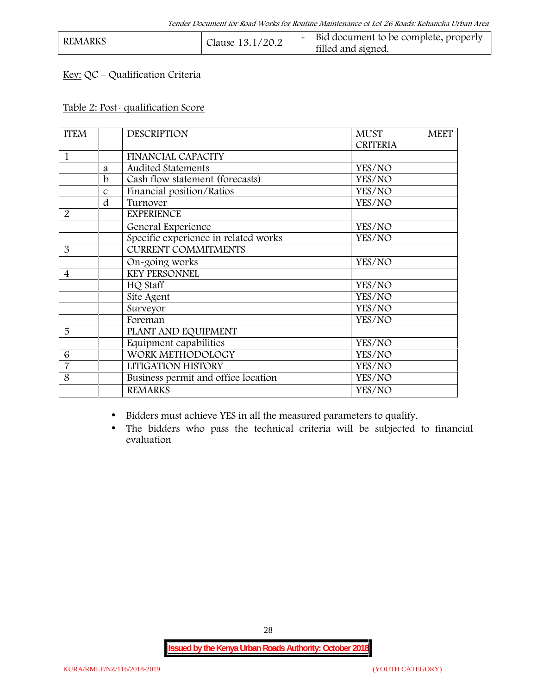| <b>REMARKS</b> | Clause 13.1/20.2 | Bid document to be complete, properly<br>filled and signed. |  |
|----------------|------------------|-------------------------------------------------------------|--|
|----------------|------------------|-------------------------------------------------------------|--|

## **Key:** QC – Qualification Criteria

#### **Table 2: Post- qualification Score**

| <b>ITEM</b>    |               | <b>DESCRIPTION</b>                   | <b>MUST</b><br><b>MEET</b> |
|----------------|---------------|--------------------------------------|----------------------------|
|                |               |                                      | <b>CRITERIA</b>            |
| 1              |               | <b>FINANCIAL CAPACITY</b>            |                            |
|                | a             | Audited Statements                   | YES/NO                     |
|                | b             | Cash flow statement (forecasts)      | YES/NO                     |
|                | $\mathcal{C}$ | Financial position/Ratios            | YES/NO                     |
|                | d             | Turnover                             | YES/NO                     |
| $\overline{2}$ |               | <b>EXPERIENCE</b>                    |                            |
|                |               | General Experience                   | YES/NO                     |
|                |               | Specific experience in related works | YES/NO                     |
| 3              |               | <b>CURRENT COMMITMENTS</b>           |                            |
|                |               | On-going works                       | YES/NO                     |
| $\overline{4}$ |               | <b>KEY PERSONNEL</b>                 |                            |
|                |               | HQ Staff                             | YES/NO                     |
|                |               | Site Agent                           | YES/NO                     |
|                |               | Surveyor                             | YES/NO                     |
|                |               | Foreman                              | YES/NO                     |
| 5              |               | PLANT AND EQUIPMENT                  |                            |
|                |               | Equipment capabilities               | YES/NO                     |
| 6              |               | WORK METHODOLOGY                     | YES/NO                     |
| $\overline{7}$ |               | LITIGATION HISTORY                   | YES/NO                     |
| 8              |               | Business permit and office location  | YES/NO                     |
|                |               | <b>REMARKS</b>                       | YES/NO                     |
|                |               |                                      |                            |

Bidders must achieve YES in all the measured parameters to qualify.

 The bidders who pass the technical criteria will be subjected to financial evaluation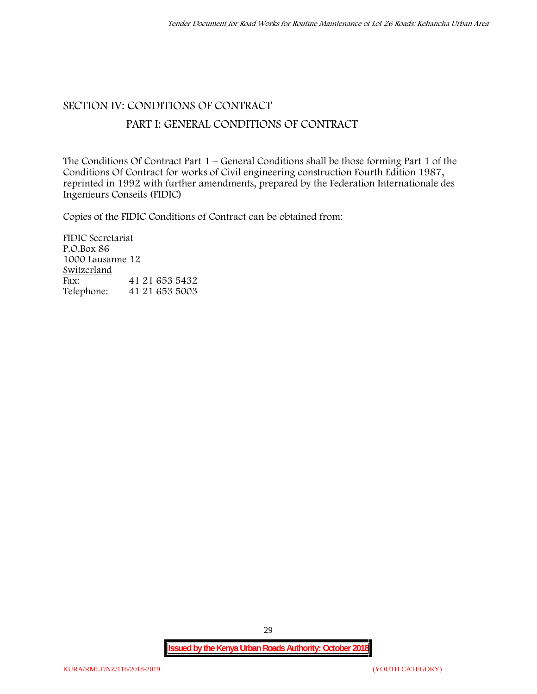## **SECTION IV: CONDITIONS OF CONTRACT**

# **PART I: GENERAL CONDITIONS OF CONTRACT**

The Conditions Of Contract Part 1 – General Conditions shall be those forming Part 1 of the Conditions Of Contract for works of Civil engineering construction Fourth Edition 1987, reprinted in 1992 with further amendments, prepared by the Federation Internationale des Ingenieurs Conseils (FIDIC)

Copies of the FIDIC Conditions of Contract can be obtained from:

FIDIC Secretariat P.O.Box 86 1000 Lausanne 12 **Switzerland** Fax: 41 21 653 5432 Telephone: 41 21 653 5003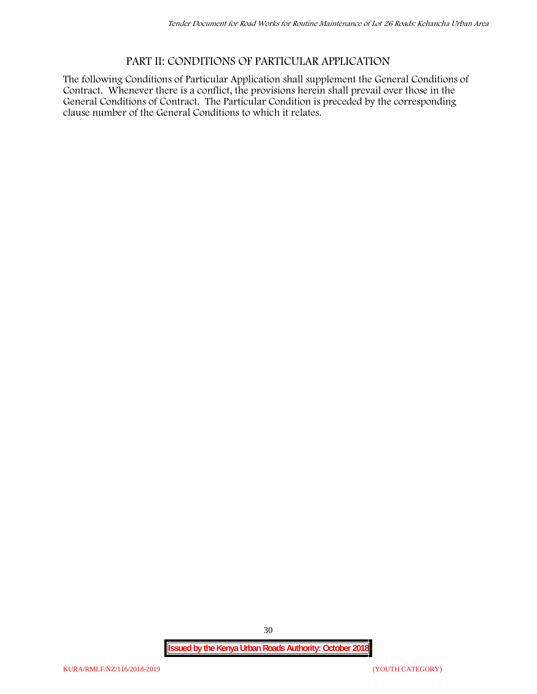## **PART II: CONDITIONS OF PARTICULAR APPLICATION**

The following Conditions of Particular Application shall supplement the General Conditions of Contract. Whenever there is a conflict, the provisions herein shall prevail over those in the General Conditions of Contract. The Particular Condition is preceded by the corresponding clause number of the General Conditions to which it relates.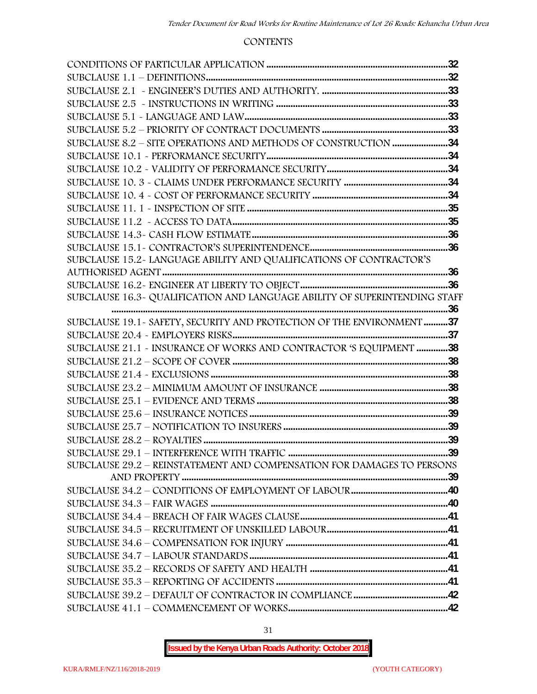#### **CONTENTS**

| SUBCLAUSE 8.2 - SITE OPERATIONS AND METHODS OF CONSTRUCTION 34             |  |
|----------------------------------------------------------------------------|--|
|                                                                            |  |
|                                                                            |  |
|                                                                            |  |
|                                                                            |  |
|                                                                            |  |
|                                                                            |  |
|                                                                            |  |
|                                                                            |  |
| SUBCLAUSE 15.2-LANGUAGE ABILITY AND QUALIFICATIONS OF CONTRACTOR'S         |  |
|                                                                            |  |
|                                                                            |  |
| SUBCLAUSE 16.3- QUALIFICATION AND LANGUAGE ABILITY OF SUPERINTENDING STAFF |  |
|                                                                            |  |
| SUBCLAUSE 19.1 - SAFETY, SECURITY AND PROTECTION OF THE ENVIRONMENT 37     |  |
|                                                                            |  |
| SUBCLAUSE 21.1 - INSURANCE OF WORKS AND CONTRACTOR 'S EQUIPMENT 38         |  |
|                                                                            |  |
|                                                                            |  |
|                                                                            |  |
|                                                                            |  |
|                                                                            |  |
|                                                                            |  |
|                                                                            |  |
|                                                                            |  |
| SUBCLAUSE 29.2 - REINSTATEMENT AND COMPENSATION FOR DAMAGES TO PERSONS     |  |
|                                                                            |  |
|                                                                            |  |
|                                                                            |  |
|                                                                            |  |
|                                                                            |  |
|                                                                            |  |
|                                                                            |  |
|                                                                            |  |
|                                                                            |  |
|                                                                            |  |
|                                                                            |  |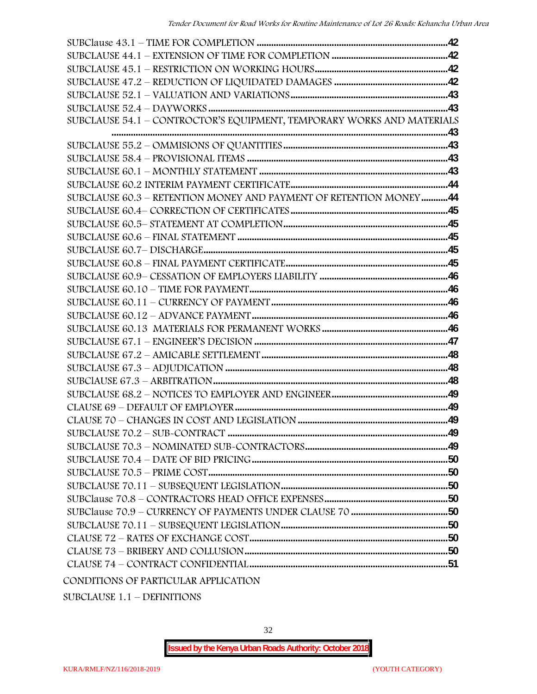| SUBCLAUSE 54.1 - CONTROCTOR'S EQUIPMENT, TEMPORARY WORKS AND MATERIALS |  |
|------------------------------------------------------------------------|--|
|                                                                        |  |
|                                                                        |  |
|                                                                        |  |
|                                                                        |  |
|                                                                        |  |
| SUBCLAUSE 60.3 - RETENTION MONEY AND PAYMENT OF RETENTION MONEY44      |  |
|                                                                        |  |
|                                                                        |  |
|                                                                        |  |
|                                                                        |  |
|                                                                        |  |
|                                                                        |  |
|                                                                        |  |
|                                                                        |  |
|                                                                        |  |
|                                                                        |  |
|                                                                        |  |
|                                                                        |  |
|                                                                        |  |
|                                                                        |  |
|                                                                        |  |
|                                                                        |  |
|                                                                        |  |
|                                                                        |  |
|                                                                        |  |
|                                                                        |  |
|                                                                        |  |
|                                                                        |  |
|                                                                        |  |
|                                                                        |  |
|                                                                        |  |
|                                                                        |  |
|                                                                        |  |
|                                                                        |  |

SUBCLAUSE 1.1 – DEFINITIONS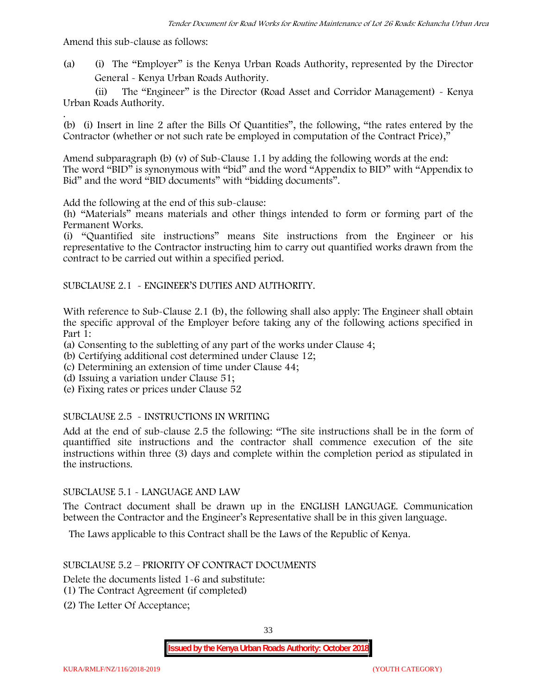Amend this sub-clause as follows:

(a) (i) The "Employer" is the Kenya Urban Roads Authority, represented by the Director General - Kenya Urban Roads Authority.

(ii) The "Engineer" is the Director (Road Asset and Corridor Management) - Kenya Urban Roads Authority.

.(b) (i) Insert in line 2 after the Bills Of Quantities", the following, "the rates entered by the Contractor (whether or not such rate be employed in computation of the Contract Price),"

Amend subparagraph (b) (v) of Sub-Clause 1.1 by adding the following words at the end: The word "BID" is synonymous with "bid" and the word "Appendix to BID" with "Appendix to Bid" and the word "BID documents" with "bidding documents".

Add the following at the end of this sub-clause:

(h) "Materials" means materials and other things intended to form or forming part of the Permanent Works.

(i) "Quantified site instructions" means Site instructions from the Engineer or his representative to the Contractor instructing him to carry out quantified works drawn from the contract to be carried out within a specified period.

SUBCLAUSE 2.1 - ENGINEER'S DUTIES AND AUTHORITY.

With reference to Sub-Clause 2.1 (b), the following shall also apply: The Engineer shall obtain the specific approval of the Employer before taking any of the following actions specified in Part 1:

(a) Consenting to the subletting of any part of the works under Clause 4;

- (b) Certifying additional cost determined under Clause 12;
- (c) Determining an extension of time under Clause 44;
- (d) Issuing a variation under Clause 51;
- (e) Fixing rates or prices under Clause 52

#### SUBCLAUSE 2.5 - INSTRUCTIONS IN WRITING

Add at the end of sub-clause 2.5 the following: "The site instructions shall be in the form of quantiffied site instructions and the contractor shall commence execution of the site instructions within three (3) days and complete within the completion period as stipulated in the instructions.

#### SUBCLAUSE 5.1 - LANGUAGE AND LAW

The Contract document shall be drawn up in the ENGLISH LANGUAGE. Communication between the Contractor and the Engineer's Representative shall be in this given language.

The Laws applicable to this Contract shall be the Laws of the Republic of Kenya.

#### SUBCLAUSE 5.2 – PRIORITY OF CONTRACT DOCUMENTS

Delete the documents listed 1-6 and substitute:

- (1) The Contract Agreement (if completed)
- (2) The Letter Of Acceptance;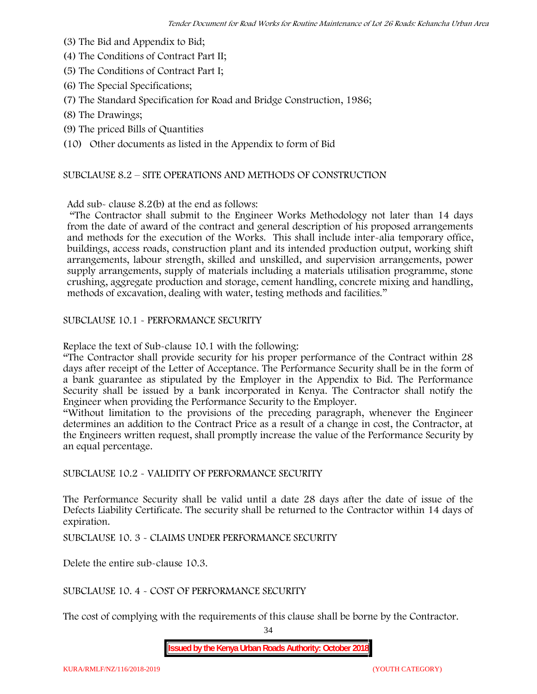- (3) The Bid and Appendix to Bid;
- (4) The Conditions of Contract Part II;
- (5) The Conditions of Contract Part I;
- (6) The Special Specifications;
- (7) The Standard Specification for Road and Bridge Construction, 1986;
- (8) The Drawings;
- (9) The priced Bills of Quantities

(10) Other documents as listed in the Appendix to form of Bid

#### SUBCLAUSE 8.2 – SITE OPERATIONS AND METHODS OF CONSTRUCTION

Add sub- clause 8.2(b) at the end as follows:

"The Contractor shall submit to the Engineer Works Methodology not later than 14 days from the date of award of the contract and general description of his proposed arrangements and methods for the execution of the Works. This shall include inter-alia temporary office, buildings, access roads, construction plant and its intended production output, working shift arrangements, labour strength, skilled and unskilled, and supervision arrangements, power supply arrangements, supply of materials including a materials utilisation programme, stone crushing, aggregate production and storage, cement handling, concrete mixing and handling, methods of excavation, dealing with water, testing methods and facilities."

SUBCLAUSE 10.1 - PERFORMANCE SECURITY

Replace the text of Sub-clause 10.1 with the following:

"The Contractor shall provide security for his proper performance of the Contract within 28 days after receipt of the Letter of Acceptance. The Performance Security shall be in the form of a bank guarantee as stipulated by the Employer in the Appendix to Bid. The Performance Security shall be issued by a bank incorporated in Kenya. The Contractor shall notify the Engineer when providing the Performance Security to the Employer.

"Without limitation to the provisions of the preceding paragraph, whenever the Engineer determines an addition to the Contract Price as a result of a change in cost, the Contractor, at the Engineers written request, shall promptly increase the value of the Performance Security by an equal percentage.

SUBCLAUSE 10.2 - VALIDITY OF PERFORMANCE SECURITY

The Performance Security shall be valid until a date 28 days after the date of issue of the Defects Liability Certificate. The security shall be returned to the Contractor within 14 days of expiration.

SUBCLAUSE 10. 3 - CLAIMS UNDER PERFORMANCE SECURITY

Delete the entire sub-clause 10.3.

SUBCLAUSE 10. 4 - COST OF PERFORMANCE SECURITY

The cost of complying with the requirements of this clause shall be borne by the Contractor.

34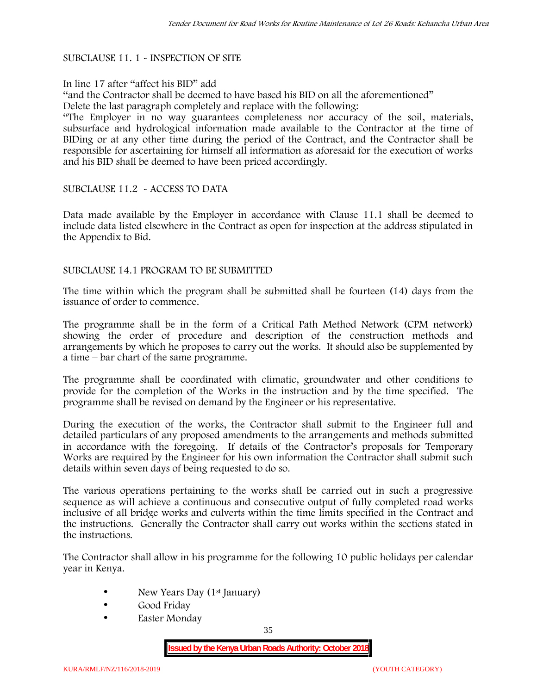#### SUBCLAUSE 11. 1 - INSPECTION OF SITE

#### In line 17 after "affect his BID" add

"and the Contractor shall be deemed to have based his BID on all the aforementioned" Delete the last paragraph completely and replace with the following:

"The Employer in no way guarantees completeness nor accuracy of the soil, materials, subsurface and hydrological information made available to the Contractor at the time of BIDing or at any other time during the period of the Contract, and the Contractor shall be responsible for ascertaining for himself all information as aforesaid for the execution of works and his BID shall be deemed to have been priced accordingly.

#### SUBCLAUSE 11.2 - ACCESS TO DATA

Data made available by the Employer in accordance with Clause 11.1 shall be deemed to include data listed elsewhere in the Contract as open for inspection at the address stipulated in the Appendix to Bid.

#### SUBCLAUSE 14.1 PROGRAM TO BE SUBMITTED

The time within which the program shall be submitted shall be fourteen (14) days from the issuance of order to commence**.**

The programme shall be in the form of a Critical Path Method Network (CPM network) showing the order of procedure and description of the construction methods and arrangements by which he proposes to carry out the works. It should also be supplemented by a time – bar chart of the same programme.

The programme shall be coordinated with climatic, groundwater and other conditions to provide for the completion of the Works in the instruction and by the time specified. The programme shall be revised on demand by the Engineer or his representative.

During the execution of the works, the Contractor shall submit to the Engineer full and detailed particulars of any proposed amendments to the arrangements and methods submitted in accordance with the foregoing. If details of the Contractor's proposals for Temporary Works are required by the Engineer for his own information the Contractor shall submit such details within seven days of being requested to do so.

The various operations pertaining to the works shall be carried out in such a progressive sequence as will achieve a continuous and consecutive output of fully completed road works inclusive of all bridge works and culverts within the time limits specified in the Contract and the instructions. Generally the Contractor shall carry out works within the sections stated in the instructions.

The Contractor shall allow in his programme for the following 10 public holidays per calendar year in Kenya.

- New Years Day (1<sup>st</sup> January)
- Good Friday
- Easter Monday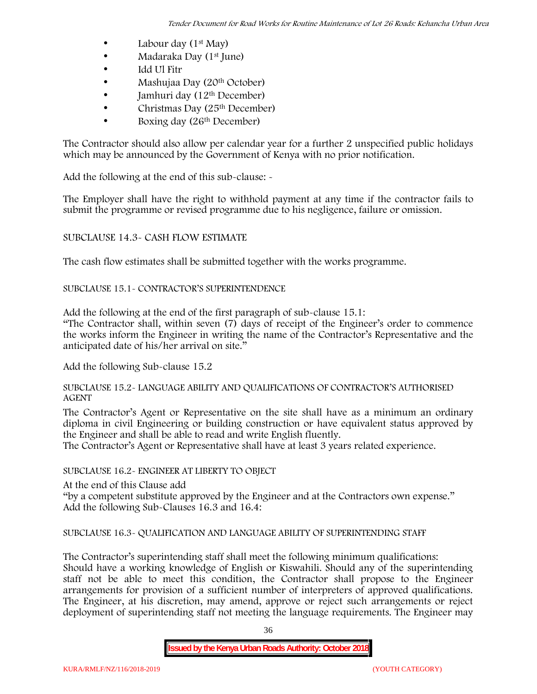- Labour day  $(1<sup>st</sup>$  May)
- Madaraka Day (1<sup>st</sup> June)
- Idd Ul Fitr
- Mashujaa Day (20<sup>th</sup> October)
- $\bullet$  Jamhuri day (12<sup>th</sup> December)
- $\bullet$  Christmas Day (25<sup>th</sup> December)
- Boxing day (26th December)

The Contractor should also allow per calendar year for a further 2 unspecified public holidays which may be announced by the Government of Kenya with no prior notification.

Add the following at the end of this sub-clause: -

The Employer shall have the right to withhold payment at any time if the contractor fails to submit the programme or revised programme due to his negligence, failure or omission.

# SUBCLAUSE 14.3- CASH FLOW ESTIMATE

The cash flow estimates shall be submitted together with the works programme.

# SUBCLAUSE 15.1- CONTRACTOR'S SUPERINTENDENCE

Add the following at the end of the first paragraph of sub-clause 15.1:

"The Contractor shall, within seven (7) days of receipt of the Engineer's order to commence the works inform the Engineer in writing the name of the Contractor's Representative and the anticipated date of his/her arrival on site."

Add the following Sub-clause 15.2

#### SUBCLAUSE 15.2- LANGUAGE ABILITY AND QUALIFICATIONS OF CONTRACTOR'S AUTHORISED AGENT

The Contractor's Agent or Representative on the site shall have as a minimum an ordinary diploma in civil Engineering or building construction or have equivalent status approved by the Engineer and shall be able to read and write English fluently.

The Contractor's Agent or Representative shall have at least 3 years related experience.

## SUBCLAUSE 16.2- ENGINEER AT LIBERTY TO OBJECT

At the end of this Clause add

"by a competent substitute approved by the Engineer and at the Contractors own expense." Add the following Sub-Clauses 16.3 and 16.4:

# SUBCLAUSE 16.3- QUALIFICATION AND LANGUAGE ABILITY OF SUPERINTENDING STAFF

The Contractor's superintending staff shall meet the following minimum qualifications: Should have a working knowledge of English or Kiswahili. Should any of the superintending staff not be able to meet this condition, the Contractor shall propose to the Engineer arrangements for provision of a sufficient number of interpreters of approved qualifications. The Engineer, at his discretion, may amend, approve or reject such arrangements or reject deployment of superintending staff not meeting the language requirements. The Engineer may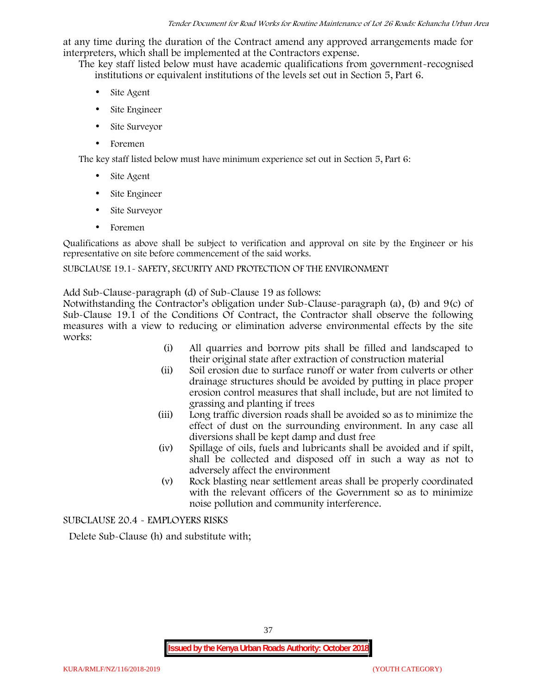at any time during the duration of the Contract amend any approved arrangements made for interpreters, which shall be implemented at the Contractors expense.

The key staff listed below must have academic qualifications from government-recognised institutions or equivalent institutions of the levels set out in Section 5, Part 6.

- Site Agent
- Site Engineer
- Site Surveyor
- Foremen

The key staff listed below must have minimum experience set out in Section 5, Part 6:

- Site Agent
- Site Engineer
- Site Surveyor
- Foremen

Qualifications as above shall be subject to verification and approval on site by the Engineer or his representative on site before commencement of the said works.

## SUBCLAUSE 19.1- SAFETY, SECURITY AND PROTECTION OF THE ENVIRONMENT

Add Sub-Clause-paragraph (d) of Sub-Clause 19 as follows:

Notwithstanding the Contractor's obligation under Sub-Clause-paragraph (a), (b) and 9(c) of Sub-Clause 19.1 of the Conditions Of Contract, the Contractor shall observe the following measures with a view to reducing or elimination adverse environmental effects by the site works:

- (i) All quarries and borrow pits shall be filled and landscaped to their original state after extraction of construction material
- (ii) Soil erosion due to surface runoff or water from culverts or other drainage structures should be avoided by putting in place proper erosion control measures that shall include, but are not limited to grassing and planting if trees
- (iii) Long traffic diversion roads shall be avoided so as to minimize the effect of dust on the surrounding environment. In any case all diversions shall be kept damp and dust free
- (iv) Spillage of oils, fuels and lubricants shall be avoided and if spilt, shall be collected and disposed off in such a way as not to adversely affect the environment
- (v) Rock blasting near settlement areas shall be properly coordinated with the relevant officers of the Government so as to minimize noise pollution and community interference.

SUBCLAUSE 20.4 - EMPLOYERS RISKS

Delete Sub-Clause (h) and substitute with;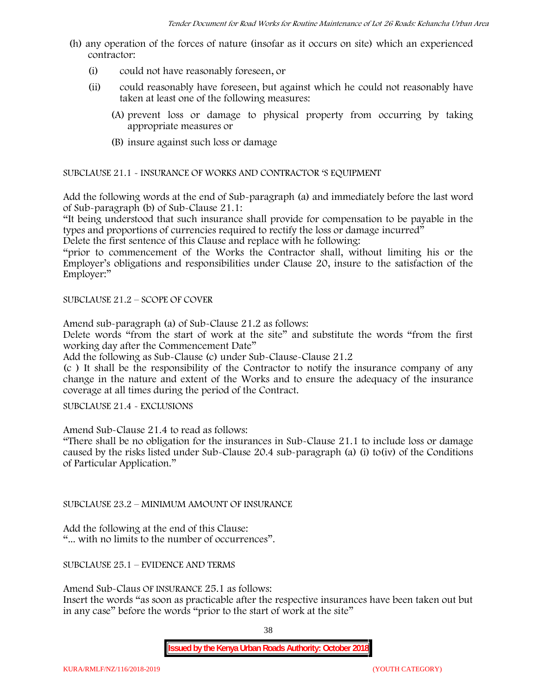- (h) any operation of the forces of nature (insofar as it occurs on site) which an experienced contractor:
	- (i) could not have reasonably foreseen, or
	- (ii) could reasonably have foreseen, but against which he could not reasonably have taken at least one of the following measures:
		- (A) prevent loss or damage to physical property from occurring by taking appropriate measures or
		- (B) insure against such loss or damage

SUBCLAUSE 21.1 - INSURANCE OF WORKS AND CONTRACTOR 'S EQUIPMENT

Add the following words at the end of Sub-paragraph (a) and immediately before the last word of Sub-paragraph (b) of Sub-Clause 21.1:

"It being understood that such insurance shall provide for compensation to be payable in the types and proportions of currencies required to rectify the loss or damage incurred"

Delete the first sentence of this Clause and replace with he following:

"prior to commencement of the Works the Contractor shall, without limiting his or the Employer's obligations and responsibilities under Clause 20, insure to the satisfaction of the Employer:"

SUBCLAUSE 21.2 – SCOPE OF COVER

Amend sub-paragraph (a) of Sub-Clause 21.2 as follows:

Delete words "from the start of work at the site" and substitute the words "from the first working day after the Commencement Date"

Add the following as Sub-Clause (c) under Sub-Clause-Clause 21.2

(c ) It shall be the responsibility of the Contractor to notify the insurance company of any change in the nature and extent of the Works and to ensure the adequacy of the insurance coverage at all times during the period of the Contract.

SUBCLAUSE 21.4 - EXCLUSIONS

Amend Sub-Clause 21.4 to read as follows:

"There shall be no obligation for the insurances in Sub-Clause 21.1 to include loss or damage caused by the risks listed under Sub-Clause 20.4 sub-paragraph (a) (i) to(iv) of the Conditions of Particular Application."

SUBCLAUSE 23.2 – MINIMUM AMOUNT OF INSURANCE

Add the following at the end of this Clause: "... with no limits to the number of occurrences".

SUBCLAUSE 25.1 – EVIDENCE AND TERMS

Amend Sub-Claus OF INSURANCE 25.1 as follows:

Insert the words "as soon as practicable after the respective insurances have been taken out but in any case" before the words "prior to the start of work at the site"

38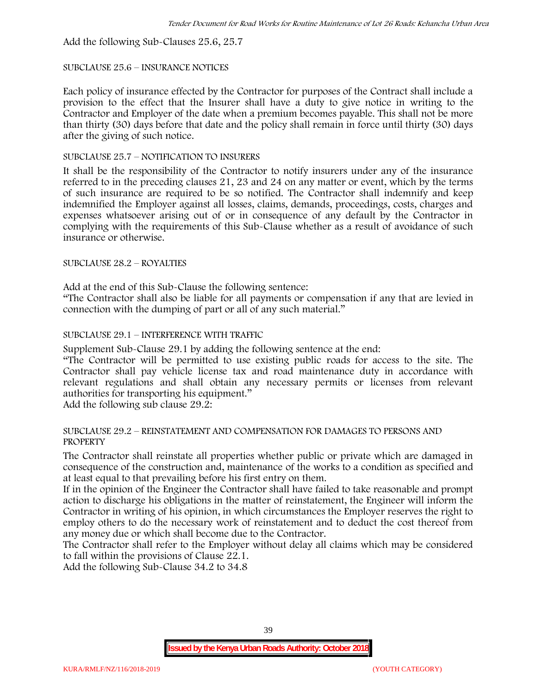Add the following Sub-Clauses 25.6, 25.7

#### SUBCLAUSE 25.6 – INSURANCE NOTICES

Each policy of insurance effected by the Contractor for purposes of the Contract shall include a provision to the effect that the Insurer shall have a duty to give notice in writing to the Contractor and Employer of the date when a premium becomes payable. This shall not be more than thirty (30) days before that date and the policy shall remain in force until thirty (30) days after the giving of such notice.

#### SUBCLAUSE 25.7 – NOTIFICATION TO INSURERS

It shall be the responsibility of the Contractor to notify insurers under any of the insurance referred to in the preceding clauses 21, 23 and 24 on any matter or event, which by the terms of such insurance are required to be so notified. The Contractor shall indemnify and keep indemnified the Employer against all losses, claims, demands, proceedings, costs, charges and expenses whatsoever arising out of or in consequence of any default by the Contractor in complying with the requirements of this Sub-Clause whether as a result of avoidance of such insurance or otherwise.

## SUBCLAUSE 28.2 – ROYALTIES

Add at the end of this Sub-Clause the following sentence:

"The Contractor shall also be liable for all payments or compensation if any that are levied in connection with the dumping of part or all of any such material."

## SUBCLAUSE 29.1 – INTERFERENCE WITH TRAFFIC

Supplement Sub-Clause 29.1 by adding the following sentence at the end:

"The Contractor will be permitted to use existing public roads for access to the site. The Contractor shall pay vehicle license tax and road maintenance duty in accordance with relevant regulations and shall obtain any necessary permits or licenses from relevant authorities for transporting his equipment."

Add the following sub clause 29.2:

#### SUBCLAUSE 29.2 – REINSTATEMENT AND COMPENSATION FOR DAMAGES TO PERSONS AND PROPERTY

The Contractor shall reinstate all properties whether public or private which are damaged in consequence of the construction and, maintenance of the works to a condition as specified and at least equal to that prevailing before his first entry on them.

If in the opinion of the Engineer the Contractor shall have failed to take reasonable and prompt action to discharge his obligations in the matter of reinstatement, the Engineer will inform the Contractor in writing of his opinion, in which circumstances the Employer reserves the right to employ others to do the necessary work of reinstatement and to deduct the cost thereof from any money due or which shall become due to the Contractor.

The Contractor shall refer to the Employer without delay all claims which may be considered to fall within the provisions of Clause 22.1.

Add the following Sub-Clause 34.2 to 34.8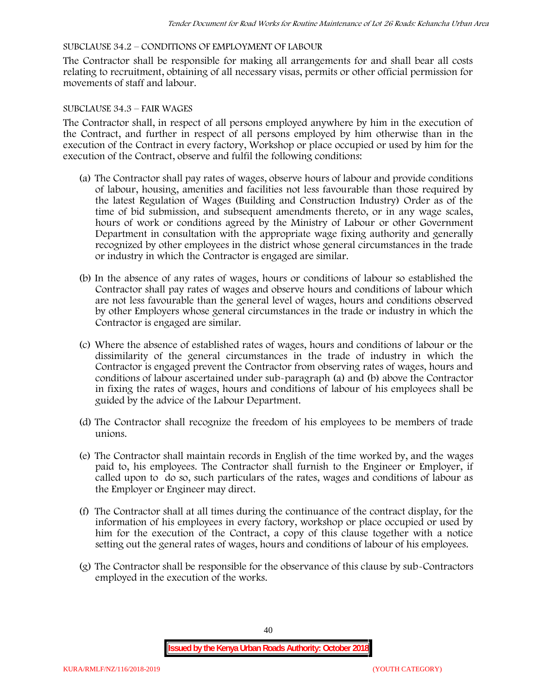## SUBCLAUSE 34.2 – CONDITIONS OF EMPLOYMENT OF LABOUR

The Contractor shall be responsible for making all arrangements for and shall bear all costs relating to recruitment, obtaining of all necessary visas, permits or other official permission for movements of staff and labour.

#### SUBCLAUSE 34.3 – FAIR WAGES

The Contractor shall, in respect of all persons employed anywhere by him in the execution of the Contract, and further in respect of all persons employed by him otherwise than in the execution of the Contract in every factory, Workshop or place occupied or used by him for the execution of the Contract, observe and fulfil the following conditions:

- (a) The Contractor shall pay rates of wages, observe hours of labour and provide conditions of labour, housing, amenities and facilities not less favourable than those required by the latest Regulation of Wages (Building and Construction Industry) Order as of the time of bid submission, and subsequent amendments thereto, or in any wage scales, hours of work or conditions agreed by the Ministry of Labour or other Government Department in consultation with the appropriate wage fixing authority and generally recognized by other employees in the district whose general circumstances in the trade or industry in which the Contractor is engaged are similar.
- (b) In the absence of any rates of wages, hours or conditions of labour so established the Contractor shall pay rates of wages and observe hours and conditions of labour which are not less favourable than the general level of wages, hours and conditions observed by other Employers whose general circumstances in the trade or industry in which the Contractor is engaged are similar.
- (c) Where the absence of established rates of wages, hours and conditions of labour or the dissimilarity of the general circumstances in the trade of industry in which the Contractor is engaged prevent the Contractor from observing rates of wages, hours and conditions of labour ascertained under sub-paragraph (a) and (b) above the Contractor in fixing the rates of wages, hours and conditions of labour of his employees shall be guided by the advice of the Labour Department.
- (d) The Contractor shall recognize the freedom of his employees to be members of trade unions.
- (e) The Contractor shall maintain records in English of the time worked by, and the wages paid to, his employees. The Contractor shall furnish to the Engineer or Employer, if called upon to do so, such particulars of the rates, wages and conditions of labour as the Employer or Engineer may direct.
- (f) The Contractor shall at all times during the continuance of the contract display, for the information of his employees in every factory, workshop or place occupied or used by him for the execution of the Contract, a copy of this clause together with a notice setting out the general rates of wages, hours and conditions of labour of his employees.
- (g) The Contractor shall be responsible for the observance of this clause by sub-Contractors employed in the execution of the works.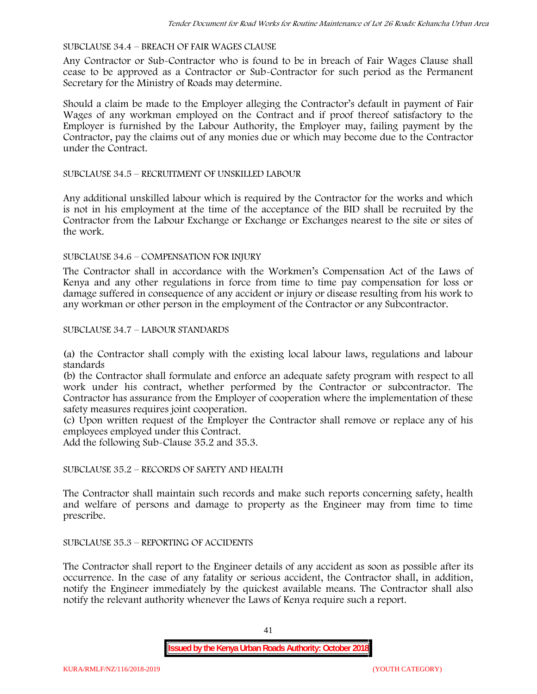#### SUBCLAUSE 34.4 – BREACH OF FAIR WAGES CLAUSE

Any Contractor or Sub-Contractor who is found to be in breach of Fair Wages Clause shall cease to be approved as a Contractor or Sub-Contractor for such period as the Permanent Secretary for the Ministry of Roads may determine.

Should a claim be made to the Employer alleging the Contractor's default in payment of Fair Wages of any workman employed on the Contract and if proof thereof satisfactory to the Employer is furnished by the Labour Authority, the Employer may, failing payment by the Contractor, pay the claims out of any monies due or which may become due to the Contractor under the Contract.

#### SUBCLAUSE 34.5 – RECRUITMENT OF UNSKILLED LABOUR

Any additional unskilled labour which is required by the Contractor for the works and which is not in his employment at the time of the acceptance of the BID shall be recruited by the Contractor from the Labour Exchange or Exchange or Exchanges nearest to the site or sites of the work.

#### SUBCLAUSE 34.6 – COMPENSATION FOR INJURY

The Contractor shall in accordance with the Workmen's Compensation Act of the Laws of Kenya and any other regulations in force from time to time pay compensation for loss or damage suffered in consequence of any accident or injury or disease resulting from his work to any workman or other person in the employment of the Contractor or any Subcontractor.

#### SUBCLAUSE 34.7 – LABOUR STANDARDS

(a) the Contractor shall comply with the existing local labour laws, regulations and labour standards

(b) the Contractor shall formulate and enforce an adequate safety program with respect to all work under his contract, whether performed by the Contractor or subcontractor. The Contractor has assurance from the Employer of cooperation where the implementation of these safety measures requires joint cooperation.

(c) Upon written request of the Employer the Contractor shall remove or replace any of his employees employed under this Contract.

Add the following Sub-Clause 35.2 and 35.3.

# SUBCLAUSE 35.2 – RECORDS OF SAFETY AND HEALTH

The Contractor shall maintain such records and make such reports concerning safety, health and welfare of persons and damage to property as the Engineer may from time to time prescribe.

## SUBCLAUSE 35.3 – REPORTING OF ACCIDENTS

The Contractor shall report to the Engineer details of any accident as soon as possible after its occurrence. In the case of any fatality or serious accident, the Contractor shall, in addition, notify the Engineer immediately by the quickest available means. The Contractor shall also notify the relevant authority whenever the Laws of Kenya require such a report.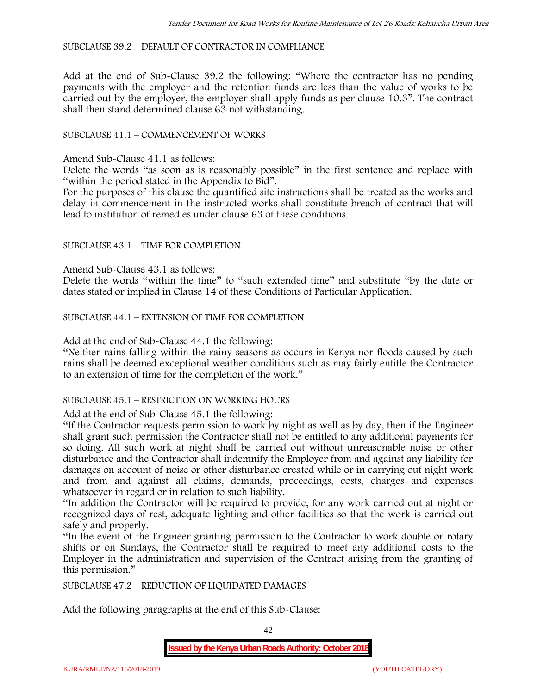SUBCLAUSE 39.2 – DEFAULT OF CONTRACTOR IN COMPLIANCE

Add at the end of Sub-Clause 39.2 the following: "Where the contractor has no pending payments with the employer and the retention funds are less than the value of works to be carried out by the employer, the employer shall apply funds as per clause 10.3". The contract shall then stand determined clause 63 not withstanding.

## SUBCLAUSE 41.1 – COMMENCEMENT OF WORKS

Amend Sub-Clause 41.1 as follows:

Delete the words "as soon as is reasonably possible" in the first sentence and replace with "within the period stated in the Appendix to Bid".

For the purposes of this clause the quantified site instructions shall be treated as the works and delay in commencement in the instructed works shall constitute breach of contract that will lead to institution of remedies under clause 63 of these conditions.

#### SUBCLAUSE 43.1 – TIME FOR COMPLETION

Amend Sub-Clause 43.1 as follows:

Delete the words "within the time" to "such extended time" and substitute "by the date or dates stated or implied in Clause 14 of these Conditions of Particular Application.

SUBCLAUSE 44.1 – EXTENSION OF TIME FOR COMPLETION

Add at the end of Sub-Clause 44.1 the following:

"Neither rains falling within the rainy seasons as occurs in Kenya nor floods caused by such rains shall be deemed exceptional weather conditions such as may fairly entitle the Contractor to an extension of time for the completion of the work."

#### SUBCLAUSE 45.1 – RESTRICTION ON WORKING HOURS

Add at the end of Sub-Clause 45.1 the following:

"If the Contractor requests permission to work by night as well as by day, then if the Engineer shall grant such permission the Contractor shall not be entitled to any additional payments for so doing. All such work at night shall be carried out without unreasonable noise or other disturbance and the Contractor shall indemnify the Employer from and against any liability for damages on account of noise or other disturbance created while or in carrying out night work and from and against all claims, demands, proceedings, costs, charges and expenses whatsoever in regard or in relation to such liability.

"In addition the Contractor will be required to provide, for any work carried out at night or recognized days of rest, adequate lighting and other facilities so that the work is carried out safely and properly.

"In the event of the Engineer granting permission to the Contractor to work double or rotary shifts or on Sundays, the Contractor shall be required to meet any additional costs to the Employer in the administration and supervision of the Contract arising from the granting of this permission."

SUBCLAUSE 47.2 – REDUCTION OF LIQUIDATED DAMAGES

Add the following paragraphs at the end of this Sub-Clause:

42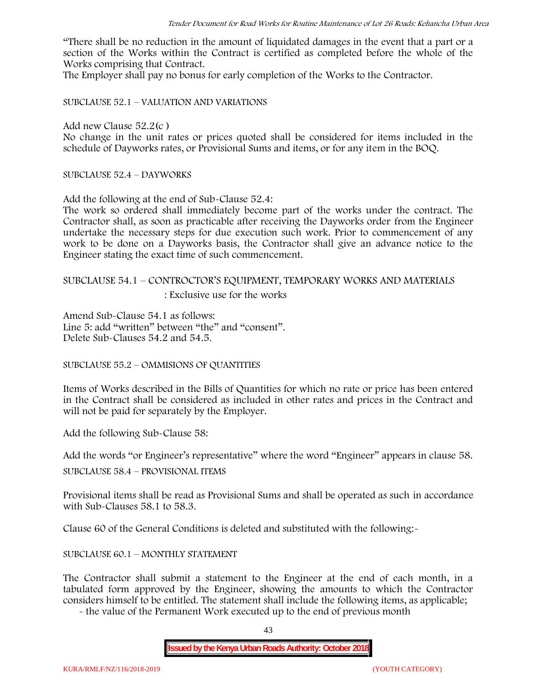"There shall be no reduction in the amount of liquidated damages in the event that a part or a section of the Works within the Contract is certified as completed before the whole of the Works comprising that Contract.

The Employer shall pay no bonus for early completion of the Works to the Contractor.

SUBCLAUSE 52.1 – VALUATION AND VARIATIONS

Add new Clause 52.2(c )

No change in the unit rates or prices quoted shall be considered for items included in the schedule of Dayworks rates, or Provisional Sums and items, or for any item in the BOQ.

SUBCLAUSE 52.4 – DAYWORKS

Add the following at the end of Sub-Clause 52.4:

The work so ordered shall immediately become part of the works under the contract. The Contractor shall, as soon as practicable after receiving the Dayworks order from the Engineer undertake the necessary steps for due execution such work. Prior to commencement of any work to be done on a Dayworks basis, the Contractor shall give an advance notice to the Engineer stating the exact time of such commencement.

# SUBCLAUSE 54.1 – CONTROCTOR'S EQUIPMENT, TEMPORARY WORKS AND MATERIALS

: Exclusive use for the works

Amend Sub-Clause 54.1 as follows: Line 5: add "written" between "the" and "consent". Delete Sub-Clauses 54.2 and 54.5.

SUBCLAUSE 55.2 – OMMISIONS OF QUANTITIES

Items of Works described in the Bills of Quantities for which no rate or price has been entered in the Contract shall be considered as included in other rates and prices in the Contract and will not be paid for separately by the Employer.

Add the following Sub-Clause 58:

Add the words "or Engineer's representative" where the word "Engineer" appears in clause 58.

SUBCLAUSE 58.4 – PROVISIONAL ITEMS

Provisional items shall be read as Provisional Sums and shall be operated as such in accordance with Sub-Clauses 58.1 to 58.3.

Clause 60 of the General Conditions is deleted and substituted with the following:-

## SUBCLAUSE 60.1 – MONTHLY STATEMENT

The Contractor shall submit a statement to the Engineer at the end of each month, in a tabulated form approved by the Engineer, showing the amounts to which the Contractor considers himself to be entitled. The statement shall include the following items, as applicable;

- the value of the Permanent Work executed up to the end of previous month

43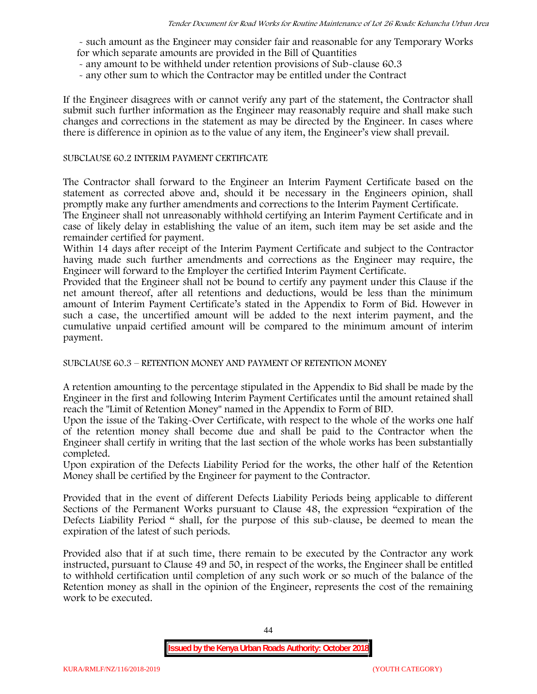- such amount as the Engineer may consider fair and reasonable for any Temporary Works for which separate amounts are provided in the Bill of Quantities

- any amount to be withheld under retention provisions of Sub-clause 60.3
- any other sum to which the Contractor may be entitled under the Contract

If the Engineer disagrees with or cannot verify any part of the statement, the Contractor shall submit such further information as the Engineer may reasonably require and shall make such changes and corrections in the statement as may be directed by the Engineer. In cases where there is difference in opinion as to the value of any item, the Engineer's view shall prevail.

#### SUBCLAUSE 60.2 INTERIM PAYMENT CERTIFICATE

The Contractor shall forward to the Engineer an Interim Payment Certificate based on the statement as corrected above and, should it be necessary in the Engineers opinion, shall promptly make any further amendments and corrections to the Interim Payment Certificate.

The Engineer shall not unreasonably withhold certifying an Interim Payment Certificate and in case of likely delay in establishing the value of an item, such item may be set aside and the remainder certified for payment.

Within 14 days after receipt of the Interim Payment Certificate and subject to the Contractor having made such further amendments and corrections as the Engineer may require, the Engineer will forward to the Employer the certified Interim Payment Certificate.

Provided that the Engineer shall not be bound to certify any payment under this Clause if the net amount thereof, after all retentions and deductions, would be less than the minimum amount of Interim Payment Certificate's stated in the Appendix to Form of Bid. However in such a case, the uncertified amount will be added to the next interim payment, and the cumulative unpaid certified amount will be compared to the minimum amount of interim payment.

SUBCLAUSE 60.3 – RETENTION MONEY AND PAYMENT OF RETENTION MONEY

A retention amounting to the percentage stipulated in the Appendix to Bid shall be made by the Engineer in the first and following Interim Payment Certificates until the amount retained shall reach the "Limit of Retention Money" named in the Appendix to Form of BID.

Upon the issue of the Taking-Over Certificate, with respect to the whole of the works one half of the retention money shall become due and shall be paid to the Contractor when the Engineer shall certify in writing that the last section of the whole works has been substantially completed.

Upon expiration of the Defects Liability Period for the works, the other half of the Retention Money shall be certified by the Engineer for payment to the Contractor.

Provided that in the event of different Defects Liability Periods being applicable to different Sections of the Permanent Works pursuant to Clause 48, the expression "expiration of the Defects Liability Period " shall, for the purpose of this sub-clause, be deemed to mean the expiration of the latest of such periods.

Provided also that if at such time, there remain to be executed by the Contractor any work instructed, pursuant to Clause 49 and 50, in respect of the works, the Engineer shall be entitled to withhold certification until completion of any such work or so much of the balance of the Retention money as shall in the opinion of the Engineer, represents the cost of the remaining work to be executed.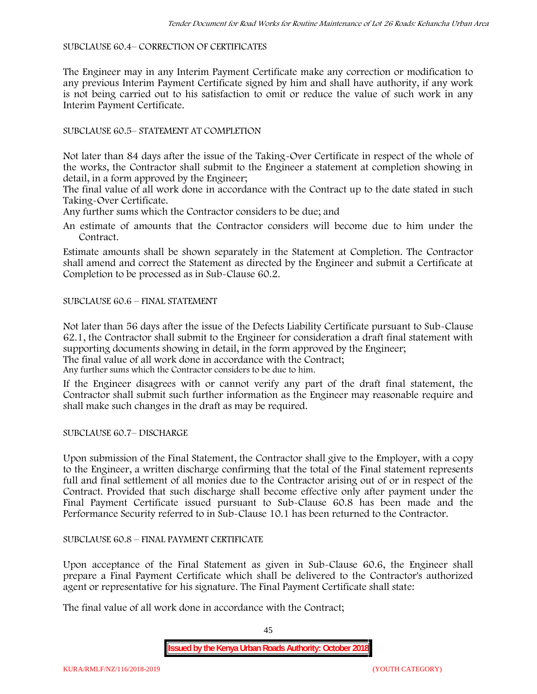#### SUBCLAUSE 60.4– CORRECTION OF CERTIFICATES

The Engineer may in any Interim Payment Certificate make any correction or modification to any previous Interim Payment Certificate signed by him and shall have authority, if any work is not being carried out to his satisfaction to omit or reduce the value of such work in any Interim Payment Certificate.

# SUBCLAUSE 60.5– STATEMENT AT COMPLETION

Not later than 84 days after the issue of the Taking-Over Certificate in respect of the whole of the works, the Contractor shall submit to the Engineer a statement at completion showing in detail, in a form approved by the Engineer;

The final value of all work done in accordance with the Contract up to the date stated in such Taking-Over Certificate.

Any further sums which the Contractor considers to be due; and

An estimate of amounts that the Contractor considers will become due to him under the Contract.

Estimate amounts shall be shown separately in the Statement at Completion. The Contractor shall amend and correct the Statement as directed by the Engineer and submit a Certificate at Completion to be processed as in Sub-Clause 60.2.

## SUBCLAUSE 60.6 – FINAL STATEMENT

Not later than 56 days after the issue of the Defects Liability Certificate pursuant to Sub-Clause 62.1, the Contractor shall submit to the Engineer for consideration a draft final statement with supporting documents showing in detail, in the form approved by the Engineer; The final value of all work done in accordance with the Contract;

Any further sums which the Contractor considers to be due to him.

If the Engineer disagrees with or cannot verify any part of the draft final statement, the Contractor shall submit such further information as the Engineer may reasonable require and shall make such changes in the draft as may be required.

SUBCLAUSE 60.7– DISCHARGE

Upon submission of the Final Statement, the Contractor shall give to the Employer, with a copy to the Engineer, a written discharge confirming that the total of the Final statement represents full and final settlement of all monies due to the Contractor arising out of or in respect of the Contract. Provided that such discharge shall become effective only after payment under the Final Payment Certificate issued pursuant to Sub-Clause 60.8 has been made and the Performance Security referred to in Sub-Clause 10.1 has been returned to the Contractor.

## SUBCLAUSE 60.8 – FINAL PAYMENT CERTIFICATE

Upon acceptance of the Final Statement as given in Sub-Clause 60.6, the Engineer shall prepare a Final Payment Certificate which shall be delivered to the Contractor's authorized agent or representative for his signature. The Final Payment Certificate shall state:

The final value of all work done in accordance with the Contract;

45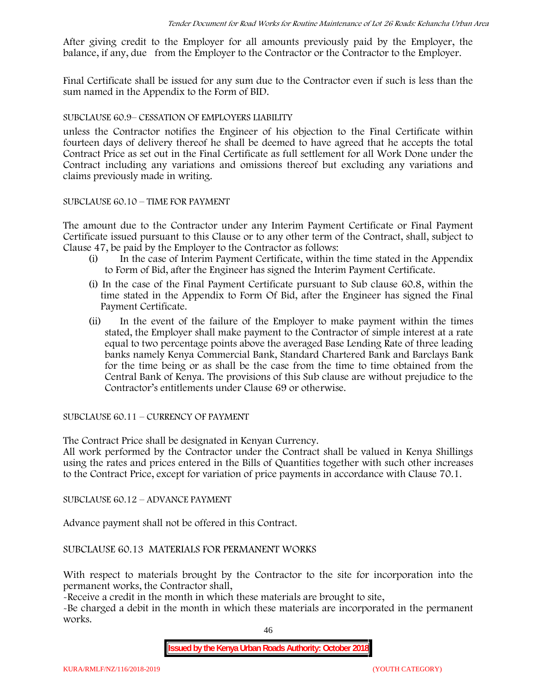After giving credit to the Employer for all amounts previously paid by the Employer, the balance, if any, due from the Employer to the Contractor or the Contractor to the Employer.

Final Certificate shall be issued for any sum due to the Contractor even if such is less than the sum named in the Appendix to the Form of BID.

## SUBCLAUSE 60.9– CESSATION OF EMPLOYERS LIABILITY

unless the Contractor notifies the Engineer of his objection to the Final Certificate within fourteen days of delivery thereof he shall be deemed to have agreed that he accepts the total Contract Price as set out in the Final Certificate as full settlement for all Work Done under the Contract including any variations and omissions thereof but excluding any variations and claims previously made in writing.

## SUBCLAUSE 60.10 – TIME FOR PAYMENT

The amount due to the Contractor under any Interim Payment Certificate or Final Payment Certificate issued pursuant to this Clause or to any other term of the Contract, shall, subject to Clause 47, be paid by the Employer to the Contractor as follows:

- (i) In the case of Interim Payment Certificate, within the time stated in the Appendix to Form of Bid, after the Engineer has signed the Interim Payment Certificate.
- (i) In the case of the Final Payment Certificate pursuant to Sub clause 60.8, within the time stated in the Appendix to Form Of Bid, after the Engineer has signed the Final Payment Certificate.
- (ii) In the event of the failure of the Employer to make payment within the times stated, the Employer shall make payment to the Contractor of simple interest at a rate equal to two percentage points above the averaged Base Lending Rate of three leading banks namely Kenya Commercial Bank, Standard Chartered Bank and Barclays Bank for the time being or as shall be the case from the time to time obtained from the Central Bank of Kenya. The provisions of this Sub clause are without prejudice to the Contractor's entitlements under Clause 69 or otherwise.

SUBCLAUSE 60.11 – CURRENCY OF PAYMENT

The Contract Price shall be designated in Kenyan Currency.

All work performed by the Contractor under the Contract shall be valued in Kenya Shillings using the rates and prices entered in the Bills of Quantities together with such other increases to the Contract Price, except for variation of price payments in accordance with Clause 70.1.

SUBCLAUSE 60.12 – ADVANCE PAYMENT

Advance payment shall not be offered in this Contract.

SUBCLAUSE 60.13 MATERIALS FOR PERMANENT WORKS

With respect to materials brought by the Contractor to the site for incorporation into the permanent works, the Contractor shall,

-Receive a credit in the month in which these materials are brought to site,

-Be charged a debit in the month in which these materials are incorporated in the permanent works.

46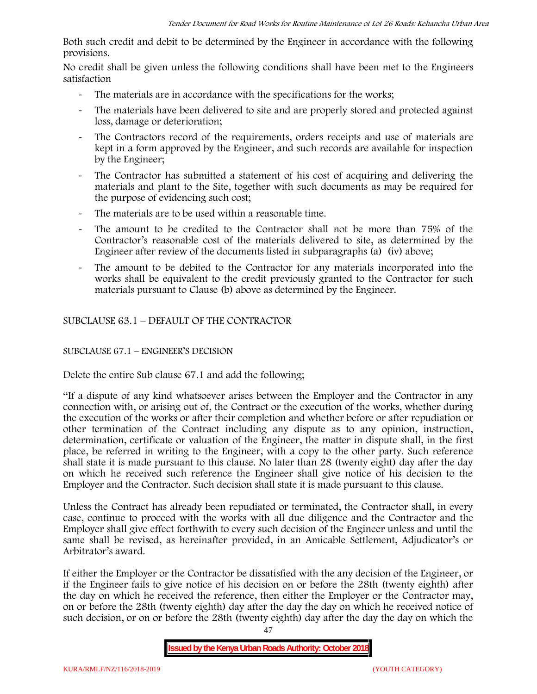Both such credit and debit to be determined by the Engineer in accordance with the following provisions.

No credit shall be given unless the following conditions shall have been met to the Engineers satisfaction

- The materials are in accordance with the specifications for the works;
- The materials have been delivered to site and are properly stored and protected against loss, damage or deterioration;
- The Contractors record of the requirements, orders receipts and use of materials are kept in a form approved by the Engineer, and such records are available for inspection by the Engineer;
- The Contractor has submitted a statement of his cost of acquiring and delivering the materials and plant to the Site, together with such documents as may be required for the purpose of evidencing such cost;
- The materials are to be used within a reasonable time.
- The amount to be credited to the Contractor shall not be more than 75% of the Contractor's reasonable cost of the materials delivered to site, as determined by the Engineer after review of the documents listed in subparagraphs (a) (iv) above;
- The amount to be debited to the Contractor for any materials incorporated into the works shall be equivalent to the credit previously granted to the Contractor for such materials pursuant to Clause (b) above as determined by the Engineer.

SUBCLAUSE 63.1 – DEFAULT OF THE CONTRACTOR

## SUBCLAUSE 67.1 – ENGINEER'S DECISION

Delete the entire Sub clause 67.1 and add the following;

"If a dispute of any kind whatsoever arises between the Employer and the Contractor in any connection with, or arising out of, the Contract or the execution of the works, whether during the execution of the works or after their completion and whether before or after repudiation or other termination of the Contract including any dispute as to any opinion, instruction, determination, certificate or valuation of the Engineer, the matter in dispute shall, in the first place, be referred in writing to the Engineer, with a copy to the other party. Such reference shall state it is made pursuant to this clause. No later than 28 (twenty eight) day after the day on which he received such reference the Engineer shall give notice of his decision to the Employer and the Contractor. Such decision shall state it is made pursuant to this clause.

Unless the Contract has already been repudiated or terminated, the Contractor shall, in every case, continue to proceed with the works with all due diligence and the Contractor and the Employer shall give effect forthwith to every such decision of the Engineer unless and until the same shall be revised, as hereinafter provided, in an Amicable Settlement, Adjudicator's or Arbitrator's award.

If either the Employer or the Contractor be dissatisfied with the any decision of the Engineer, or if the Engineer fails to give notice of his decision on or before the 28th (twenty eighth) after the day on which he received the reference, then either the Employer or the Contractor may, on or before the 28th (twenty eighth) day after the day the day on which he received notice of such decision, or on or before the 28th (twenty eighth) day after the day the day on which the

**Issued by the Kenya Urban Roads Authority: October 2018**

47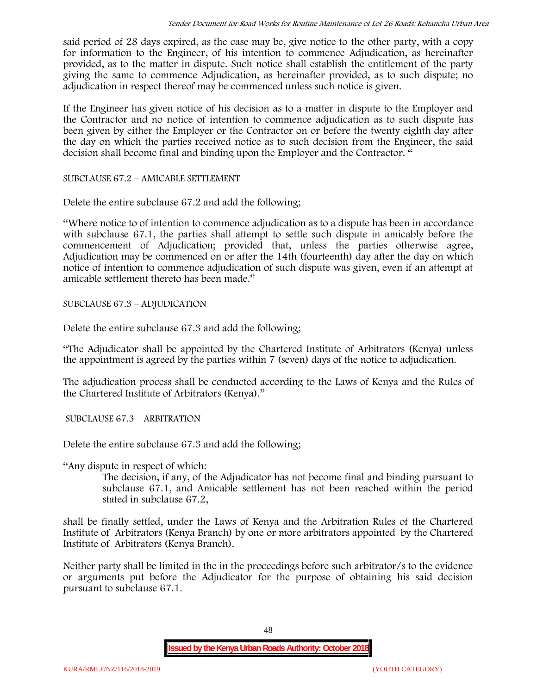said period of 28 days expired, as the case may be, give notice to the other party, with a copy for information to the Engineer, of his intention to commence Adjudication, as hereinafter provided, as to the matter in dispute. Such notice shall establish the entitlement of the party giving the same to commence Adjudication, as hereinafter provided, as to such dispute; no adjudication in respect thereof may be commenced unless such notice is given.

If the Engineer has given notice of his decision as to a matter in dispute to the Employer and the Contractor and no notice of intention to commence adjudication as to such dispute has been given by either the Employer or the Contractor on or before the twenty eighth day after the day on which the parties received notice as to such decision from the Engineer, the said decision shall become final and binding upon the Employer and the Contractor. "

SUBCLAUSE 67.2 – AMICABLE SETTLEMENT

Delete the entire subclause 67.2 and add the following;

"Where notice to of intention to commence adjudication as to a dispute has been in accordance with subclause 67.1, the parties shall attempt to settle such dispute in amicably before the commencement of Adjudication; provided that, unless the parties otherwise agree, Adjudication may be commenced on or after the 14th (fourteenth) day after the day on which notice of intention to commence adjudication of such dispute was given, even if an attempt at amicable settlement thereto has been made."

SUBCLAUSE 67.3 – ADJUDICATION

Delete the entire subclause 67.3 and add the following;

"The Adjudicator shall be appointed by the Chartered Institute of Arbitrators (Kenya) unless the appointment is agreed by the parties within 7 (seven) days of the notice to adjudication.

The adjudication process shall be conducted according to the Laws of Kenya and the Rules of the Chartered Institute of Arbitrators (Kenya)."

SUBCLAUSE 67.3 – ARBITRATION

Delete the entire subclause 67.3 and add the following;

"Any dispute in respect of which:

The decision, if any, of the Adjudicator has not become final and binding pursuant to subclause 67.1, and Amicable settlement has not been reached within the period stated in subclause 67.2,

shall be finally settled, under the Laws of Kenya and the Arbitration Rules of the Chartered Institute of Arbitrators (Kenya Branch) by one or more arbitrators appointed by the Chartered Institute of Arbitrators (Kenya Branch).

Neither party shall be limited in the in the proceedings before such arbitrator/s to the evidence or arguments put before the Adjudicator for the purpose of obtaining his said decision pursuant to subclause 67.1.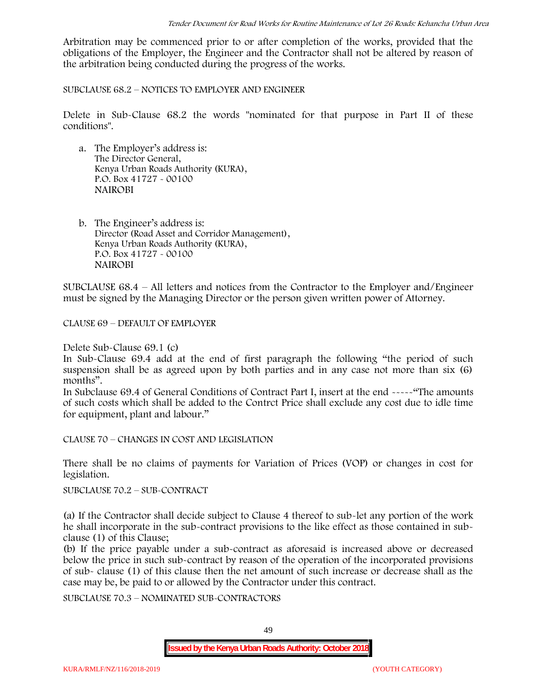Arbitration may be commenced prior to or after completion of the works, provided that the obligations of the Employer, the Engineer and the Contractor shall not be altered by reason of the arbitration being conducted during the progress of the works.

SUBCLAUSE 68.2 – NOTICES TO EMPLOYER AND ENGINEER

Delete in Sub-Clause 68.2 the words "nominated for that purpose in Part II of these conditions".

- a. The Employer's address is: The Director General, Kenya Urban Roads Authority (KURA), P.O. Box 41727 - 00100 **NAIROBI**
- b. The Engineer's address is: Director (Road Asset and Corridor Management), Kenya Urban Roads Authority (KURA), P.O. Box 41727 - 00100 **NAIROBI**

SUBCLAUSE 68.4 – All letters and notices from the Contractor to the Employer and/Engineer must be signed by the Managing Director or the person given written power of Attorney.

CLAUSE 69 – DEFAULT OF EMPLOYER

Delete Sub-Clause 69.1 (c)

In Sub-Clause 69.4 add at the end of first paragraph the following "the period of such suspension shall be as agreed upon by both parties and in any case not more than six (6) months".

In Subclause 69.4 of General Conditions of Contract Part I, insert at the end -----"The amounts of such costs which shall be added to the Contrct Price shall exclude any cost due to idle time for equipment, plant and labour."

CLAUSE 70 – CHANGES IN COST AND LEGISLATION

There shall be no claims of payments for Variation of Prices (VOP) or changes in cost for legislation.

SUBCLAUSE 70.2 – SUB-CONTRACT

(a) If the Contractor shall decide subject to Clause 4 thereof to sub-let any portion of the work he shall incorporate in the sub-contract provisions to the like effect as those contained in sub clause (1) of this Clause;

(b) If the price payable under a sub-contract as aforesaid is increased above or decreased below the price in such sub-contract by reason of the operation of the incorporated provisions of sub- clause (1) of this clause then the net amount of such increase or decrease shall as the case may be, be paid to or allowed by the Contractor under this contract.

SUBCLAUSE 70.3 – NOMINATED SUB-CONTRACTORS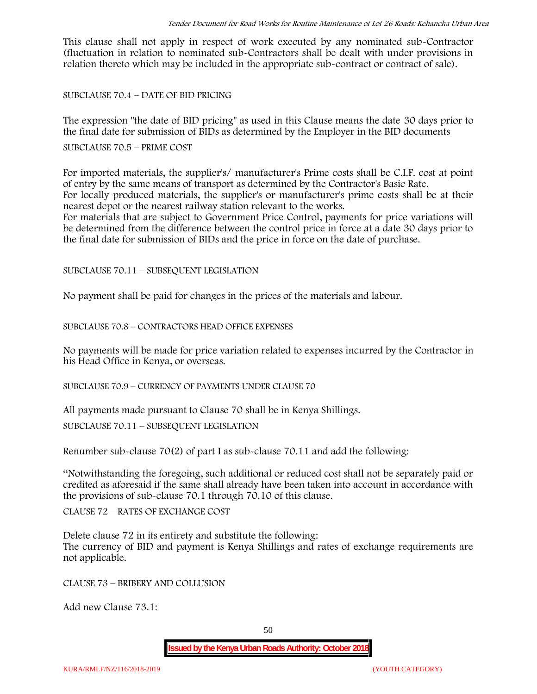This clause shall not apply in respect of work executed by any nominated sub-Contractor (fluctuation in relation to nominated sub-Contractors shall be dealt with under provisions in relation thereto which may be included in the appropriate sub-contract or contract of sale).

SUBCLAUSE 70.4 – DATE OF BID PRICING

The expression "the date of BID pricing" as used in this Clause means the date 30 days prior to the final date for submission of BIDs as determined by the Employer in the BID documents

SUBCLAUSE 70.5 – PRIME COST

For imported materials, the supplier's/ manufacturer's Prime costs shall be C.I.F. cost at point of entry by the same means of transport as determined by the Contractor's Basic Rate. For locally produced materials, the supplier's or manufacturer's prime costs shall be at their nearest depot or the nearest railway station relevant to the works.

For materials that are subject to Government Price Control, payments for price variations will be determined from the difference between the control price in force at a date 30 days prior to the final date for submission of BIDs and the price in force on the date of purchase.

SUBCLAUSE 70.11 – SUBSEQUENT LEGISLATION

No payment shall be paid for changes in the prices of the materials and labour.

SUBCLAUSE 70.8 – CONTRACTORS HEAD OFFICE EXPENSES

No payments will be made for price variation related to expenses incurred by the Contractor in his Head Office in Kenya, or overseas.

SUBCLAUSE 70.9 – CURRENCY OF PAYMENTS UNDER CLAUSE 70

All payments made pursuant to Clause 70 shall be in Kenya Shillings.

SUBCLAUSE 70.11 – SUBSEQUENT LEGISLATION

Renumber sub-clause 70(2) of part I as sub-clause 70.11 and add the following:

"Notwithstanding the foregoing, such additional or reduced cost shall not be separately paid or credited as aforesaid if the same shall already have been taken into account in accordance with the provisions of sub-clause 70.1 through 70.10 of this clause.

CLAUSE 72 – RATES OF EXCHANGE COST

Delete clause 72 in its entirety and substitute the following: The currency of BID and payment is Kenya Shillings and rates of exchange requirements are not applicable.

CLAUSE 73 – BRIBERY AND COLLUSION

Add new Clause 73.1: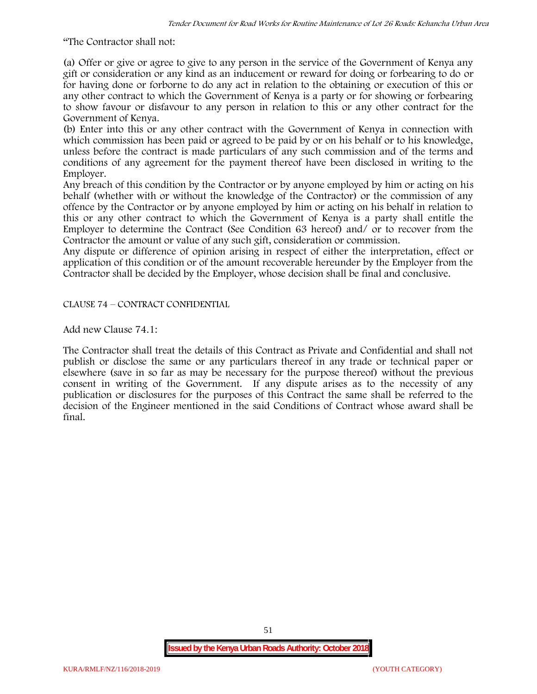"The Contractor shall not:

(a) Offer or give or agree to give to any person in the service of the Government of Kenya any gift or consideration or any kind as an inducement or reward for doing or forbearing to do or for having done or forborne to do any act in relation to the obtaining or execution of this or any other contract to which the Government of Kenya is a party or for showing or forbearing to show favour or disfavour to any person in relation to this or any other contract for the Government of Kenya.

(b) Enter into this or any other contract with the Government of Kenya in connection with which commission has been paid or agreed to be paid by or on his behalf or to his knowledge, unless before the contract is made particulars of any such commission and of the terms and conditions of any agreement for the payment thereof have been disclosed in writing to the Employer.

Any breach of this condition by the Contractor or by anyone employed by him or acting on his behalf (whether with or without the knowledge of the Contractor) or the commission of any offence by the Contractor or by anyone employed by him or acting on his behalf in relation to this or any other contract to which the Government of Kenya is a party shall entitle the Employer to determine the Contract (See Condition 63 hereof) and/ or to recover from the Contractor the amount or value of any such gift, consideration or commission.

Any dispute or difference of opinion arising in respect of either the interpretation, effect or application of this condition or of the amount recoverable hereunder by the Employer from the Contractor shall be decided by the Employer, whose decision shall be final and conclusive.

CLAUSE 74 – CONTRACT CONFIDENTIAL

Add new Clause 74.1:

The Contractor shall treat the details of this Contract as Private and Confidential and shall not publish or disclose the same or any particulars thereof in any trade or technical paper or elsewhere (save in so far as may be necessary for the purpose thereof) without the previous consent in writing of the Government. If any dispute arises as to the necessity of any publication or disclosures for the purposes of this Contract the same shall be referred to the decision of the Engineer mentioned in the said Conditions of Contract whose award shall be final.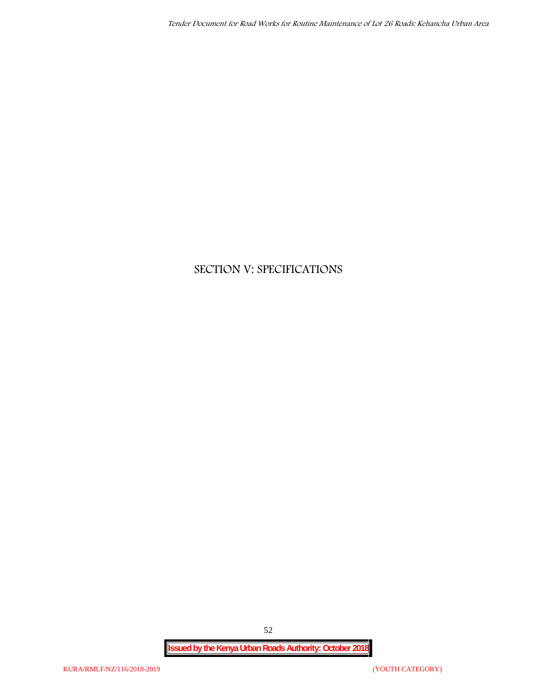# **SECTION V: SPECIFICATIONS**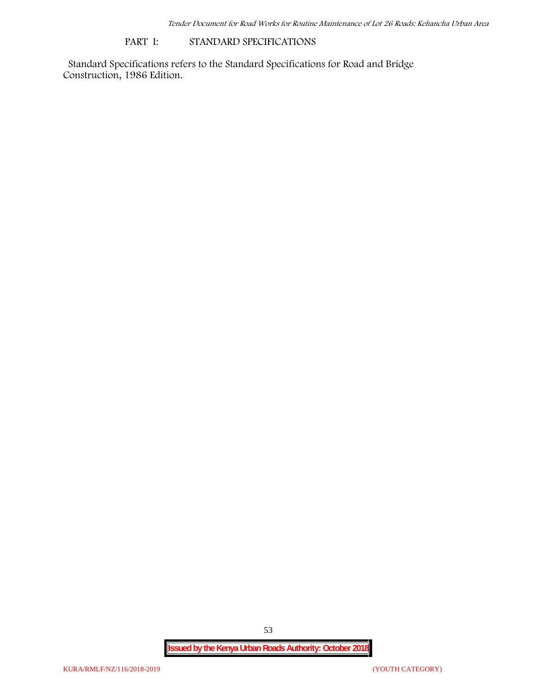# **PART I: STANDARD SPECIFICATIONS**

Standard Specifications refers to the Standard Specifications for Road and Bridge Construction, 1986 Edition.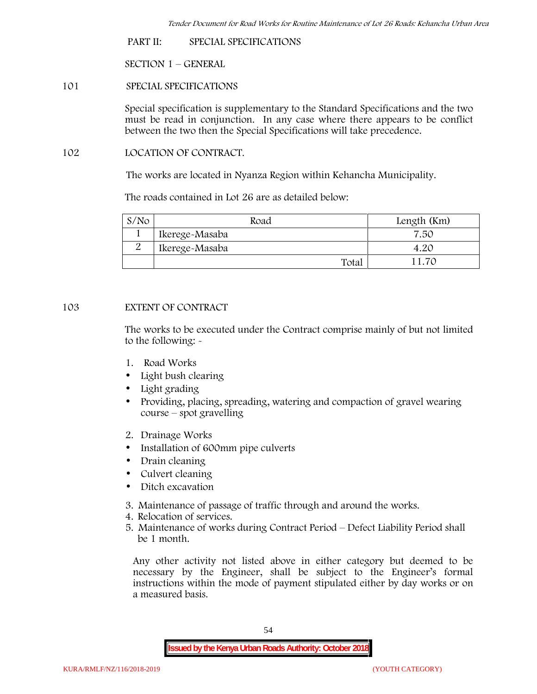**PART II: SPECIAL SPECIFICATIONS**

**SECTION 1 – GENERAL**

#### **101 SPECIAL SPECIFICATIONS**

Special specification is supplementary to the Standard Specifications and the two must be read in conjunction. In any case where there appears to be conflict between the two then the Special Specifications will take precedence.

#### **102 LOCATION OF CONTRACT.**

The works are located in Nyanza Region within Kehancha Municipality.

The roads contained in Lot 26 are as detailed below:

| S/N <sub>O</sub> | Road           | Length (Km) |
|------------------|----------------|-------------|
|                  | Ikerege-Masaba | 7.50        |
|                  | Ikerege-Masaba |             |
|                  | Total          | 11.70       |

## **103 EXTENT OF CONTRACT**

The works to be executed under the Contract comprise mainly of but not limited to the following: -

- **1. Road Works**
- Light bush clearing
- Light grading
- Providing, placing, spreading, watering and compaction of gravel wearing course – spot gravelling
- **2. Drainage Works**
- Installation of 600mm pipe culverts
- Drain cleaning
- Culvert cleaning
- Ditch excavation
- **3. Maintenance of passage of traffic through and around the works.**
- **4. Relocation of services.**
- **5. Maintenance of works during Contract Period – Defect Liability Period shall be 1 month.**

Any other activity not listed above in either category but deemed to be necessary by the Engineer, shall be subject to the Engineer's formal instructions within the mode of payment stipulated either by day works or on a measured basis.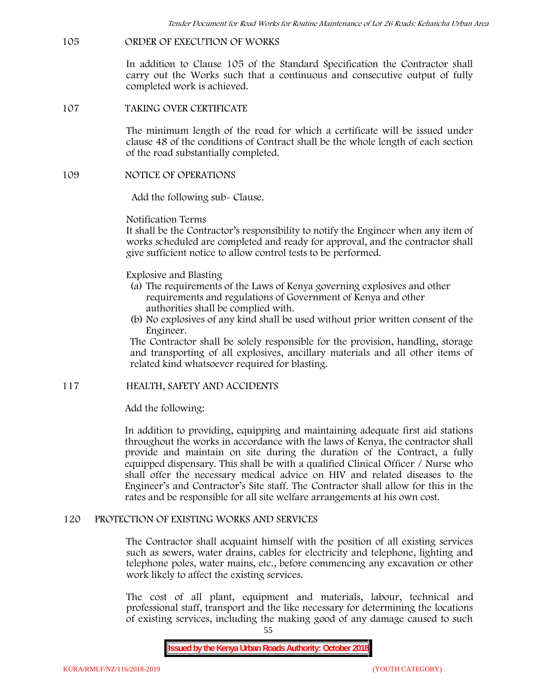#### **105 ORDER OF EXECUTION OF WORKS**

In addition to Clause 105 of the Standard Specification the Contractor shall carry out the Works such that a continuous and consecutive output of fully completed work is achieved.

**107 TAKING OVER CERTIFICATE**

The minimum length of the road for which a certificate will be issued under clause 48 of the conditions of Contract shall be the whole length of each section of the road substantially completed.

#### **109 NOTICE OF OPERATIONS**

Add the following sub- Clause.

#### Notification Terms

It shall be the Contractor's responsibility to notify the Engineer when any item of works scheduled are completed and ready for approval, and the contractor shall give sufficient notice to allow control tests to be performed.

Explosive and Blasting

- (a) The requirements of the Laws of Kenya governing explosives and other requirements and regulations of Government of Kenya and other authorities shall be complied with.
- (b) No explosives of any kind shall be used without prior written consent of the Engineer.

The Contractor shall be solely responsible for the provision, handling, storage and transporting of all explosives, ancillary materials and all other items of related kind whatsoever required for blasting.

## **117 HEALTH, SAFETY AND ACCIDENTS**

## Add the following:

In addition to providing, equipping and maintaining adequate first aid stations throughout the works in accordance with the laws of Kenya, the contractor shall provide and maintain on site during the duration of the Contract, a fully equipped dispensary. This shall be with a qualified Clinical Officer / Nurse who shall offer the necessary medical advice on HIV and related diseases to the Engineer's and Contractor's Site staff. The Contractor shall allow for this in the rates and be responsible for all site welfare arrangements at his own cost.

#### **120 PROTECTION OF EXISTING WORKS AND SERVICES**

The Contractor shall acquaint himself with the position of all existing services such as sewers, water drains, cables for electricity and telephone, lighting and telephone poles, water mains, etc., before commencing any excavation or other work likely to affect the existing services.

The cost of all plant, equipment and materials, labour, technical and professional staff, transport and the like necessary for determining the locations of existing services, including the making good of any damage caused to such

55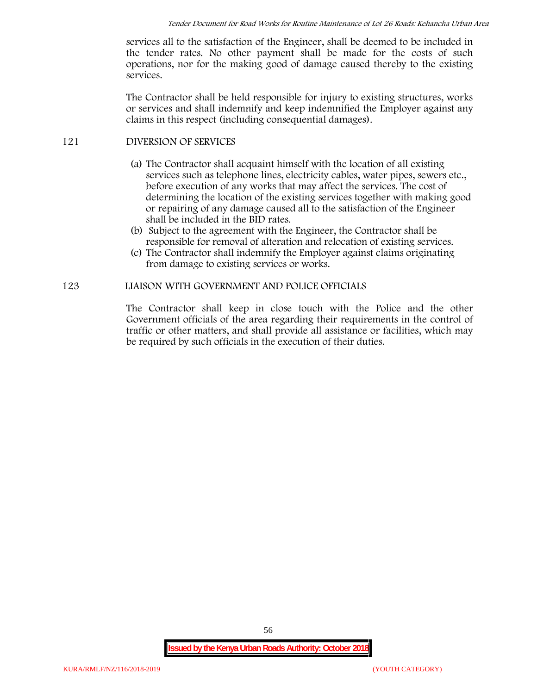services all to the satisfaction of the Engineer, shall be deemed to be included in the tender rates. No other payment shall be made for the costs of such operations, nor for the making good of damage caused thereby to the existing services.

The Contractor shall be held responsible for injury to existing structures, works or services and shall indemnify and keep indemnified the Employer against any claims in this respect (including consequential damages).

## **121 DIVERSION OF SERVICES**

- (a) The Contractor shall acquaint himself with the location of all existing services such as telephone lines, electricity cables, water pipes, sewers etc., before execution of any works that may affect the services. The cost of determining the location of the existing services together with making good or repairing of any damage caused all to the satisfaction of the Engineer shall be included in the BID rates.
- (b) Subject to the agreement with the Engineer, the Contractor shall be responsible for removal of alteration and relocation of existing services.
- (c) The Contractor shall indemnify the Employer against claims originating from damage to existing services or works.

# **123 LIAISON WITH GOVERNMENT AND POLICE OFFICIALS**

The Contractor shall keep in close touch with the Police and the other Government officials of the area regarding their requirements in the control of traffic or other matters, and shall provide all assistance or facilities, which may be required by such officials in the execution of their duties.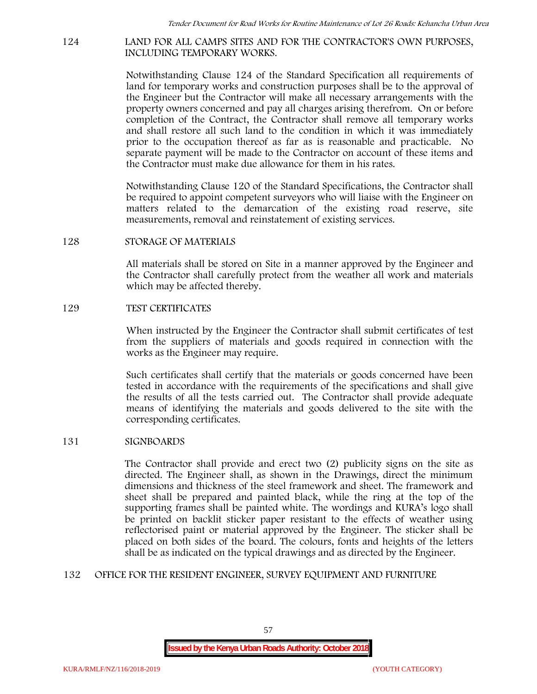#### **124 LAND FOR ALL CAMPS SITES AND FOR THE CONTRACTOR'S OWN PURPOSES, INCLUDING TEMPORARY WORKS.**

Notwithstanding Clause 124 of the Standard Specification all requirements of land for temporary works and construction purposes shall be to the approval of the Engineer but the Contractor will make all necessary arrangements with the property owners concerned and pay all charges arising therefrom. On or before completion of the Contract, the Contractor shall remove all temporary works and shall restore all such land to the condition in which it was immediately prior to the occupation thereof as far as is reasonable and practicable. No separate payment will be made to the Contractor on account of these items and the Contractor must make due allowance for them in his rates.

Notwithstanding Clause 120 of the Standard Specifications, the Contractor shall be required to appoint competent surveyors who will liaise with the Engineer on matters related to the demarcation of the existing road reserve, site measurements, removal and reinstatement of existing services.

#### **128 STORAGE OF MATERIALS**

All materials shall be stored on Site in a manner approved by the Engineer and the Contractor shall carefully protect from the weather all work and materials which may be affected thereby.

#### **129 TEST CERTIFICATES**

When instructed by the Engineer the Contractor shall submit certificates of test from the suppliers of materials and goods required in connection with the works as the Engineer may require.

Such certificates shall certify that the materials or goods concerned have been tested in accordance with the requirements of the specifications and shall give the results of all the tests carried out. The Contractor shall provide adequate means of identifying the materials and goods delivered to the site with the corresponding certificates.

## **131 SIGNBOARDS**

The Contractor shall provide and erect two (2) publicity signs on the site as directed. The Engineer shall, as shown in the Drawings, direct the minimum dimensions and thickness of the steel framework and sheet. The framework and sheet shall be prepared and painted black, while the ring at the top of the supporting frames shall be painted white. The wordings and KURA's logo shall be printed on backlit sticker paper resistant to the effects of weather using reflectorised paint or material approved by the Engineer. The sticker shall be placed on both sides of the board. The colours, fonts and heights of the letters shall be as indicated on the typical drawings and as directed by the Engineer.

## **132 OFFICE FOR THE RESIDENT ENGINEER, SURVEY EQUIPMENT AND FURNITURE**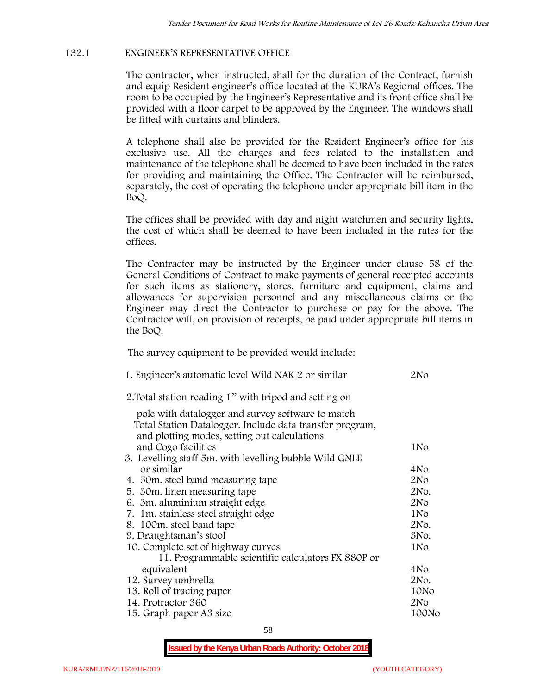# **132.1 ENGINEER'S REPRESENTATIVE OFFICE**

The contractor, when instructed, shall for the duration of the Contract, furnish and equip Resident engineer's office located at the KURA's Regional offices. The room to be occupied by the Engineer's Representative and its front office shall be provided with a floor carpet to be approved by the Engineer. The windows shall be fitted with curtains and blinders.

A telephone shall also be provided for the Resident Engineer's office for his exclusive use. All the charges and fees related to the installation and maintenance of the telephone shall be deemed to have been included in the rates for providing and maintaining the Office. The Contractor will be reimbursed, separately, the cost of operating the telephone under appropriate bill item in the BoQ.

The offices shall be provided with day and night watchmen and security lights, the cost of which shall be deemed to have been included in the rates for the offices.

The Contractor may be instructed by the Engineer under clause 58 of the General Conditions of Contract to make payments of general receipted accounts for such items as stationery, stores, furniture and equipment, claims and allowances for supervision personnel and any miscellaneous claims or the Engineer may direct the Contractor to purchase or pay for the above. The Contractor will, on provision of receipts, be paid under appropriate bill items in the BoQ.

**The survey equipment to be provided would include:**

| 1. Engineer's automatic level Wild NAK 2 or similar                                                      | 2N <sub>O</sub> |
|----------------------------------------------------------------------------------------------------------|-----------------|
| 2. Total station reading 1" with tripod and setting on                                                   |                 |
| pole with datalogger and survey software to match                                                        |                 |
| Total Station Datalogger. Include data transfer program,<br>and plotting modes, setting out calculations |                 |
| and Cogo facilities                                                                                      | 1No             |
| 3. Levelling staff 5m. with levelling bubble Wild GNLE                                                   |                 |
| or similar                                                                                               | 4No             |
| 4. 50m. steel band measuring tape                                                                        | 2N <sub>O</sub> |
| 5. 30 m. linen measuring tape                                                                            | 2No.            |
| 6. 3m. aluminium straight edge                                                                           | 2N <sub>O</sub> |
| 7. 1m. stainless steel straight edge                                                                     | 1No             |
| 8. 100m. steel band tape                                                                                 | 2No.            |
| 9. Draughtsman's stool                                                                                   | 3No.            |
| 10. Complete set of highway curves                                                                       | 1No             |
| 11. Programmable scientific calculators FX 880P or                                                       |                 |
| equivalent                                                                                               | 4No             |
| 12. Survey umbrella                                                                                      | 2No.            |
| 13. Roll of tracing paper                                                                                | 10No            |
| 14. Protractor 360                                                                                       | 2No             |
| 15. Graph paper A3 size                                                                                  | 100No           |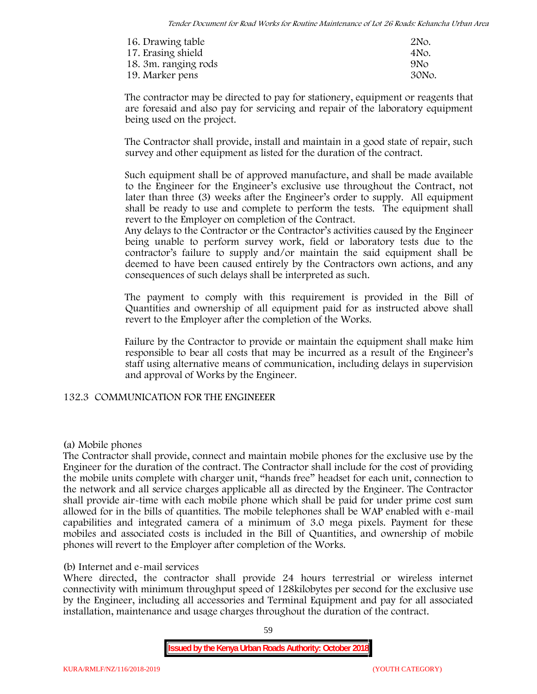| 16. Drawing table    | 2No.            |
|----------------------|-----------------|
| 17. Erasing shield   | 4No.            |
| 18. 3m. ranging rods | 9N <sub>O</sub> |
| 19. Marker pens      | 30No.           |

The contractor may be directed to pay for stationery, equipment or reagents that are foresaid and also pay for servicing and repair of the laboratory equipment being used on the project.

The Contractor shall provide, install and maintain in a good state of repair, such survey and other equipment as listed for the duration of the contract.

Such equipment shall be of approved manufacture, and shall be made available to the Engineer for the Engineer's exclusive use throughout the Contract, not later than three (3) weeks after the Engineer's order to supply. All equipment shall be ready to use and complete to perform the tests. The equipment shall revert to the Employer on completion of the Contract.

Any delays to the Contractor or the Contractor's activities caused by the Engineer being unable to perform survey work, field or laboratory tests due to the contractor's failure to supply and/or maintain the said equipment shall be deemed to have been caused entirely by the Contractors own actions, and any consequences of such delays shall be interpreted as such.

The payment to comply with this requirement is provided in the Bill of Quantities and ownership of all equipment paid for as instructed above shall revert to the Employer after the completion of the Works.

Failure by the Contractor to provide or maintain the equipment shall make him responsible to bear all costs that may be incurred as a result of the Engineer's staff using alternative means of communication, including delays in supervision and approval of Works by the Engineer.

# **132.3 COMMUNICATION FOR THE ENGINEEER**

## **(a) Mobile phones**

The Contractor shall provide, connect and maintain mobile phones for the exclusive use by the Engineer for the duration of the contract. The Contractor shall include for the cost of providing the mobile units complete with charger unit, "hands free" headset for each unit, connection to the network and all service charges applicable all as directed by the Engineer. The Contractor shall provide air-time with each mobile phone which shall be paid for under prime cost sum allowed for in the bills of quantities. The mobile telephones shall be WAP enabled with e-mail capabilities and integrated camera of a minimum of 3.0 mega pixels. Payment for these mobiles and associated costs is included in the Bill of Quantities, and ownership of mobile phones will revert to the Employer after completion of the Works.

## **(b) Internet and e-mail services**

Where directed, the contractor shall provide 24 hours terrestrial or wireless internet connectivity with minimum throughput speed of 128kilobytes per second for the exclusive use by the Engineer, including all accessories and Terminal Equipment and pay for all associated installation, maintenance and usage charges throughout the duration of the contract.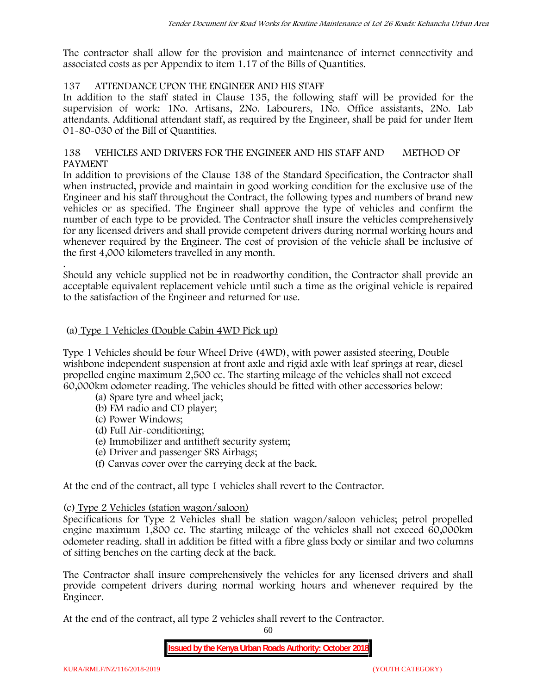The contractor shall allow for the provision and maintenance of internet connectivity and associated costs as per Appendix to item 1.17 of the Bills of Quantities.

# **137 ATTENDANCE UPON THE ENGINEER AND HIS STAFF**

In addition to the staff stated in Clause 135, the following staff will be provided for the supervision of work: 1No. Artisans, 2No. Labourers, 1No. Office assistants, 2No. Lab attendants. Additional attendant staff, as required by the Engineer, shall be paid for under Item 01-80-030 of the Bill of Quantities.

## **138 VEHICLES AND DRIVERS FOR THE ENGINEER AND HIS STAFF AND METHOD OF PAYMENT**

In addition to provisions of the Clause 138 of the Standard Specification, the Contractor shall when instructed, provide and maintain in good working condition for the exclusive use of the Engineer and his staff throughout the Contract, the following types and numbers of brand new vehicles or as specified. The Engineer shall approve the type of vehicles and confirm the number of each type to be provided. The Contractor shall insure the vehicles comprehensively for any licensed drivers and shall provide competent drivers during normal working hours and whenever required by the Engineer. The cost of provision of the vehicle shall be inclusive of the first 4,000 kilometers travelled in any month.

.Should any vehicle supplied not be in roadworthy condition, the Contractor shall provide an acceptable equivalent replacement vehicle until such a time as the original vehicle is repaired to the satisfaction of the Engineer and returned for use.

# **(a) Type 1 Vehicles (Double Cabin 4WD Pick up)**

Type 1 Vehicles should be four Wheel Drive (4WD), with power assisted steering, Double wishbone independent suspension at front axle and rigid axle with leaf springs at rear, diesel propelled engine maximum 2,500 cc. The starting mileage of the vehicles shall not exceed 60,000km odometer reading. The vehicles should be fitted with other accessories below:

- (a) Spare tyre and wheel jack;
- (b) FM radio and CD player;
- (c) Power Windows;
- (d) Full Air-conditioning;
- (e) Immobilizer and antitheft security system;
- (e) Driver and passenger SRS Airbags;
- (f) Canvas cover over the carrying deck at the back.

At the end of the contract, all type 1 vehicles shall revert to the Contractor.

## **(c) Type 2 Vehicles (station wagon/saloon)**

Specifications for Type 2 Vehicles shall be station wagon/saloon vehicles; petrol propelled engine maximum 1,800 cc. The starting mileage of the vehicles shall not exceed 60,000km odometer reading. shall in addition be fitted with a fibre glass body or similar and two columns of sitting benches on the carting deck at the back.

The Contractor shall insure comprehensively the vehicles for any licensed drivers and shall provide competent drivers during normal working hours and whenever required by the Engineer.

At the end of the contract, all type 2 vehicles shall revert to the Contractor.

60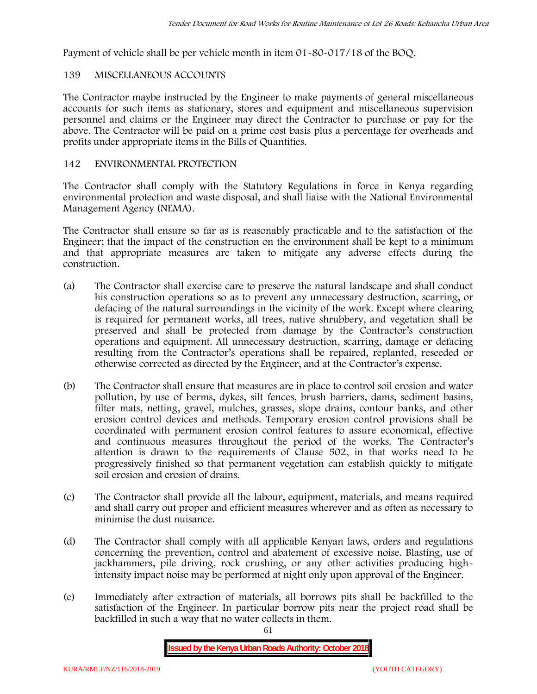Payment of vehicle shall be per vehicle month in item 01-80-017/18 of the BOQ.

# **139 MISCELLANEOUS ACCOUNTS**

The Contractor maybe instructed by the Engineer to make payments of general miscellaneous accounts for such items as stationary, stores and equipment and miscellaneous supervision personnel and claims or the Engineer may direct the Contractor to purchase or pay for the above. The Contractor will be paid on a prime cost basis plus a percentage for overheads and profits under appropriate items in the Bills of Quantities.

# **142 ENVIRONMENTAL PROTECTION**

The Contractor shall comply with the Statutory Regulations in force in Kenya regarding environmental protection and waste disposal, and shall liaise with the National Environmental Management Agency (NEMA).

The Contractor shall ensure so far as is reasonably practicable and to the satisfaction of the Engineer; that the impact of the construction on the environment shall be kept to a minimum and that appropriate measures are taken to mitigate any adverse effects during the construction.

- (a) The Contractor shall exercise care to preserve the natural landscape and shall conduct his construction operations so as to prevent any unnecessary destruction, scarring, or defacing of the natural surroundings in the vicinity of the work. Except where clearing is required for permanent works, all trees, native shrubbery, and vegetation shall be preserved and shall be protected from damage by the Contractor's construction operations and equipment. All unnecessary destruction, scarring, damage or defacing resulting from the Contractor's operations shall be repaired, replanted, reseeded or otherwise corrected as directed by the Engineer, and at the Contractor's expense.
- (b) The Contractor shall ensure that measures are in place to control soil erosion and water pollution, by use of berms, dykes, silt fences, brush barriers, dams, sediment basins, filter mats, netting, gravel, mulches, grasses, slope drains, contour banks, and other erosion control devices and methods. Temporary erosion control provisions shall be coordinated with permanent erosion control features to assure economical, effective and continuous measures throughout the period of the works. The Contractor's attention is drawn to the requirements of Clause 502, in that works need to be progressively finished so that permanent vegetation can establish quickly to mitigate soil erosion and erosion of drains.
- (c) The Contractor shall provide all the labour, equipment, materials, and means required and shall carry out proper and efficient measures wherever and as often as necessary to minimise the dust nuisance.
- (d) The Contractor shall comply with all applicable Kenyan laws, orders and regulations concerning the prevention, control and abatement of excessive noise. Blasting, use of jackhammers, pile driving, rock crushing, or any other activities producing highintensity impact noise may be performed at night only upon approval of the Engineer.
- (e) Immediately after extraction of materials, all borrows pits shall be backfilled to the satisfaction of the Engineer. In particular borrow pits near the project road shall be backfilled in such a way that no water collects in them.

61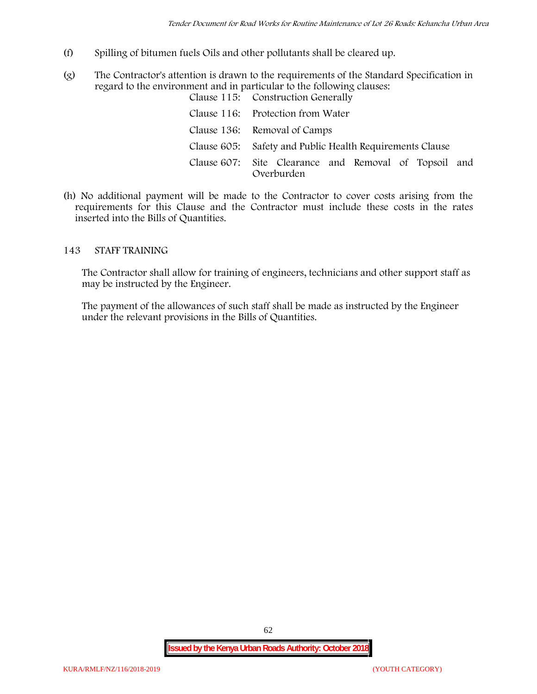- (f) Spilling of bitumen fuels Oils and other pollutants shall be cleared up.
- (g) The Contractor's attention is drawn to the requirements of the Standard Specification in regard to the environment and in particular to the following clauses: Clause 115: Construction Generally

| Clause 110. Construction denerally                                  |  |  |
|---------------------------------------------------------------------|--|--|
| Clause 116: Protection from Water                                   |  |  |
| Clause 136: Removal of Camps                                        |  |  |
| Clause 605: Safety and Public Health Requirements Clause            |  |  |
| Clause 607: Site Clearance and Removal of Topsoil and<br>Overburden |  |  |

(h) No additional payment will be made to the Contractor to cover costs arising from the requirements for this Clause and the Contractor must include these costs in the rates inserted into the Bills of Quantities.

#### **143 STAFF TRAINING**

The Contractor shall allow for training of engineers, technicians and other support staff as may be instructed by the Engineer.

The payment of the allowances of such staff shall be made as instructed by the Engineer under the relevant provisions in the Bills of Quantities.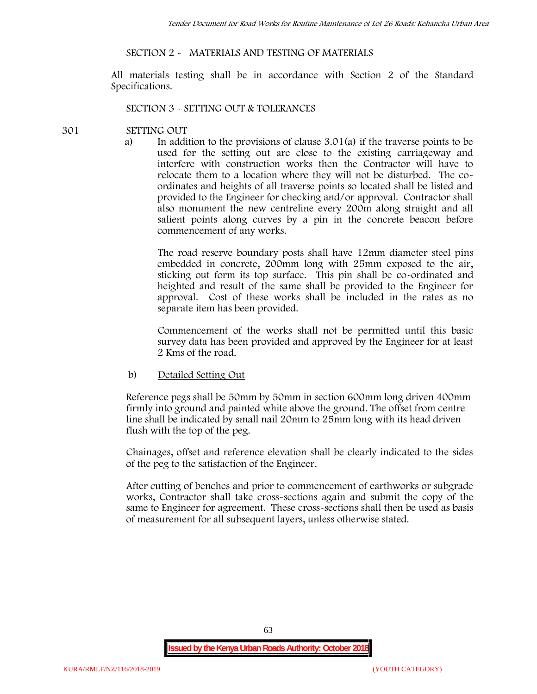## **SECTION 2 - MATERIALS AND TESTING OF MATERIALS**

All materials testing shall be in accordance with Section 2 of the Standard Specifications.

#### **SECTION 3 - SETTING OUT & TOLERANCES**

#### **301 SETTING OUT**

a) In addition to the provisions of clause 3.01(a) if the traverse points to be used for the setting out are close to the existing carriageway and interfere with construction works then the Contractor will have to relocate them to a location where they will not be disturbed. The co ordinates and heights of all traverse points so located shall be listed and provided to the Engineer for checking and/or approval. Contractor shall also monument the new centreline every 200m along straight and all salient points along curves by a pin in the concrete beacon before commencement of any works.

The road reserve boundary posts shall have 12mm diameter steel pins embedded in concrete, 200mm long with 25mm exposed to the air, sticking out form its top surface. This pin shall be co-ordinated and heighted and result of the same shall be provided to the Engineer for approval. Cost of these works shall be included in the rates as no separate item has been provided.

Commencement of the works shall not be permitted until this basic survey data has been provided and approved by the Engineer for at least 2 Kms of the road.

b) Detailed Setting Out

Reference pegs shall be 50mm by 50mm in section 600mm long driven 400mm firmly into ground and painted white above the ground. The offset from centre line shall be indicated by small nail 20mm to 25mm long with its head driven flush with the top of the peg.

Chainages, offset and reference elevation shall be clearly indicated to the sides of the peg to the satisfaction of the Engineer.

After cutting of benches and prior to commencement of earthworks or subgrade works, Contractor shall take cross-sections again and submit the copy of the same to Engineer for agreement. These cross-sections shall then be used as basis of measurement for all subsequent layers, unless otherwise stated.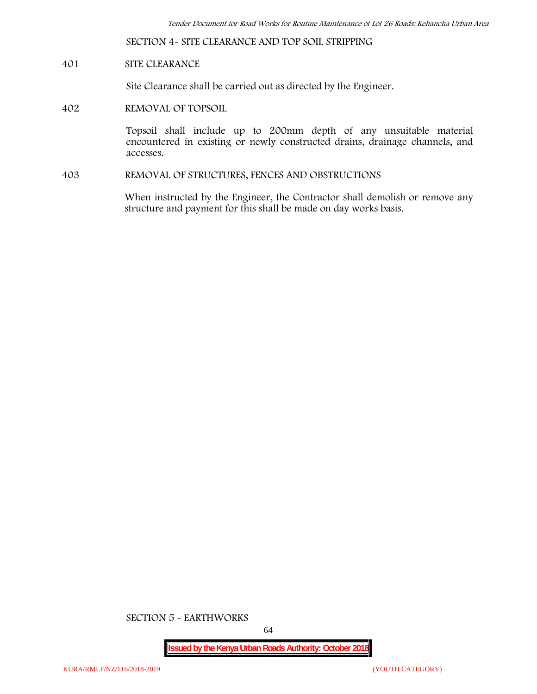**SECTION 4- SITE CLEARANCE AND TOP SOIL STRIPPING**

# **401 SITE CLEARANCE**

Site Clearance shall be carried out as directed by the Engineer.

**402 REMOVAL OF TOPSOIL**

Topsoil shall include up to 200mm depth of any unsuitable material encountered in existing or newly constructed drains, drainage channels, and accesses.

**403 REMOVAL OF STRUCTURES, FENCES AND OBSTRUCTIONS**

When instructed by the Engineer, the Contractor shall demolish or remove any structure and payment for this shall be made on day works basis.

**SECTION 5 - EARTHWORKS**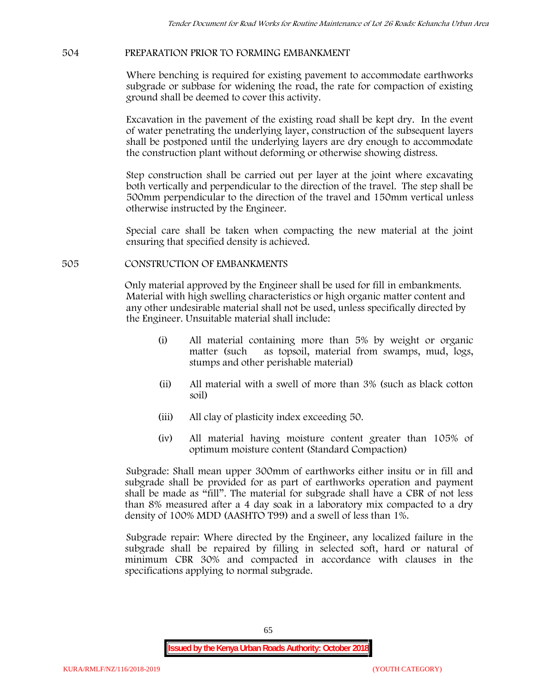## **504 PREPARATION PRIOR TO FORMING EMBANKMENT**

Where benching is required for existing pavement to accommodate earthworks subgrade or subbase for widening the road, the rate for compaction of existing ground shall be deemed to cover this activity.

Excavation in the pavement of the existing road shall be kept dry. In the event of water penetrating the underlying layer, construction of the subsequent layers shall be postponed until the underlying layers are dry enough to accommodate the construction plant without deforming or otherwise showing distress.

Step construction shall be carried out per layer at the joint where excavating both vertically and perpendicular to the direction of the travel. The step shall be 500mm perpendicular to the direction of the travel and 150mm vertical unless otherwise instructed by the Engineer.

Special care shall be taken when compacting the new material at the joint ensuring that specified density is achieved.

#### **505 CONSTRUCTION OF EMBANKMENTS**

Only material approved by the Engineer shall be used for fill in embankments. Material with high swelling characteristics or high organic matter content and any other undesirable material shall not be used, unless specifically directed by the Engineer. Unsuitable material shall include:

- (i) All material containing more than 5% by weight or organic matter (such as topsoil, material from swamps, mud, logs, stumps and other perishable material)
- (ii) All material with a swell of more than 3% (such as black cotton soil)
- (iii) All clay of plasticity index exceeding 50.
- (iv) All material having moisture content greater than 105% of optimum moisture content (Standard Compaction)

Subgrade: Shall mean upper 300mm of earthworks either insitu or in fill and subgrade shall be provided for as part of earthworks operation and payment shall be made as "fill". The material for subgrade shall have a CBR of not less than 8% measured after a 4 day soak in a laboratory mix compacted to a dry density of 100% MDD (AASHTO T99) and a swell of less than 1%.

Subgrade repair: Where directed by the Engineer, any localized failure in the subgrade shall be repaired by filling in selected soft, hard or natural of minimum CBR 30% and compacted in accordance with clauses in the specifications applying to normal subgrade.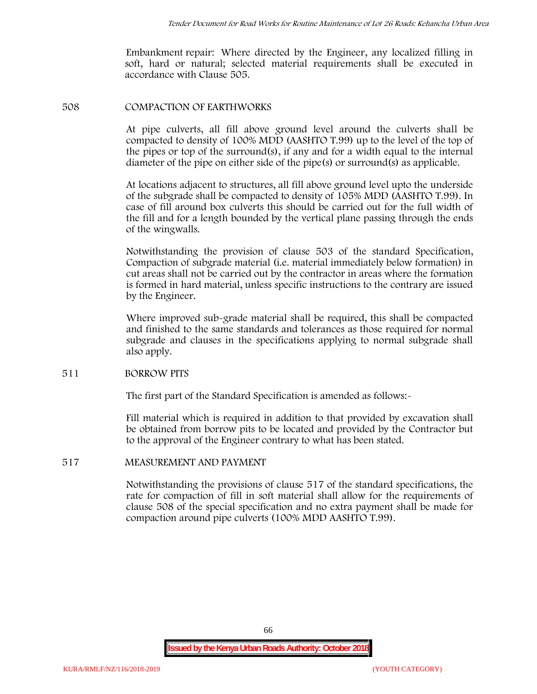Embankment repair: Where directed by the Engineer, any localized filling in soft, hard or natural; selected material requirements shall be executed in accordance with Clause 505.

#### **508 COMPACTION OF EARTHWORKS**

At pipe culverts, all fill above ground level around the culverts shall be compacted to density of 100% MDD (AASHTO T.99) up to the level of the top of the pipes or top of the surround(s), if any and for a width equal to the internal diameter of the pipe on either side of the pipe(s) or surround(s) as applicable.

At locations adjacent to structures, all fill above ground level upto the underside of the subgrade shall be compacted to density of 105% MDD (AASHTO T.99). In case of fill around box culverts this should be carried out for the full width of the fill and for a length bounded by the vertical plane passing through the ends of the wingwalls.

Notwithstanding the provision of clause 503 of the standard Specification, Compaction of subgrade material (i.e. material immediately below formation) in cut areas shall not be carried out by the contractor in areas where the formation is formed in hard material, unless specific instructions to the contrary are issued by the Engineer.

Where improved sub-grade material shall be required, this shall be compacted and finished to the same standards and tolerances as those required for normal subgrade and clauses in the specifications applying to normal subgrade shall also apply.

## **511 BORROW PITS**

The first part of the Standard Specification is amended as follows:

Fill material which is required in addition to that provided by excavation shall be obtained from borrow pits to be located and provided by the Contractor but to the approval of the Engineer contrary to what has been stated.

## **517 MEASUREMENT AND PAYMENT**

Notwithstanding the provisions of clause 517 of the standard specifications, the rate for compaction of fill in soft material shall allow for the requirements of clause 508 of the special specification and no extra payment shall be made for compaction around pipe culverts (100% MDD AASHTO T.99).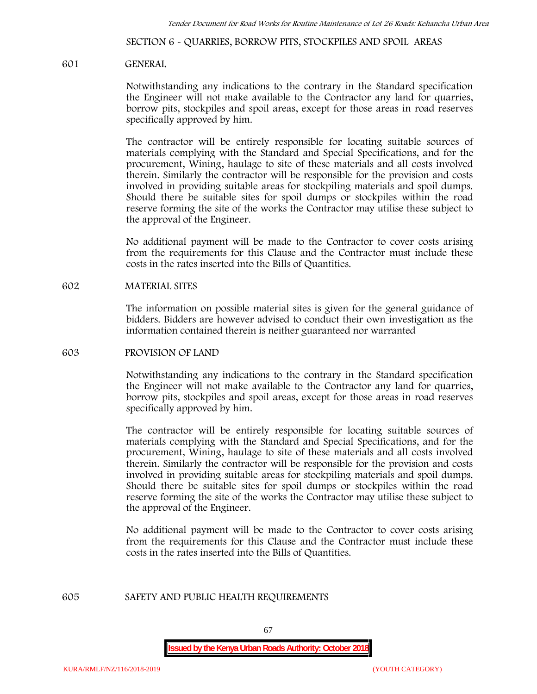**SECTION 6 - QUARRIES, BORROW PITS, STOCKPILES AND SPOIL AREAS**

#### **601 GENERAL**

Notwithstanding any indications to the contrary in the Standard specification the Engineer will not make available to the Contractor any land for quarries, borrow pits, stockpiles and spoil areas, except for those areas in road reserves specifically approved by him.

The contractor will be entirely responsible for locating suitable sources of materials complying with the Standard and Special Specifications, and for the procurement, Wining, haulage to site of these materials and all costs involved therein. Similarly the contractor will be responsible for the provision and costs involved in providing suitable areas for stockpiling materials and spoil dumps. Should there be suitable sites for spoil dumps or stockpiles within the road reserve forming the site of the works the Contractor may utilise these subject to the approval of the Engineer.

No additional payment will be made to the Contractor to cover costs arising from the requirements for this Clause and the Contractor must include these costs in the rates inserted into the Bills of Quantities.

#### **602 MATERIAL SITES**

The information on possible material sites is given for the general guidance of bidders. Bidders are however advised to conduct their own investigation as the information contained therein is neither guaranteed nor warranted

#### **603 PROVISION OF LAND**

Notwithstanding any indications to the contrary in the Standard specification the Engineer will not make available to the Contractor any land for quarries, borrow pits, stockpiles and spoil areas, except for those areas in road reserves specifically approved by him.

The contractor will be entirely responsible for locating suitable sources of materials complying with the Standard and Special Specifications, and for the procurement, Wining, haulage to site of these materials and all costs involved therein. Similarly the contractor will be responsible for the provision and costs involved in providing suitable areas for stockpiling materials and spoil dumps. Should there be suitable sites for spoil dumps or stockpiles within the road reserve forming the site of the works the Contractor may utilise these subject to the approval of the Engineer.

No additional payment will be made to the Contractor to cover costs arising from the requirements for this Clause and the Contractor must include these costs in the rates inserted into the Bills of Quantities.

#### **605 SAFETY AND PUBLIC HEALTH REQUIREMENTS**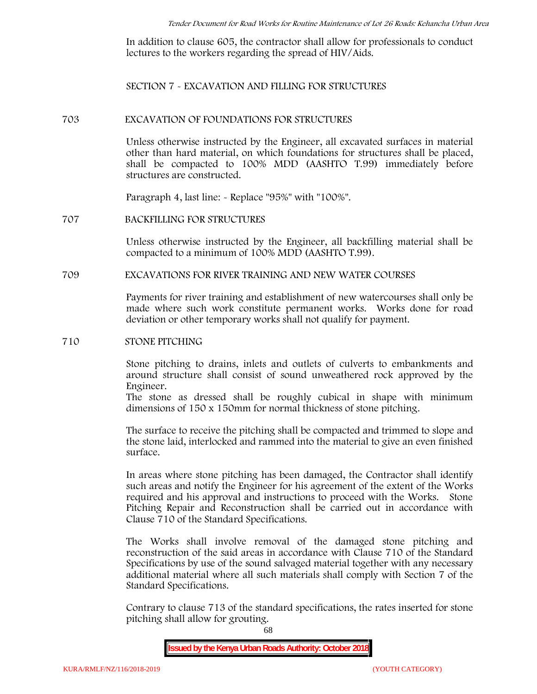In addition to clause 605, the contractor shall allow for professionals to conduct lectures to the workers regarding the spread of HIV/Aids.

**SECTION 7 - EXCAVATION AND FILLING FOR STRUCTURES**

#### **703 EXCAVATION OF FOUNDATIONS FOR STRUCTURES**

Unless otherwise instructed by the Engineer, all excavated surfaces in material other than hard material, on which foundations for structures shall be placed, shall be compacted to 100% MDD (AASHTO T.99) immediately before structures are constructed.

Paragraph 4, last line: - Replace "95%" with "100%".

#### **707 BACKFILLING FOR STRUCTURES**

Unless otherwise instructed by the Engineer, all backfilling material shall be compacted to a minimum of 100% MDD (AASHTO T.99).

## **709 EXCAVATIONS FOR RIVER TRAINING AND NEW WATER COURSES**

Payments for river training and establishment of new watercourses shall only be made where such work constitute permanent works. Works done for road deviation or other temporary works shall not qualify for payment.

#### **710 STONE PITCHING**

Stone pitching to drains, inlets and outlets of culverts to embankments and around structure shall consist of sound unweathered rock approved by the Engineer.

The stone as dressed shall be roughly cubical in shape with minimum dimensions of 150 x 150mm for normal thickness of stone pitching.

The surface to receive the pitching shall be compacted and trimmed to slope and the stone laid, interlocked and rammed into the material to give an even finished surface.

In areas where stone pitching has been damaged, the Contractor shall identify such areas and notify the Engineer for his agreement of the extent of the Works required and his approval and instructions to proceed with the Works. Stone Pitching Repair and Reconstruction shall be carried out in accordance with Clause 710 of the Standard Specifications.

The Works shall involve removal of the damaged stone pitching and reconstruction of the said areas in accordance with Clause 710 of the Standard Specifications by use of the sound salvaged material together with any necessary additional material where all such materials shall comply with Section 7 of the Standard Specifications.

Contrary to clause 713 of the standard specifications, the rates inserted for stone pitching shall allow for grouting.

68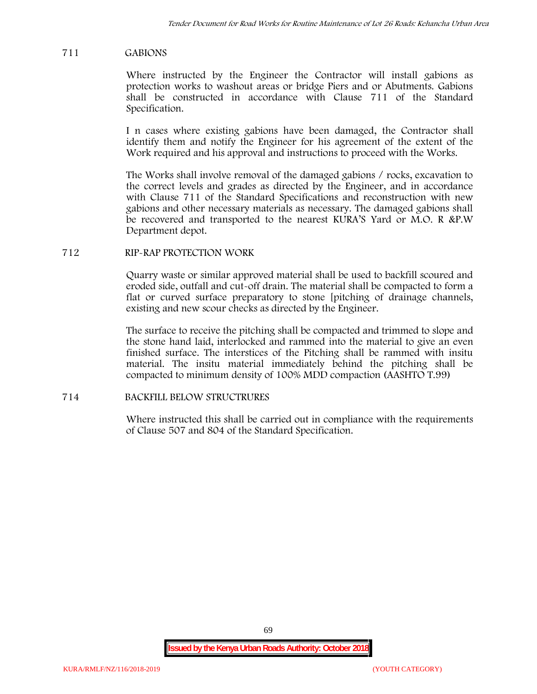## **711 GABIONS**

Where instructed by the Engineer the Contractor will install gabions as protection works to washout areas or bridge Piers and or Abutments. Gabions shall be constructed in accordance with Clause 711 of the Standard Specification.

I n cases where existing gabions have been damaged, the Contractor shall identify them and notify the Engineer for his agreement of the extent of the Work required and his approval and instructions to proceed with the Works.

The Works shall involve removal of the damaged gabions / rocks, excavation to the correct levels and grades as directed by the Engineer, and in accordance with Clause 711 of the Standard Specifications and reconstruction with new gabions and other necessary materials as necessary. The damaged gabions shall be recovered and transported to the nearest KURA'S Yard or M.O. R &P.W Department depot.

## **712 RIP-RAP PROTECTION WORK**

Quarry waste or similar approved material shall be used to backfill scoured and eroded side, outfall and cut-off drain. The material shall be compacted to form a flat or curved surface preparatory to stone [pitching of drainage channels, existing and new scour checks as directed by the Engineer.

The surface to receive the pitching shall be compacted and trimmed to slope and the stone hand laid, interlocked and rammed into the material to give an even finished surface. The interstices of the Pitching shall be rammed with insitu material. The insitu material immediately behind the pitching shall be compacted to minimum density of 100% MDD compaction (AASHTO T.99)

## **714 BACKFILL BELOW STRUCTRURES**

Where instructed this shall be carried out in compliance with the requirements of Clause 507 and 804 of the Standard Specification.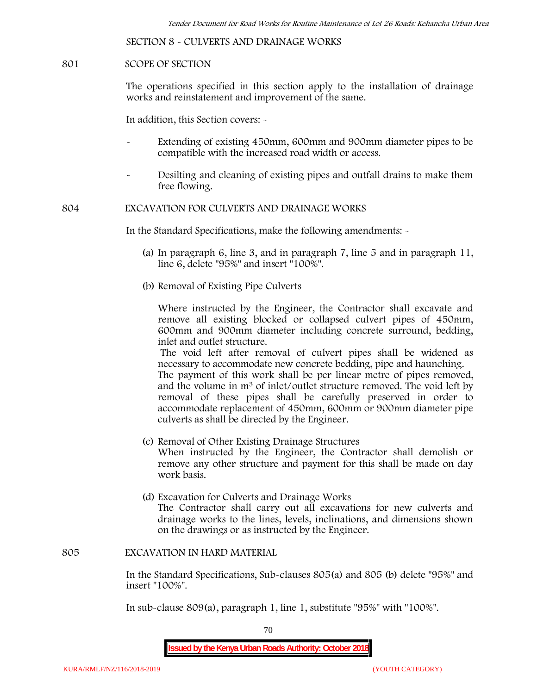**SECTION 8 - CULVERTS AND DRAINAGE WORKS**

#### **801 SCOPE OF SECTION**

The operations specified in this section apply to the installation of drainage works and reinstatement and improvement of the same.

In addition, this Section covers: -

- Extending of existing 450mm, 600mm and 900mm diameter pipes to be compatible with the increased road width or access.
- Desilting and cleaning of existing pipes and outfall drains to make them free flowing.

**804 EXCAVATION FOR CULVERTS AND DRAINAGE WORKS**

In the Standard Specifications, make the following amendments: -

culverts as shall be directed by the Engineer.

- (a) In paragraph 6, line 3, and in paragraph 7, line 5 and in paragraph 11, line 6, delete "95%" and insert "100%".
- (b) Removal of Existing Pipe Culverts

Where instructed by the Engineer, the Contractor shall excavate and remove all existing blocked or collapsed culvert pipes of 450mm, 600mm and 900mm diameter including concrete surround, bedding, inlet and outlet structure.

The void left after removal of culvert pipes shall be widened as necessary to accommodate new concrete bedding, pipe and haunching. The payment of this work shall be per linear metre of pipes removed, and the volume in m<sup>3</sup> of inlet/outlet structure removed. The void left by removal of these pipes shall be carefully preserved in order to accommodate replacement of 450mm, 600mm or 900mm diameter pipe

- (c) Removal of Other Existing Drainage Structures When instructed by the Engineer, the Contractor shall demolish or remove any other structure and payment for this shall be made on day work basis.
- (d) Excavation for Culverts and Drainage Works The Contractor shall carry out all excavations for new culverts and drainage works to the lines, levels, inclinations, and dimensions shown on the drawings or as instructed by the Engineer.

#### **805 EXCAVATION IN HARD MATERIAL**

In the Standard Specifications, Sub-clauses 805(a) and 805 (b) delete "95%" and insert "100%".

In sub-clause 809(a), paragraph 1, line 1, substitute "95%" with "100%".

70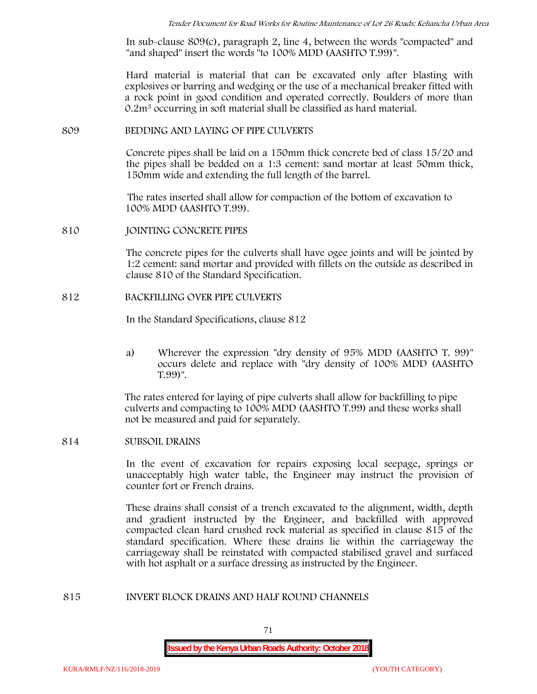In sub-clause 809(c), paragraph 2, line 4, between the words "compacted" and "and shaped" insert the words "to 100% MDD (AASHTO T.99)".

Hard material is material that can be excavated only after blasting with explosives or barring and wedging or the use of a mechanical breaker fitted with a rock point in good condition and operated correctly. Boulders of more than 0.2m<sup>3</sup> occurring in soft material shall be classified as hard material.

#### **809 BEDDING AND LAYING OF PIPE CULVERTS**

Concrete pipes shall be laid on a 150mm thick concrete bed of class 15/20 and the pipes shall be bedded on a 1:3 cement: sand mortar at least 50mm thick, 150mm wide and extending the full length of the barrel.

The rates inserted shall allow for compaction of the bottom of excavation to 100% MDD (AASHTO T.99).

#### **810 JOINTING CONCRETE PIPES**

The concrete pipes for the culverts shall have ogee joints and will be jointed by 1:2 cement: sand mortar and provided with fillets on the outside as described in clause 810 of the Standard Specification.

#### **812 BACKFILLING OVER PIPE CULVERTS**

In the Standard Specifications, clause 812

a) Wherever the expression "dry density of 95% MDD (AASHTO T. 99)" occurs delete and replace with "dry density of 100% MDD (AASHTO T.99)".

The rates entered for laying of pipe culverts shall allow for backfilling to pipe culverts and compacting to 100% MDD (AASHTO T.99) and these works shall not be measured and paid for separately.

## **814 SUBSOIL DRAINS**

In the event of excavation for repairs exposing local seepage, springs or unacceptably high water table, the Engineer may instruct the provision of counter fort or French drains.

These drains shall consist of a trench excavated to the alignment, width, depth and gradient instructed by the Engineer, and backfilled with approved compacted clean hard crushed rock material as specified in clause 815 of the standard specification. Where these drains lie within the carriageway the carriageway shall be reinstated with compacted stabilised gravel and surfaced with hot asphalt or a surface dressing as instructed by the Engineer.

#### **815 INVERT BLOCK DRAINS AND HALF ROUND CHANNELS**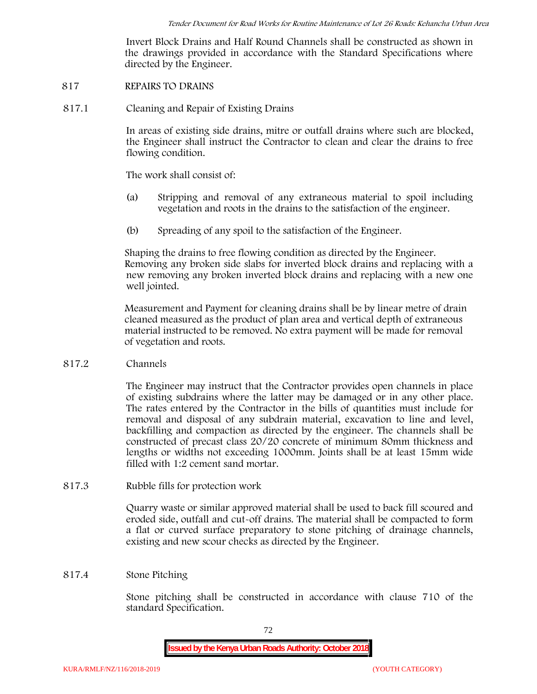Invert Block Drains and Half Round Channels shall be constructed as shown in the drawings provided in accordance with the Standard Specifications where directed by the Engineer.

### **817 REPAIRS TO DRAINS**

**817.1 Cleaning and Repair of Existing Drains**

In areas of existing side drains, mitre or outfall drains where such are blocked, the Engineer shall instruct the Contractor to clean and clear the drains to free flowing condition.

The work shall consist of:

- (a) Stripping and removal of any extraneous material to spoil including vegetation and roots in the drains to the satisfaction of the engineer.
- (b) Spreading of any spoil to the satisfaction of the Engineer.

Shaping the drains to free flowing condition as directed by the Engineer. Removing any broken side slabs for inverted block drains and replacing with a new removing any broken inverted block drains and replacing with a new one well jointed.

Measurement and Payment for cleaning drains shall be by linear metre of drain cleaned measured as the product of plan area and vertical depth of extraneous material instructed to be removed. No extra payment will be made for removal of vegetation and roots.

**817.2 Channels**

The Engineer may instruct that the Contractor provides open channels in place of existing subdrains where the latter may be damaged or in any other place. The rates entered by the Contractor in the bills of quantities must include for removal and disposal of any subdrain material, excavation to line and level, backfilling and compaction as directed by the engineer. The channels shall be constructed of precast class 20/20 concrete of minimum 80mm thickness and lengths or widths not exceeding 1000mm. Joints shall be at least 15mm wide filled with 1:2 cement sand mortar.

**817.3 Rubble fills for protection work**

Quarry waste or similar approved material shall be used to back fill scoured and eroded side, outfall and cut-off drains. The material shall be compacted to form a flat or curved surface preparatory to stone pitching of drainage channels, existing and new scour checks as directed by the Engineer.

## **817.4 Stone Pitching**

Stone pitching shall be constructed in accordance with clause 710 of the standard Specification.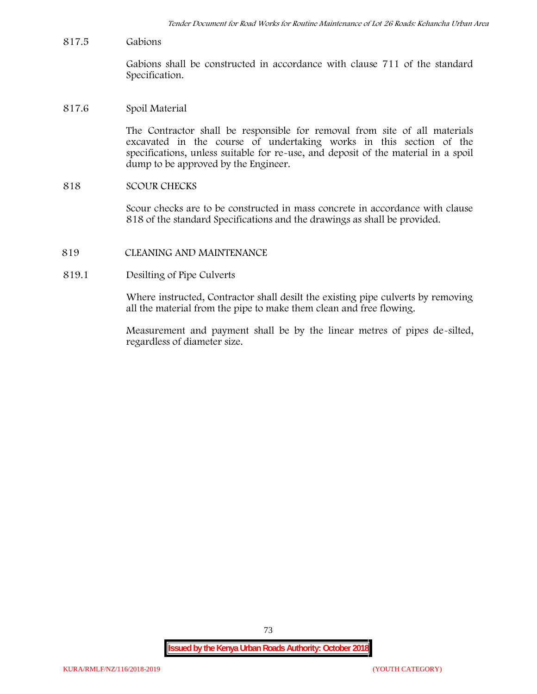**817.5 Gabions**

Gabions shall be constructed in accordance with clause 711 of the standard Specification.

**817.6 Spoil Material**

The Contractor shall be responsible for removal from site of all materials excavated in the course of undertaking works in this section of the specifications, unless suitable for re-use, and deposit of the material in a spoil dump to be approved by the Engineer.

**818 SCOUR CHECKS**

Scour checks are to be constructed in mass concrete in accordance with clause 818 of the standard Specifications and the drawings as shall be provided.

- **819 CLEANING AND MAINTENANCE**
- **819.1 Desilting of Pipe Culverts**

Where instructed, Contractor shall desilt the existing pipe culverts by removing all the material from the pipe to make them clean and free flowing.

Measurement and payment shall be by the linear metres of pipes de-silted, regardless of diameter size.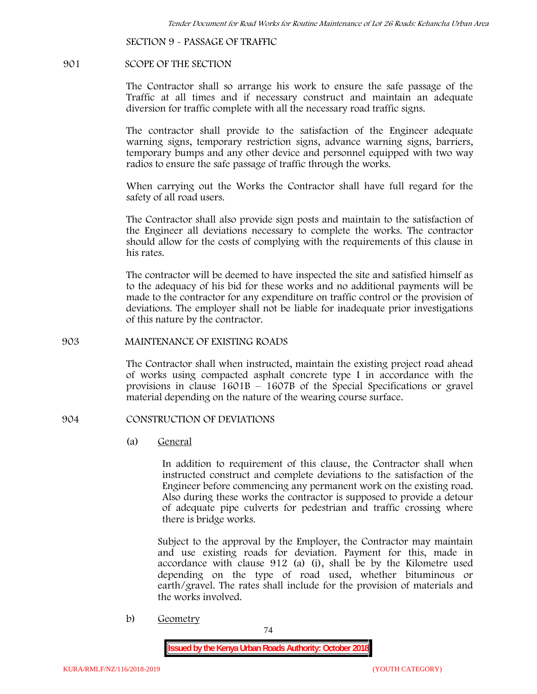**SECTION 9 - PASSAGE OF TRAFFIC**

#### **901 SCOPE OF THE SECTION**

The Contractor shall so arrange his work to ensure the safe passage of the Traffic at all times and if necessary construct and maintain an adequate diversion for traffic complete with all the necessary road traffic signs.

The contractor shall provide to the satisfaction of the Engineer adequate warning signs, temporary restriction signs, advance warning signs, barriers, temporary bumps and any other device and personnel equipped with two way radios to ensure the safe passage of traffic through the works.

When carrying out the Works the Contractor shall have full regard for the safety of all road users.

The Contractor shall also provide sign posts and maintain to the satisfaction of the Engineer all deviations necessary to complete the works. The contractor should allow for the costs of complying with the requirements of this clause in his rates.

The contractor will be deemed to have inspected the site and satisfied himself as to the adequacy of his bid for these works and no additional payments will be made to the contractor for any expenditure on traffic control or the provision of deviations. The employer shall not be liable for inadequate prior investigations of this nature by the contractor.

### **903 MAINTENANCE OF EXISTING ROADS**

The Contractor shall when instructed, maintain the existing project road ahead of works using compacted asphalt concrete type I in accordance with the provisions in clause 1601B – 1607B of the Special Specifications or gravel material depending on the nature of the wearing course surface.

### **904 CONSTRUCTION OF DEVIATIONS**

(a) **General**

In addition to requirement of this clause, the Contractor shall when instructed construct and complete deviations to the satisfaction of the Engineer before commencing any permanent work on the existing road. Also during these works the contractor is supposed to provide a detour of adequate pipe culverts for pedestrian and traffic crossing where there is bridge works.

Subject to the approval by the Employer, the Contractor may maintain and use existing roads for deviation. Payment for this, made in accordance with clause 912 (a) (i), shall be by the Kilometre used depending on the type of road used, whether bituminous or earth/gravel. The rates shall include for the provision of materials and the works involved.

b) **Geometry**

74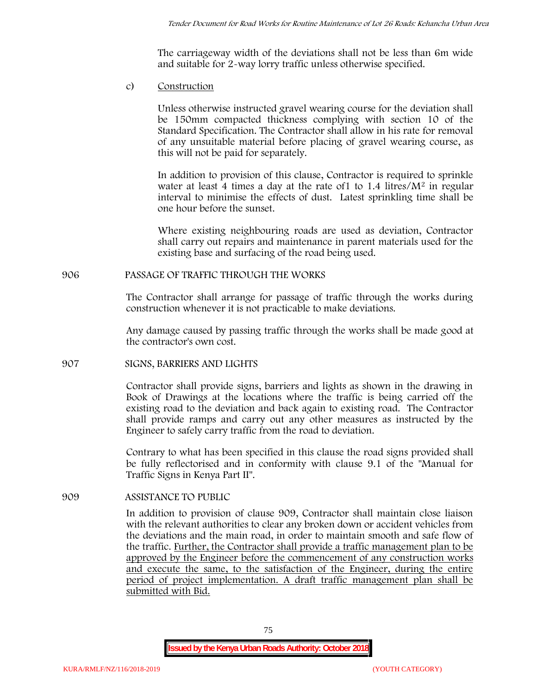The carriageway width of the deviations shall not be less than 6m wide and suitable for 2-way lorry traffic unless otherwise specified.

c) **Construction**

Unless otherwise instructed gravel wearing course for the deviation shall be 150mm compacted thickness complying with section 10 of the Standard Specification. The Contractor shall allow in his rate for removal of any unsuitable material before placing of gravel wearing course, as this will not be paid for separately.

In addition to provision of this clause, Contractor is required to sprinkle water at least 4 times a day at the rate of 1 to  $1.4$  litres/ $M<sup>2</sup>$  in regular interval to minimise the effects of dust. Latest sprinkling time shall be one hour before the sunset.

Where existing neighbouring roads are used as deviation, Contractor shall carry out repairs and maintenance in parent materials used for the existing base and surfacing of the road being used.

# **906 PASSAGE OF TRAFFIC THROUGH THE WORKS**

The Contractor shall arrange for passage of traffic through the works during construction whenever it is not practicable to make deviations.

Any damage caused by passing traffic through the works shall be made good at the contractor's own cost.

## **907 SIGNS, BARRIERS AND LIGHTS**

Contractor shall provide signs, barriers and lights as shown in the drawing in Book of Drawings at the locations where the traffic is being carried off the existing road to the deviation and back again to existing road. The Contractor shall provide ramps and carry out any other measures as instructed by the Engineer to safely carry traffic from the road to deviation.

Contrary to what has been specified in this clause the road signs provided shall be fully reflectorised and in conformity with clause 9.1 of the "Manual for Traffic Signs in Kenya Part II".

# **909 ASSISTANCE TO PUBLIC**

In addition to provision of clause 909, Contractor shall maintain close liaison with the relevant authorities to clear any broken down or accident vehicles from the deviations and the main road, in order to maintain smooth and safe flow of the traffic. Further, the Contractor shall provide a traffic management plan to be approved by the Engineer before the commencement of any construction works and execute the same, to the satisfaction of the Engineer, during the entire period of project implementation. A draft traffic management plan shall be submitted with Bid.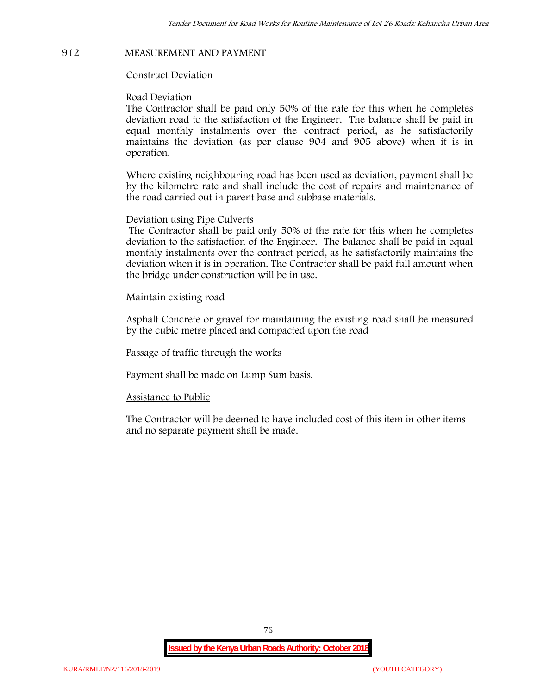# **912 MEASUREMENT AND PAYMENT**

### **Construct Deviation**

#### **Road Deviation**

The Contractor shall be paid only 50% of the rate for this when he completes deviation road to the satisfaction of the Engineer. The balance shall be paid in equal monthly instalments over the contract period, as he satisfactorily maintains the deviation (as per clause 904 and 905 above) when it is in operation.

Where existing neighbouring road has been used as deviation, payment shall be by the kilometre rate and shall include the cost of repairs and maintenance of the road carried out in parent base and subbase materials.

### **Deviation using Pipe Culverts**

The Contractor shall be paid only 50% of the rate for this when he completes deviation to the satisfaction of the Engineer. The balance shall be paid in equal monthly instalments over the contract period, as he satisfactorily maintains the deviation when it is in operation. The Contractor shall be paid full amount when the bridge under construction will be in use.

### **Maintain existing road**

Asphalt Concrete or gravel for maintaining the existing road shall be measured by the cubic metre placed and compacted upon the road

#### **Passage of traffic through the works**

Payment shall be made on Lump Sum basis.

#### **Assistance to Public**

The Contractor will be deemed to have included cost of this item in other items and no separate payment shall be made.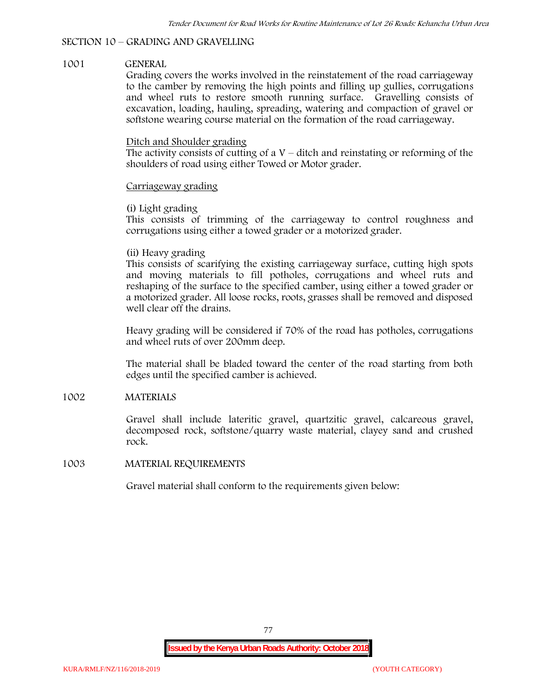## **SECTION 10 – GRADING AND GRAVELLING**

## **1001 GENERAL**

Grading covers the works involved in the reinstatement of the road carriageway to the camber by removing the high points and filling up gullies, corrugations and wheel ruts to restore smooth running surface. Gravelling consists of excavation, loading, hauling, spreading, watering and compaction of gravel or softstone wearing course material on the formation of the road carriageway.

## Ditch and Shoulder grading

The activity consists of cutting of a  $V$  – ditch and reinstating or reforming of the shoulders of road using either Towed or Motor grader.

## Carriageway grading

## **(i) Light grading**

This consists of trimming of the carriageway to control roughness and corrugations using either a towed grader or a motorized grader.

### **(ii) Heavy grading**

This consists of scarifying the existing carriageway surface, cutting high spots and moving materials to fill potholes, corrugations and wheel ruts and reshaping of the surface to the specified camber, using either a towed grader or a motorized grader. All loose rocks, roots, grasses shall be removed and disposed well clear off the drains.

Heavy grading will be considered if 70% of the road has potholes, corrugations and wheel ruts of over 200mm deep.

The material shall be bladed toward the center of the road starting from both edges until the specified camber is achieved.

## **1002 MATERIALS**

Gravel shall include lateritic gravel, quartzitic gravel, calcareous gravel, decomposed rock, softstone/quarry waste material, clayey sand and crushed rock.

#### **1003 MATERIAL REQUIREMENTS**

Gravel material shall conform to the requirements given below: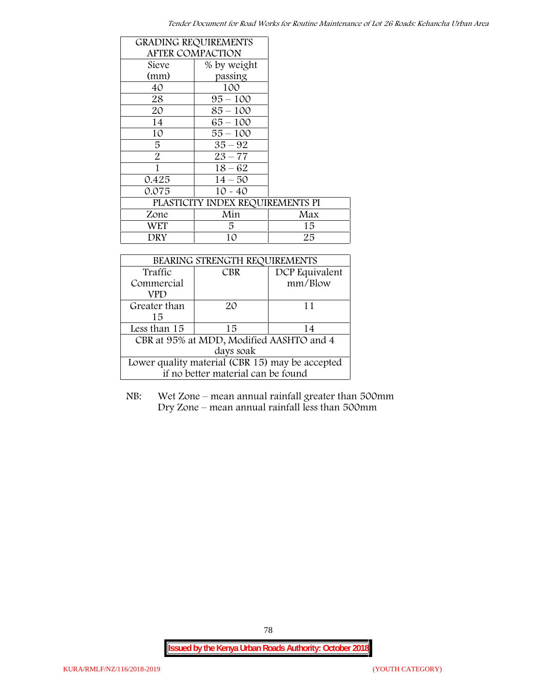| <b>GRADING REQUIREMENTS</b> |                                  |     |
|-----------------------------|----------------------------------|-----|
| AFTER COMPACTION            |                                  |     |
| Sieve                       | % by weight                      |     |
| (mm)                        | passing                          |     |
| 40                          | 100                              |     |
| 28                          | $95 - 100$                       |     |
| 20                          | $85 - 100$                       |     |
| 14                          | $65 - 100$                       |     |
| 10                          | $55 - 100$                       |     |
| 5                           | $35 - 92$                        |     |
| 2                           | $23 - 77$                        |     |
| 1                           | $18 - 62$                        |     |
| 0.425                       | $14 - 50$                        |     |
| 0.075                       | $10 - 40$                        |     |
|                             | PLASTICITY INDEX REQUIREMENTS PI |     |
| Zone                        | Min                              | Max |
| WET                         | 5.                               | 15  |
| DRY                         | 10                               | 25  |

| BEARING STRENGTH REQUIREMENTS                   |            |                |  |  |
|-------------------------------------------------|------------|----------------|--|--|
| Traffic                                         | <b>CBR</b> | DCP Equivalent |  |  |
| Commercial                                      |            | mm/Blow        |  |  |
| VPD                                             |            |                |  |  |
| Greater than                                    | 20         | 11             |  |  |
| 15                                              |            |                |  |  |
| Less than 15                                    | 15         | 14             |  |  |
| CBR at 95% at MDD, Modified AASHTO and 4        |            |                |  |  |
| days soak                                       |            |                |  |  |
| Lower quality material (CBR 15) may be accepted |            |                |  |  |
| if no better material can be found              |            |                |  |  |

NB: Wet Zone – mean annual rainfall greater than 500mm Dry Zone – mean annual rainfall less than 500mm

78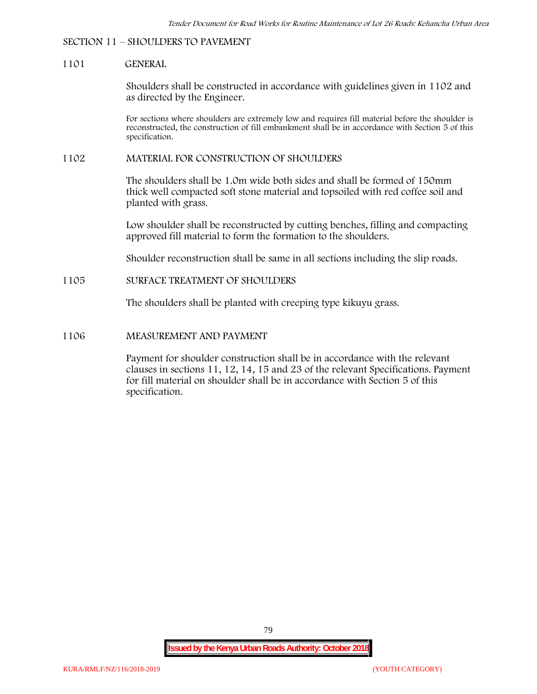## **SECTION 11 – SHOULDERS TO PAVEMENT**

### **1101 GENERAL**

Shoulders shall be constructed in accordance with guidelines given in 1102 and as directed by the Engineer.

For sections where shoulders are extremely low and requires fill material before the shoulder is reconstructed, the construction of fill embankment shall be in accordance with Section 5 of this specification.

#### **1102 MATERIAL FOR CONSTRUCTION OF SHOULDERS**

The shoulders shall be 1.0m wide both sides and shall be formed of 150mm thick well compacted soft stone material and topsoiled with red coffee soil and planted with grass.

Low shoulder shall be reconstructed by cutting benches, filling and compacting approved fill material to form the formation to the shoulders.

Shoulder reconstruction shall be same in all sections including the slip roads.

### **1105 SURFACE TREATMENT OF SHOULDERS**

The shoulders shall be planted with creeping type kikuyu grass.

#### **1106 MEASUREMENT AND PAYMENT**

Payment for shoulder construction shall be in accordance with the relevant clauses in sections 11, 12, 14, 15 and 23 of the relevant Specifications. Payment for fill material on shoulder shall be in accordance with Section 5 of this specification.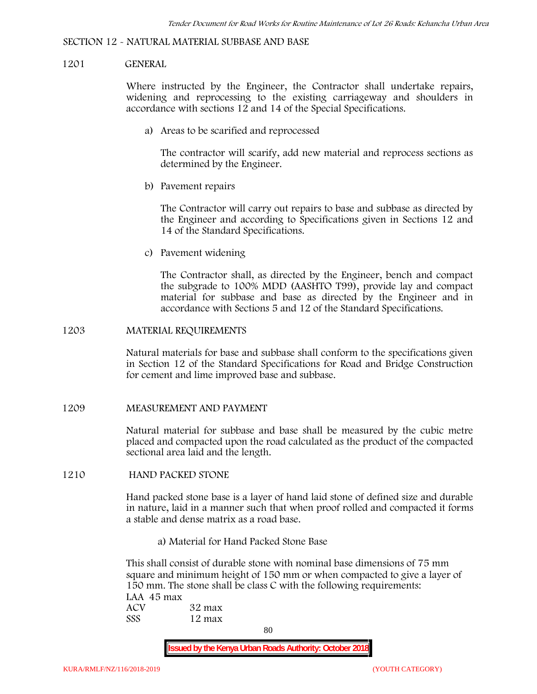#### **SECTION 12 - NATURAL MATERIAL SUBBASE AND BASE**

### **1201 GENERAL**

Where instructed by the Engineer, the Contractor shall undertake repairs, widening and reprocessing to the existing carriageway and shoulders in accordance with sections 12 and 14 of the Special Specifications.

**a) Areas to be scarified and reprocessed**

The contractor will scarify, add new material and reprocess sections as determined by the Engineer.

**b) Pavement repairs**

The Contractor will carry out repairs to base and subbase as directed by the Engineer and according to Specifications given in Sections 12 and 14 of the Standard Specifications.

**c) Pavement widening**

The Contractor shall, as directed by the Engineer, bench and compact the subgrade to 100% MDD (AASHTO T99), provide lay and compact material for subbase and base as directed by the Engineer and in accordance with Sections 5 and 12 of the Standard Specifications.

#### **1203 MATERIAL REQUIREMENTS**

Natural materials for base and subbase shall conform to the specifications given in Section 12 of the Standard Specifications for Road and Bridge Construction for cement and lime improved base and subbase.

**1209 MEASUREMENT AND PAYMENT**

Natural material for subbase and base shall be measured by the cubic metre placed and compacted upon the road calculated as the product of the compacted sectional area laid and the length.

**1210 HAND PACKED STONE**

Hand packed stone base is a layer of hand laid stone of defined size and durable in nature, laid in a manner such that when proof rolled and compacted it forms a stable and dense matrix as a road base.

**a) Material for Hand Packed Stone Base**

This shall consist of durable stone with nominal base dimensions of 75 mm square and minimum height of 150 mm or when compacted to give a layer of 150 mm. The stone shall be class C with the following requirements: **LAA 45 max ACV 32 max SSS 12 max**

80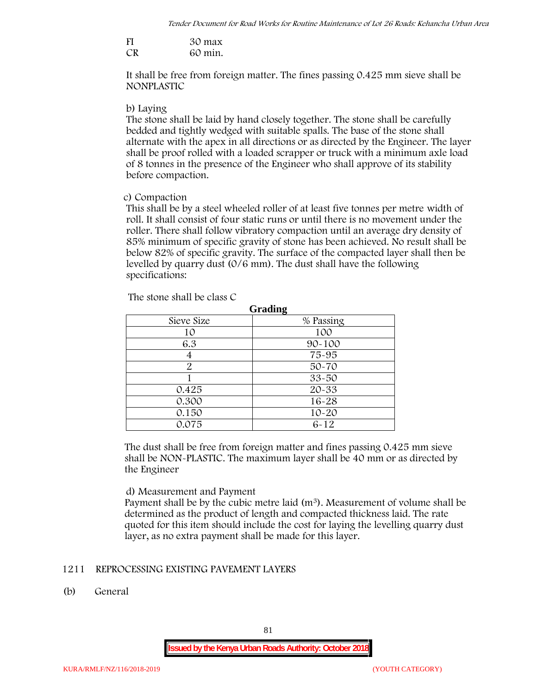| FI | 30 max  |
|----|---------|
| CR | 60 min. |

It shall be free from foreign matter. The fines passing 0.425 mm sieve shall be **NONPLASTIC**

## **b) Laying**

The stone shall be laid by hand closely together. The stone shall be carefully bedded and tightly wedged with suitable spalls. The base of the stone shall alternate with the apex in all directions or as directed by the Engineer. The layer shall be proof rolled with a loaded scrapper or truck with a minimum axle load of 8 tonnes in the presence of the Engineer who shall approve of its stability before compaction.

### **c) Compaction**

This shall be by a steel wheeled roller of at least five tonnes per metre width of roll. It shall consist of four static runs or until there is no movement under the roller. There shall follow vibratory compaction until an average dry density of 85% minimum of specific gravity of stone has been achieved. No result shall be below 82% of specific gravity. The surface of the compacted layer shall then be levelled by quarry dust (0/6 mm). The dust shall have the following specifications:

| Grading    |            |  |  |  |
|------------|------------|--|--|--|
| Sieve Size | % Passing  |  |  |  |
| 10         | 100        |  |  |  |
| 6.3        | $90 - 100$ |  |  |  |
|            | 75-95      |  |  |  |
| 2          | $50 - 70$  |  |  |  |
|            | $33 - 50$  |  |  |  |
| 0.425      | 20-33      |  |  |  |
| 0.300      | 16-28      |  |  |  |
| 0.150      | $10 - 20$  |  |  |  |
| 0.075      | $6 - 12$   |  |  |  |

The stone shall be class C

The dust shall be free from foreign matter and fines passing 0.425 mm sieve shall be **NON-PLASTIC**. The maximum layer shall be 40 mm or as directed by the Engineer

## **d) Measurement and Payment**

Payment shall be by the cubic metre laid  $(m<sup>3</sup>)$ . Measurement of volume shall be determined as the product of length and compacted thickness laid. The rate quoted for this item should include the cost for laying the levelling quarry dust layer, as no extra payment shall be made for this layer.

## **1211 REPROCESSING EXISTING PAVEMENT LAYERS**

**(b) General**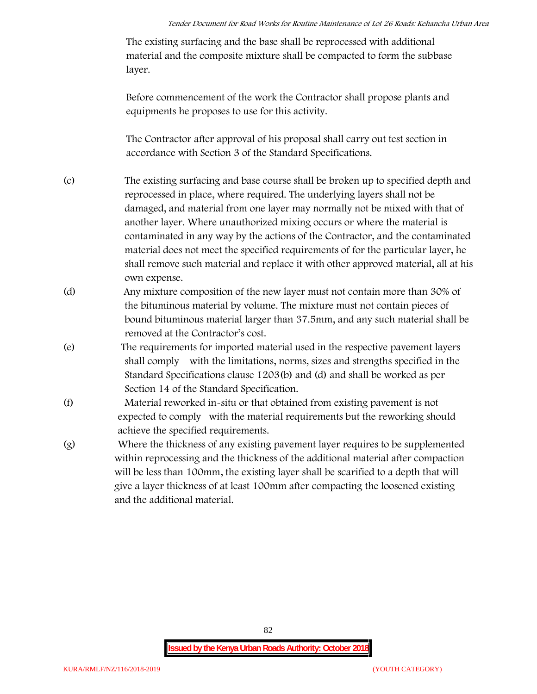The existing surfacing and the base shall be reprocessed with additional material and the composite mixture shall be compacted to form the subbase layer.

Before commencement of the work the Contractor shall propose plants and equipments he proposes to use for this activity.

The Contractor after approval of his proposal shall carry out test section in accordance with Section 3 of the Standard Specifications.

- (c) The existing surfacing and base course shall be broken up to specified depth and reprocessed in place, where required. The underlying layers shall not be damaged, and material from one layer may normally not be mixed with that of another layer. Where unauthorized mixing occurs or where the material is contaminated in any way by the actions of the Contractor, and the contaminated material does not meet the specified requirements of for the particular layer, he shall remove such material and replace it with other approved material, all at his own expense.
- (d) Any mixture composition of the new layer must not contain more than 30% of the bituminous material by volume. The mixture must not contain pieces of bound bituminous material larger than 37.5mm, and any such material shall be removed at the Contractor's cost.
- (e) The requirements for imported material used in the respective pavement layers shall comply with the limitations, norms, sizes and strengths specified in the Standard Specifications clause 1203(b) and (d) and shall be worked as per Section 14 of the Standard Specification.
- (f) Material reworked in-situ or that obtained from existing pavement is not expected to comply with the material requirements but the reworking should achieve the specified requirements.
- (g) Where the thickness of any existing pavement layer requires to be supplemented within reprocessing and the thickness of the additional material after compaction will be less than 100mm, the existing layer shall be scarified to a depth that will give a layer thickness of at least 100mm after compacting the loosened existing and the additional material.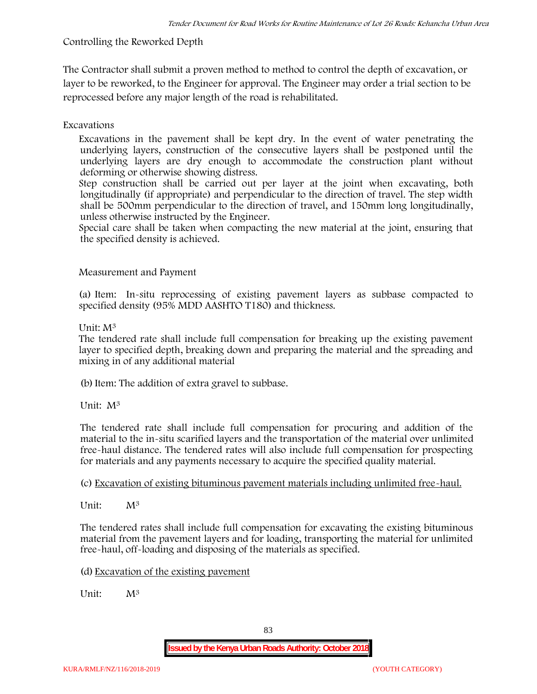# **Controlling the Reworked Depth**

The Contractor shall submit a proven method to method to control the depth of excavation, or layer to be reworked, to the Engineer for approval. The Engineer may order a trial section to be reprocessed before any major length of the road is rehabilitated.

# **Excavations**

Excavations in the pavement shall be kept dry. In the event of water penetrating the underlying layers, construction of the consecutive layers shall be postponed until the underlying layers are dry enough to accommodate the construction plant without deforming or otherwise showing distress.

Step construction shall be carried out per layer at the joint when excavating, both longitudinally (if appropriate) and perpendicular to the direction of travel. The step width shall be 500mm perpendicular to the direction of travel, and 150mm long longitudinally, unless otherwise instructed by the Engineer.

Special care shall be taken when compacting the new material at the joint, ensuring that the specified density is achieved.

# **Measurement and Payment**

(a) Item: In-situ reprocessing of existing pavement layers as subbase compacted to specified density (95% MDD AASHTO T180) and thickness.

## Unit: M<sup>3</sup>

The tendered rate shall include full compensation for breaking up the existing pavement layer to specified depth, breaking down and preparing the material and the spreading and mixing in of any additional material

(b)Item: The addition of extra gravel to subbase.

Unit: M<sup>3</sup>

The tendered rate shall include full compensation for procuring and addition of the material to the in-situ scarified layers and the transportation of the material over unlimited free-haul distance. The tendered rates will also include full compensation for prospecting for materials and any payments necessary to acquire the specified quality material.

(c) Excavation of existing bituminous pavement materials including unlimited free-haul.

Unit: M<sup>3</sup>

The tendered rates shall include full compensation for excavating the existing bituminous material from the pavement layers and for loading, transporting the material for unlimited free-haul, off-loading and disposing of the materials as specified.

(d) Excavation of the existing pavement

Unit:  $M^3$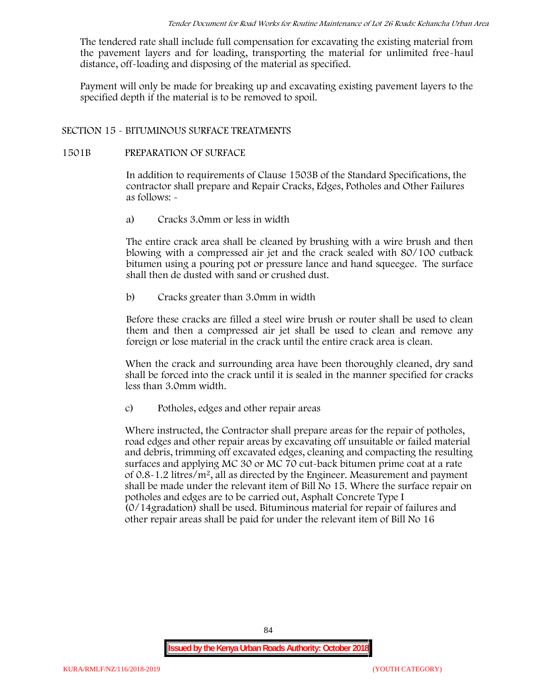The tendered rate shall include full compensation for excavating the existing material from the pavement layers and for loading, transporting the material for unlimited free-haul distance, off-loading and disposing of the material as specified.

Payment will only be made for breaking up and excavating existing pavement layers to the specified depth if the material is to be removed to spoil.

## **SECTION 15 - BITUMINOUS SURFACE TREATMENTS**

## **1501B PREPARATION OF SURFACE**

In addition to requirements of Clause 1503B of the Standard Specifications, the contractor shall prepare and Repair Cracks, Edges, Potholes and Other Failures as follows: **-**

a) **Cracks 3.0mm or less in width**

The entire crack area shall be cleaned by brushing with a wire brush and then blowing with a compressed air jet and the crack sealed with 80/100 cutback bitumen using a pouring pot or pressure lance and hand squeegee. The surface shall then de dusted with sand or crushed dust.

b) **Cracks greater than 3.0mm in width**

Before these cracks are filled a steel wire brush or router shall be used to clean them and then a compressed air jet shall be used to clean and remove any foreign or lose material in the crack until the entire crack area is clean.

When the crack and surrounding area have been thoroughly cleaned, dry sand shall be forced into the crack until it is sealed in the manner specified for cracks less than 3.0mm width.

c) **Potholes, edges and other repair areas**

Where instructed, the Contractor shall prepare areas for the repair of potholes, road edges and other repair areas by excavating off unsuitable or failed material and debris, trimming off excavated edges, cleaning and compacting the resulting surfaces and applying MC 30 or MC 70 cut-back bitumen prime coat at a rate of  $0.8-1.2$  litres/m<sup>2</sup>, all as directed by the Engineer. Measurement and payment shall be made under the relevant item of Bill No 15. Where the surface repair on potholes and edges are to be carried out, Asphalt Concrete Type I (0/14gradation) shall be used. Bituminous material for repair of failures and other repair areas shall be paid for under the relevant item of Bill No 16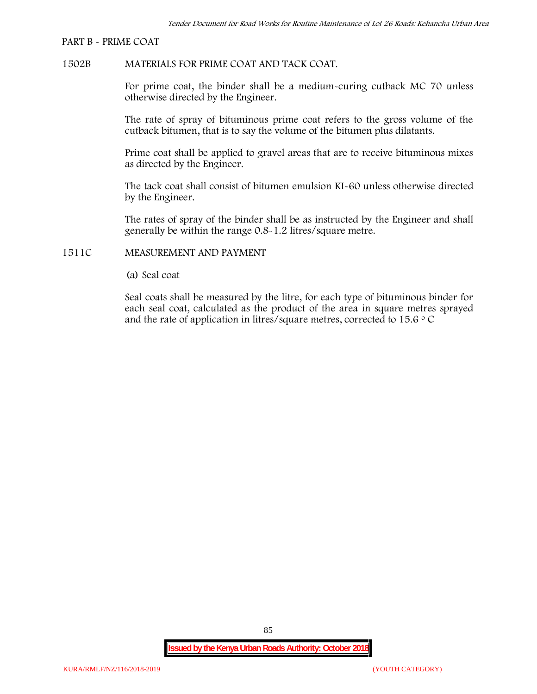#### **PART B - PRIME COAT**

## **1502B MATERIALS FOR PRIME COAT AND TACK COAT.**

For prime coat, the binder shall be a medium-curing cutback MC 70 unless otherwise directed by the Engineer.

The rate of spray of bituminous prime coat refers to the gross volume of the cutback bitumen, that is to say the volume of the bitumen plus dilatants.

Prime coat shall be applied to gravel areas that are to receive bituminous mixes as directed by the Engineer.

The tack coat shall consist of bitumen emulsion KI-60 unless otherwise directed by the Engineer.

The rates of spray of the binder shall be as instructed by the Engineer and shall generally be within the range 0.8-1.2 litres/square metre.

## **1511C MEASUREMENT AND PAYMENT**

(a) Seal coat

Seal coats shall be measured by the litre, for each type of bituminous binder for each seal coat, calculated as the product of the area in square metres sprayed and the rate of application in litres/square metres, corrected to 15.6  $\circ$  C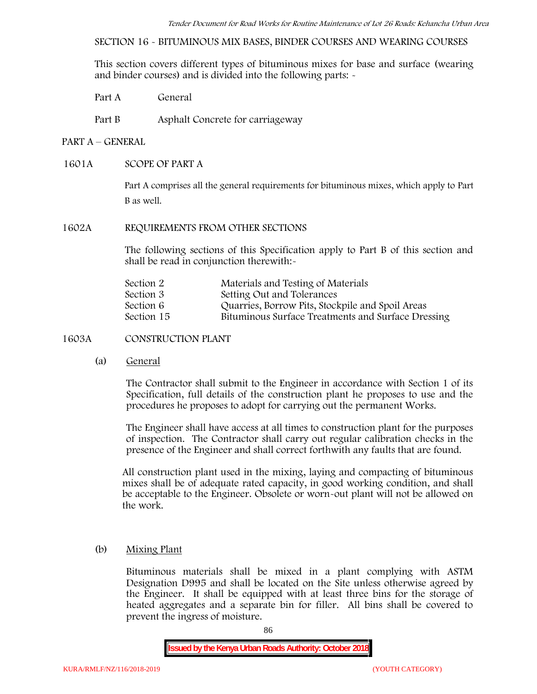**SECTION 16 - BITUMINOUS MIX BASES, BINDER COURSES AND WEARING COURSES**

This section covers different types of bituminous mixes for base and surface (wearing and binder courses) and is divided into the following parts: -

- Part A General
- Part B Asphalt Concrete for carriageway

## **PART A –GENERAL**

## **1601A SCOPE OF PART A**

Part A comprises all the general requirements for bituminous mixes, which apply to Part B as well.

### **1602A REQUIREMENTS FROM OTHER SECTIONS**

The following sections of this Specification apply to Part B of this section and shall be read in conjunction therewith:-

| Section 2  | Materials and Testing of Materials                 |
|------------|----------------------------------------------------|
| Section 3  | Setting Out and Tolerances                         |
| Section 6  | Quarries, Borrow Pits, Stockpile and Spoil Areas   |
| Section 15 | Bituminous Surface Treatments and Surface Dressing |

## **1603A CONSTRUCTION PLANT**

(a) **General**

The Contractor shall submit to the Engineer in accordance with Section 1 of its Specification, full details of the construction plant he proposes to use and the procedures he proposes to adopt for carrying out the permanent Works.

The Engineer shall have access at all times to construction plant for the purposes of inspection. The Contractor shall carry out regular calibration checks in the presence of the Engineer and shall correct forthwith any faults that are found.

All construction plant used in the mixing, laying and compacting of bituminous mixes shall be of adequate rated capacity, in good working condition, and shall be acceptable to the Engineer. Obsolete or worn-out plant will not be allowed on the work.

## (b) **Mixing Plant**

Bituminous materials shall be mixed in a plant complying with ASTM Designation D995 and shall be located on the Site unless otherwise agreed by the Engineer. It shall be equipped with at least three bins for the storage of heated aggregates and a separate bin for filler. All bins shall be covered to prevent the ingress of moisture.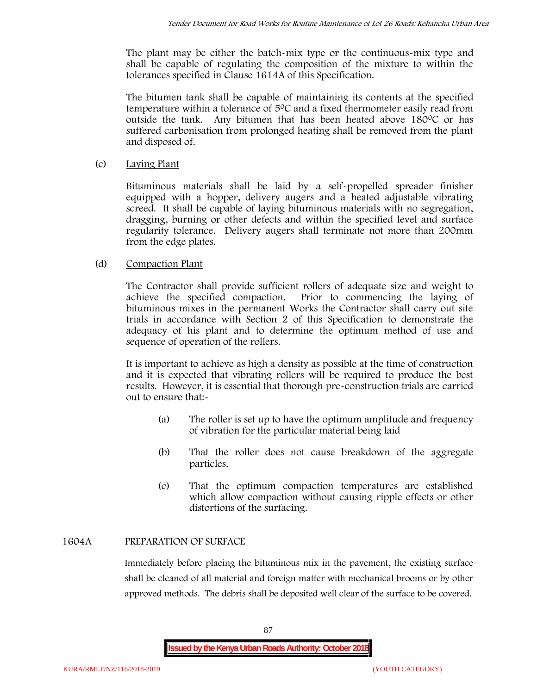The plant may be either the batch-mix type or the continuous-mix type and shall be capable of regulating the composition of the mixture to within the tolerances specified in Clause 1614A of this Specification.

The bitumen tank shall be capable of maintaining its contents at the specified temperature within a tolerance of  $5^{\circ}$ C and a fixed thermometer easily read from outside the tank. Any bitumen that has been heated above  $180^{\circ}$ C or has suffered carbonisation from prolonged heating shall be removed from the plant and disposed of.

# (c) **Laying Plant**

Bituminous materials shall be laid by a self-propelled spreader finisher equipped with a hopper, delivery augers and a heated adjustable vibrating screed. It shall be capable of laying bituminous materials with no segregation, dragging, burning or other defects and within the specified level and surface regularity tolerance. Delivery augers shall terminate not more than 200mm from the edge plates.

# (d) **Compaction Plant**

The Contractor shall provide sufficient rollers of adequate size and weight to achieve the specified compaction. Prior to commencing the laying of bituminous mixes in the permanent Works the Contractor shall carry out site trials in accordance with Section 2 of this Specification to demonstrate the adequacy of his plant and to determine the optimum method of use and sequence of operation of the rollers.

It is important to achieve as high a density as possible at the time of construction and it is expected that vibrating rollers will be required to produce the best results. However, it is essential that thorough pre-construction trials are carried out to ensure that:-

- (a) The roller is set up to have the optimum amplitude and frequency of vibration for the particular material being laid
- (b) That the roller does not cause breakdown of the aggregate particles.
- (c) That the optimum compaction temperatures are established which allow compaction without causing ripple effects or other distortions of the surfacing.

# **1604A PREPARATION OF SURFACE**

Immediately before placing the bituminous mix in the pavement, the existing surface shall be cleaned of all material and foreign matter with mechanical brooms or by other approved methods. The debris shall be deposited well clear of the surface to be covered.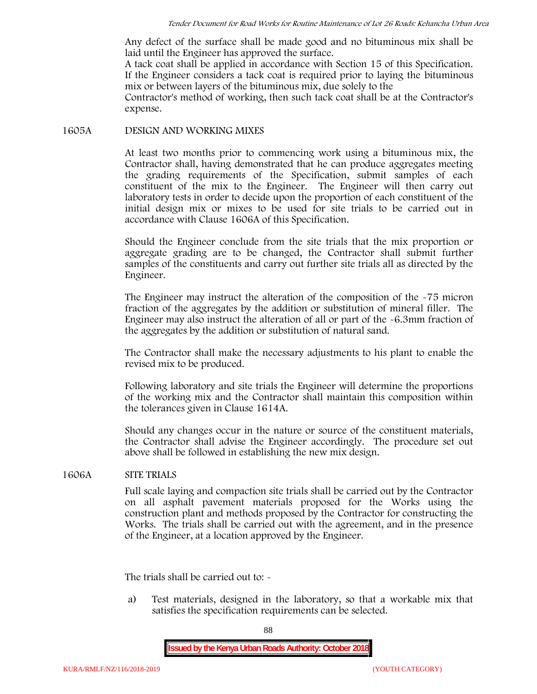Any defect of the surface shall be made good and no bituminous mix shall be laid until the Engineer has approved the surface.

A tack coat shall be applied in accordance with Section 15 of this Specification. If the Engineer considers a tack coat is required prior to laying the bituminous mix or between layers of the bituminous mix, due solely to the

Contractor's method of working, then such tack coat shall be at the Contractor's expense.

#### **1605A DESIGN AND WORKING MIXES**

At least two months prior to commencing work using a bituminous mix, the Contractor shall, having demonstrated that he can produce aggregates meeting the grading requirements of the Specification, submit samples of each constituent of the mix to the Engineer. The Engineer will then carry out laboratory tests in order to decide upon the proportion of each constituent of the initial design mix or mixes to be used for site trials to be carried out in accordance with Clause 1606A of this Specification.

Should the Engineer conclude from the site trials that the mix proportion or aggregate grading are to be changed, the Contractor shall submit further samples of the constituents and carry out further site trials all as directed by the Engineer.

The Engineer may instruct the alteration of the composition of the -75 micron fraction of the aggregates by the addition or substitution of mineral filler. The Engineer may also instruct the alteration of all or part of the -6.3mm fraction of the aggregates by the addition or substitution of natural sand.

The Contractor shall make the necessary adjustments to his plant to enable the revised mix to be produced.

Following laboratory and site trials the Engineer will determine the proportions of the working mix and the Contractor shall maintain this composition within the tolerances given in Clause 1614A.

Should any changes occur in the nature or source of the constituent materials, the Contractor shall advise the Engineer accordingly. The procedure set out above shall be followed in establishing the new mix design.

## **1606A SITE TRIALS**

Full scale laying and compaction site trials shall be carried out by the Contractor on all asphalt pavement materials proposed for the Works using the construction plant and methods proposed by the Contractor for constructing the Works. The trials shall be carried out with the agreement, and in the presence of the Engineer, at a location approved by the Engineer.

The trials shall be carried out to: -

a) Test materials, designed in the laboratory, so that a workable mix that satisfies the specification requirements can be selected.

88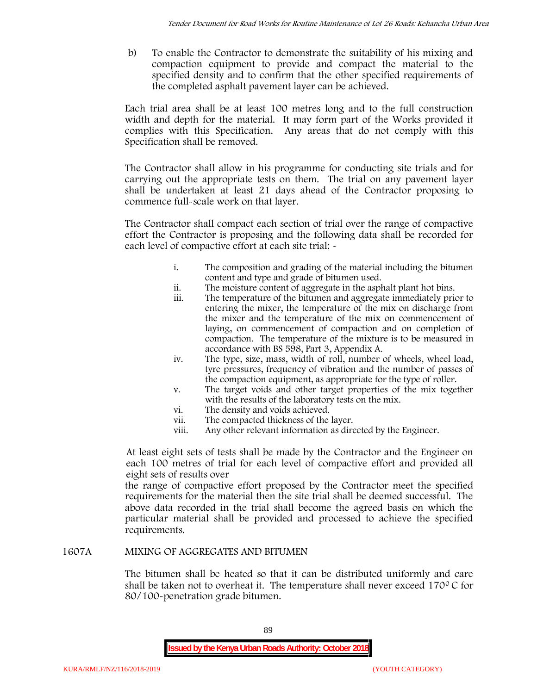b) To enable the Contractor to demonstrate the suitability of his mixing and compaction equipment to provide and compact the material to the specified density and to confirm that the other specified requirements of the completed asphalt pavement layer can be achieved.

Each trial area shall be at least 100 metres long and to the full construction width and depth for the material. It may form part of the Works provided it complies with this Specification. Any areas that do not comply with this Specification shall be removed.

The Contractor shall allow in his programme for conducting site trials and for carrying out the appropriate tests on them. The trial on any pavement layer shall be undertaken at least 21 days ahead of the Contractor proposing to commence full-scale work on that layer.

The Contractor shall compact each section of trial over the range of compactive effort the Contractor is proposing and the following data shall be recorded for each level of compactive effort at each site trial:  $\sim$ 

- i. The composition and grading of the material including the bitumen content and type and grade of bitumen used.
- ii. The moisture content of aggregate in the asphalt plant hot bins.
- iii. The temperature of the bitumen and aggregate immediately prior to entering the mixer, the temperature of the mix on discharge from the mixer and the temperature of the mix on commencement of laying, on commencement of compaction and on completion of compaction. The temperature of the mixture is to be measured in accordance with BS 598, Part 3, Appendix A.
- iv. The type, size, mass, width of roll, number of wheels, wheel load, tyre pressures, frequency of vibration and the number of passes of the compaction equipment, as appropriate for the type of roller.
- v. The target voids and other target properties of the mix together with the results of the laboratory tests on the mix.
- vi. The density and voids achieved.
- vii. The compacted thickness of the layer.
- viii. Any other relevant information as directed by the Engineer.

At least eight sets of tests shall be made by the Contractor and the Engineer on each 100 metres of trial for each level of compactive effort and provided all eight sets of results over

the range of compactive effort proposed by the Contractor meet the specified requirements for the material then the site trial shall be deemed successful. The above data recorded in the trial shall become the agreed basis on which the particular material shall be provided and processed to achieve the specified requirements.

## **1607A MIXING OF AGGREGATES AND BITUMEN**

The bitumen shall be heated so that it can be distributed uniformly and care shall be taken not to overheat it. The temperature shall never exceed 170 $\degree$ C for 80/100-penetration grade bitumen.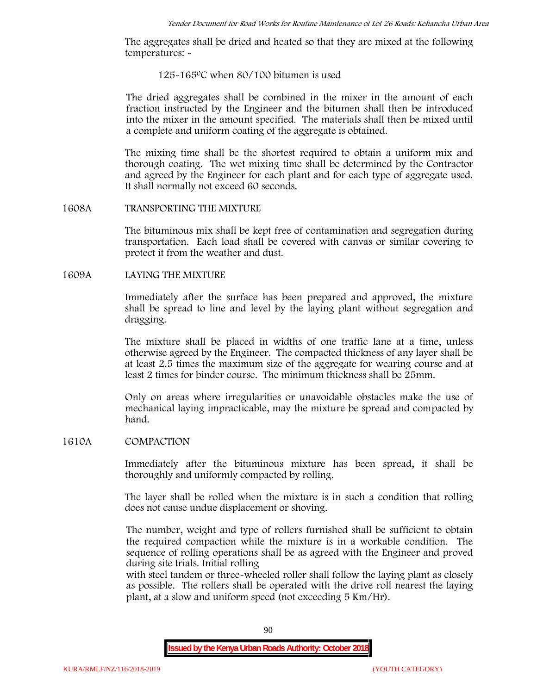The aggregates shall be dried and heated so that they are mixed at the following temperatures: -

## 125-1650C when 80/100 bitumen is used

The dried aggregates shall be combined in the mixer in the amount of each fraction instructed by the Engineer and the bitumen shall then be introduced into the mixer in the amount specified. The materials shall then be mixed until a complete and uniform coating of the aggregate is obtained.

The mixing time shall be the shortest required to obtain a uniform mix and thorough coating. The wet mixing time shall be determined by the Contractor and agreed by the Engineer for each plant and for each type of aggregate used. It shall normally not exceed 60 seconds.

### **1608A TRANSPORTING THE MIXTURE**

The bituminous mix shall be kept free of contamination and segregation during transportation. Each load shall be covered with canvas or similar covering to protect it from the weather and dust.

## **1609A LAYING THE MIXTURE**

Immediately after the surface has been prepared and approved, the mixture shall be spread to line and level by the laying plant without segregation and dragging.

The mixture shall be placed in widths of one traffic lane at a time, unless otherwise agreed by the Engineer. The compacted thickness of any layer shall be at least 2.5 times the maximum size of the aggregate for wearing course and at least 2 times for binder course. The minimum thickness shall be 25mm.

Only on areas where irregularities or unavoidable obstacles make the use of mechanical laying impracticable, may the mixture be spread and compacted by hand.

## **1610A COMPACTION**

Immediately after the bituminous mixture has been spread, it shall be thoroughly and uniformly compacted by rolling.

The layer shall be rolled when the mixture is in such a condition that rolling does not cause undue displacement or shoving.

The number, weight and type of rollers furnished shall be sufficient to obtain the required compaction while the mixture is in a workable condition. The sequence of rolling operations shall be as agreed with the Engineer and proved during site trials. Initial rolling

with steel tandem or three-wheeled roller shall follow the laying plant as closely as possible. The rollers shall be operated with the drive roll nearest the laying plant, at a slow and uniform speed (not exceeding 5 Km/Hr).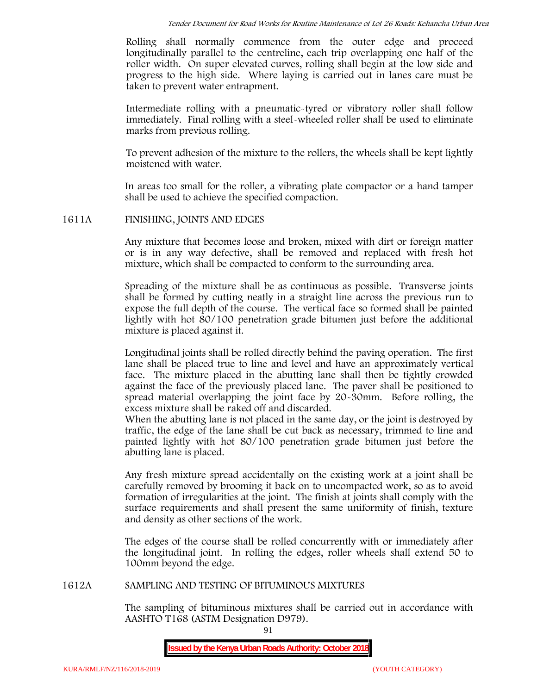Rolling shall normally commence from the outer edge and proceed longitudinally parallel to the centreline, each trip overlapping one half of the roller width. On super elevated curves, rolling shall begin at the low side and progress to the high side. Where laying is carried out in lanes care must be taken to prevent water entrapment.

Intermediate rolling with a pneumatic-tyred or vibratory roller shall follow immediately. Final rolling with a steel-wheeled roller shall be used to eliminate marks from previous rolling.

To prevent adhesion of the mixture to the rollers, the wheels shall be kept lightly moistened with water.

In areas too small for the roller, a vibrating plate compactor or a hand tamper shall be used to achieve the specified compaction.

## **1611A FINISHING, JOINTS AND EDGES**

Any mixture that becomes loose and broken, mixed with dirt or foreign matter or is in any way defective, shall be removed and replaced with fresh hot mixture, which shall be compacted to conform to the surrounding area.

Spreading of the mixture shall be as continuous as possible. Transverse joints shall be formed by cutting neatly in a straight line across the previous run to expose the full depth of the course. The vertical face so formed shall be painted lightly with hot 80/100 penetration grade bitumen just before the additional mixture is placed against it.

Longitudinal joints shall be rolled directly behind the paving operation. The first lane shall be placed true to line and level and have an approximately vertical face. The mixture placed in the abutting lane shall then be tightly crowded against the face of the previously placed lane. The paver shall be positioned to spread material overlapping the joint face by 20-30mm. Before rolling, the excess mixture shall be raked off and discarded.

When the abutting lane is not placed in the same day, or the joint is destroyed by traffic, the edge of the lane shall be cut back as necessary, trimmed to line and painted lightly with hot 80/100 penetration grade bitumen just before the abutting lane is placed.

Any fresh mixture spread accidentally on the existing work at a joint shall be carefully removed by brooming it back on to uncompacted work, so as to avoid formation of irregularities at the joint. The finish at joints shall comply with the surface requirements and shall present the same uniformity of finish, texture and density as other sections of the work.

The edges of the course shall be rolled concurrently with or immediately after the longitudinal joint. In rolling the edges, roller wheels shall extend 50 to 100mm beyond the edge.

## **1612A SAMPLING AND TESTING OF BITUMINOUS MIXTURES**

The sampling of bituminous mixtures shall be carried out in accordance with AASHTO T168 (ASTM Designation D979).

91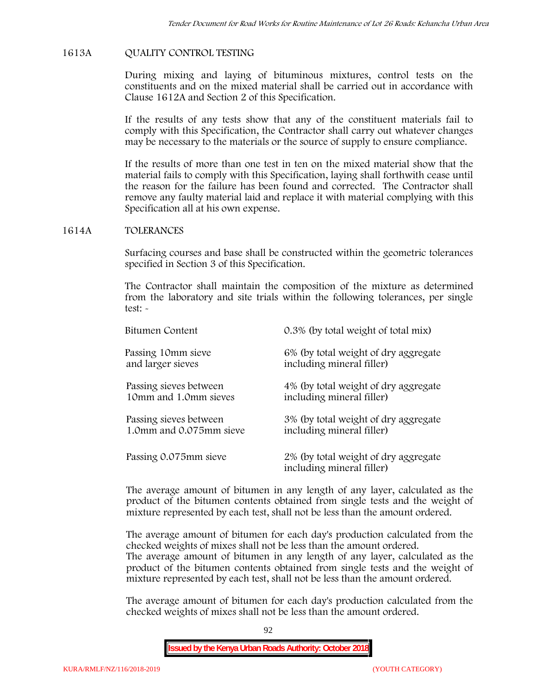## **1613A QUALITY CONTROL TESTING**

During mixing and laying of bituminous mixtures, control tests on the constituents and on the mixed material shall be carried out in accordance with Clause 1612A and Section 2 of this Specification.

If the results of any tests show that any of the constituent materials fail to comply with this Specification, the Contractor shall carry out whatever changes may be necessary to the materials or the source of supply to ensure compliance.

If the results of more than one test in ten on the mixed material show that the material fails to comply with this Specification, laying shall forthwith cease until the reason for the failure has been found and corrected. The Contractor shall remove any faulty material laid and replace it with material complying with this Specification all at his own expense.

### **1614A TOLERANCES**

Surfacing courses and base shall be constructed within the geometric tolerances specified in Section 3 of this Specification.

The Contractor shall maintain the composition of the mixture as determined from the laboratory and site trials within the following tolerances, per single test: -

| Bitumen Content         | 0.3% (by total weight of total mix)                               |
|-------------------------|-------------------------------------------------------------------|
| Passing 10mm sieve      | 6% (by total weight of dry aggregate                              |
| and larger sieves       | including mineral filler)                                         |
| Passing sieves between  | 4% (by total weight of dry aggregate                              |
| 10mm and 1.0mm sieves   | including mineral filler)                                         |
| Passing sieves between  | 3% (by total weight of dry aggregate                              |
| 1.0mm and 0.075mm sieve | including mineral filler)                                         |
| Passing 0.075mm sieve   | 2% (by total weight of dry aggregate<br>including mineral filler) |

The average amount of bitumen in any length of any layer, calculated as the product of the bitumen contents obtained from single tests and the weight of mixture represented by each test, shall not be less than the amount ordered.

The average amount of bitumen for each day's production calculated from the checked weights of mixes shall not be less than the amount ordered.

The average amount of bitumen in any length of any layer, calculated as the product of the bitumen contents obtained from single tests and the weight of mixture represented by each test, shall not be less than the amount ordered.

The average amount of bitumen for each day's production calculated from the checked weights of mixes shall not be less than the amount ordered.

92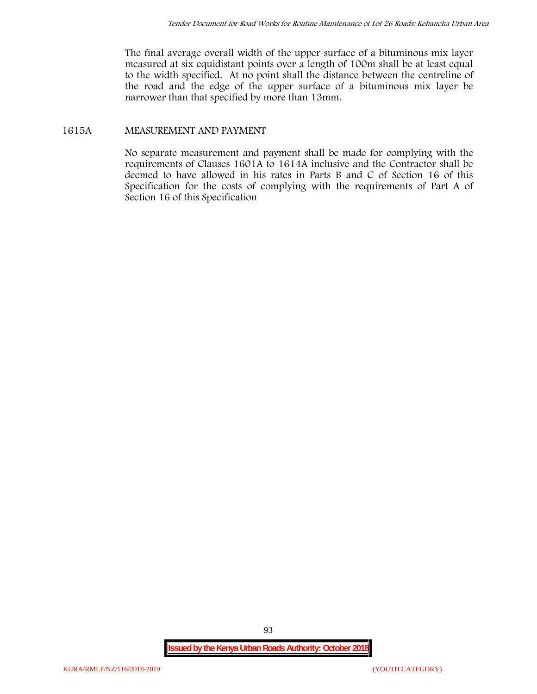The final average overall width of the upper surface of a bituminous mix layer measured at six equidistant points over a length of 100m shall be at least equal to the width specified. At no point shall the distance between the centreline of the road and the edge of the upper surface of a bituminous mix layer be narrower than that specified by more than 13mm.

## **1615A MEASUREMENT AND PAYMENT**

No separate measurement and payment shall be made for complying with the requirements of Clauses 1601A to 1614A inclusive and the Contractor shall be deemed to have allowed in his rates in Parts B and C of Section 16 of this Specification for the costs of complying with the requirements of Part A of Section 16 of this Specification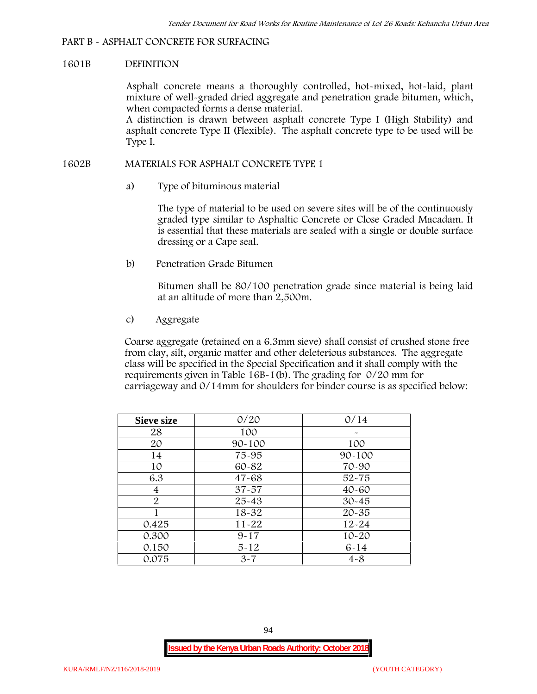### **PART B - ASPHALT CONCRETE FOR SURFACING**

#### **1601B DEFINITION**

Asphalt concrete means a thoroughly controlled, hot-mixed, hot-laid, plant mixture of well-graded dried aggregate and penetration grade bitumen, which, when compacted forms a dense material.

A distinction is drawn between asphalt concrete Type I (High Stability) and asphalt concrete Type II (Flexible). The asphalt concrete type to be used will be Type I.

## **1602B MATERIALS FOR ASPHALT CONCRETE TYPE 1**

a) **Type of bituminous material**

The type of material to be used on severe sites will be of the continuously graded type similar to Asphaltic Concrete or Close Graded Macadam. It is essential that these materials are sealed with a single or double surface dressing or a Cape seal.

b) **Penetration Grade Bitumen**

Bitumen shall be 80/100 penetration grade since material is being laid at an altitude of more than 2,500m.

c) **Aggregate**

Coarse aggregate (retained on a 6.3mm sieve) shall consist of crushed stone free from clay, silt, organic matter and other deleterious substances. The aggregate class will be specified in the Special Specification and it shall comply with the requirements given in Table 16B-1(b). The grading for 0/20 mm for carriageway and 0/14mm for shoulders for binder course is as specified below:

| <b>Sieve size</b> | 0/20       | 0/14       |
|-------------------|------------|------------|
| 28                | 100        |            |
| 20                | $90 - 100$ | 100        |
| 14                | 75-95      | $90 - 100$ |
| 10                | 60-82      | 70-90      |
| 6.3               | $47 - 68$  | $52 - 75$  |
| 4                 | $37 - 57$  | $40 - 60$  |
| $\overline{2}$    | 25-43      | $30 - 45$  |
|                   | 18-32      | $20 - 35$  |
| 0.425             | $11 - 22$  | $12 - 24$  |
| 0.300             | $9 - 17$   | $10 - 20$  |
| 0.150             | $5 - 12$   | $6 - 14$   |
| 0.075             | $3 - 7$    | $4 - 8$    |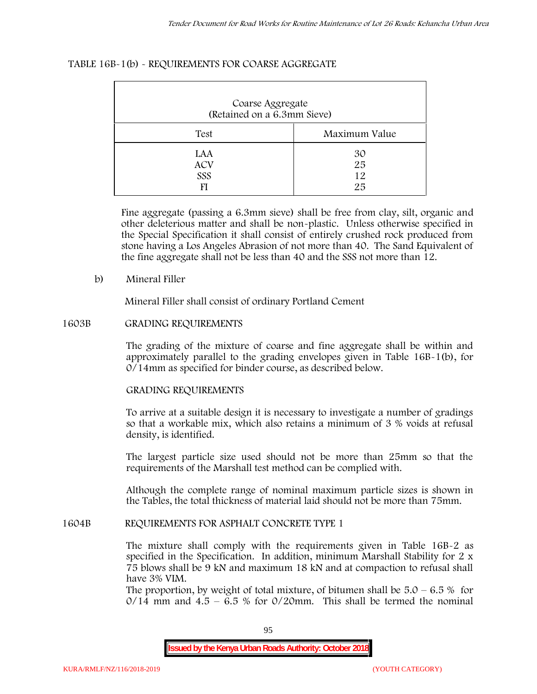### **TABLE 16B-1(b) - REQUIREMENTS FOR COARSE AGGREGATE**

| Coarse Aggregate<br>(Retained on a 6.3mm Sieve) |                      |  |  |  |
|-------------------------------------------------|----------------------|--|--|--|
| Test                                            | Maximum Value        |  |  |  |
| LAA<br><b>ACV</b><br>SSS                        | 30<br>25<br>12<br>25 |  |  |  |

Fine aggregate (passing a 6.3mm sieve) shall be free from clay, silt, organic and other deleterious matter and shall be non-plastic. Unless otherwise specified in the Special Specification it shall consist of entirely crushed rock produced from stone having a Los Angeles Abrasion of not more than 40. The Sand Equivalent of the fine aggregate shall not be less than 40 and the SSS not more than 12.

### **b) Mineral Filler**

Mineral Filler shall consist of ordinary Portland Cement

### **1603B GRADING REQUIREMENTS**

The grading of the mixture of coarse and fine aggregate shall be within and approximately parallel to the grading envelopes given in Table 16B-1(b), for 0/14mm as specified for binder course, as described below.

## **GRADING REQUIREMENTS**

To arrive at a suitable design it is necessary to investigate a number of gradings so that a workable mix, which also retains a minimum of 3 % voids at refusal density, is identified.

The largest particle size used should not be more than 25mm so that the requirements of the Marshall test method can be complied with.

Although the complete range of nominal maximum particle sizes is shown in the Tables, the total thickness of material laid should not be more than 75mm.

#### **1604B REQUIREMENTS FOR ASPHALT CONCRETE TYPE 1**

The mixture shall comply with the requirements given in Table 16B-2 as specified in the Specification. In addition, minimum Marshall Stability for 2 x 75 blows shall be 9 kN and maximum 18 kN and at compaction to refusal shall have 3% VIM.

The proportion, by weight of total mixture, of bitumen shall be  $5.0 - 6.5 %$  for  $0/14$  mm and  $4.5 - 6.5$  % for  $0/20$ mm. This shall be termed the nominal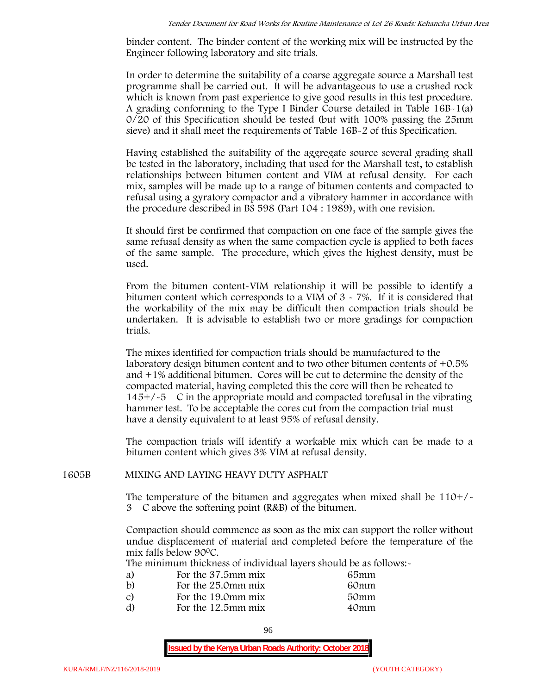binder content. The binder content of the working mix will be instructed by the Engineer following laboratory and site trials.

In order to determine the suitability of a coarse aggregate source a Marshall test programme shall be carried out. It will be advantageous to use a crushed rock which is known from past experience to give good results in this test procedure. A grading conforming to the Type I Binder Course detailed in Table 16B-1(a) 0/20 of this Specification should be tested (but with 100% passing the 25mm sieve) and it shall meet the requirements of Table 16B-2 of this Specification.

Having established the suitability of the aggregate source several grading shall be tested in the laboratory, including that used for the Marshall test, to establish relationships between bitumen content and VIM at refusal density. For each mix, samples will be made up to a range of bitumen contents and compacted to refusal using a gyratory compactor and a vibratory hammer in accordance with the procedure described in BS 598 (Part 104 : 1989), with one revision.

It should first be confirmed that compaction on one face of the sample gives the same refusal density as when the same compaction cycle is applied to both faces of the same sample. The procedure, which gives the highest density, must be used.

From the bitumen content-VIM relationship it will be possible to identify a bitumen content which corresponds to a VIM of 3 - 7%. If it is considered that the workability of the mix may be difficult then compaction trials should be undertaken. It is advisable to establish two or more gradings for compaction trials.

The mixes identified for compaction trials should be manufactured to the laboratory design bitumen content and to two other bitumen contents of +0.5% and +1% additional bitumen. Cores will be cut to determine the density of the compacted material, having completed this the core will then be reheated to  $145+/5$  C in the appropriate mould and compacted torefusal in the vibrating hammer test. To be acceptable the cores cut from the compaction trial must have a density equivalent to at least 95% of refusal density.

The compaction trials will identify a workable mix which can be made to a bitumen content which gives 3% VIM at refusal density.

## **1605B MIXING AND LAYING HEAVY DUTY ASPHALT**

The temperature of the bitumen and aggregates when mixed shall be  $110+/$ 3C above the softening point (R&B) of the bitumen.

Compaction should commence as soon as the mix can support the roller without undue displacement of material and completed before the temperature of the mix falls below 900C.

The minimum thickness of individual layers should be as follows:-

| a) | For the 37.5mm mix | 65mm |  |
|----|--------------------|------|--|
| b) | For the 25.0mm mix | 60mm |  |
| C) | For the 19.0mm mix | 50mm |  |
| d) | For the 12.5mm mix | 40mm |  |
|    |                    |      |  |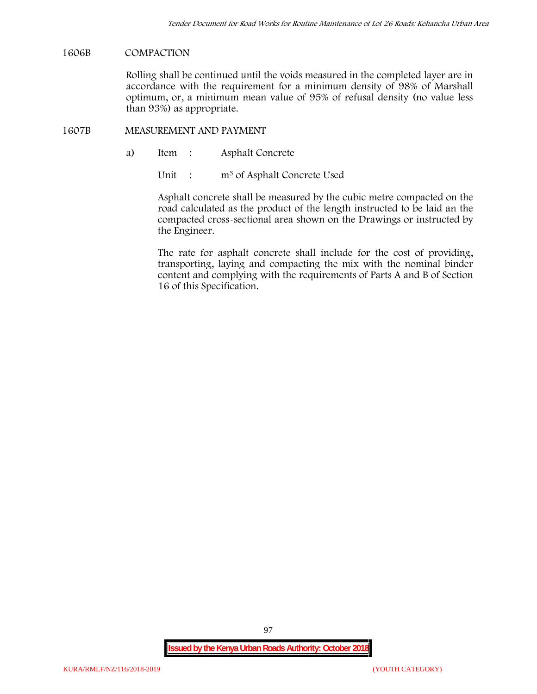### **1606B COMPACTION**

Rolling shall be continued until the voids measured in the completed layer are in accordance with the requirement for a minimum density of 98% of Marshall optimum, or, a minimum mean value of 95% of refusal density (no value less than 93%) as appropriate.

## **1607B MEASUREMENT AND PAYMENT**

a) Item : Asphalt Concrete

Unit : m<sup>3</sup> of Asphalt Concrete Used

Asphalt concrete shall be measured by the cubic metre compacted on the road calculated as the product of the length instructed to be laid an the compacted cross-sectional area shown on the Drawings or instructed by the Engineer.

The rate for asphalt concrete shall include for the cost of providing, transporting, laying and compacting the mix with the nominal binder content and complying with the requirements of Parts A and B of Section 16 of this Specification.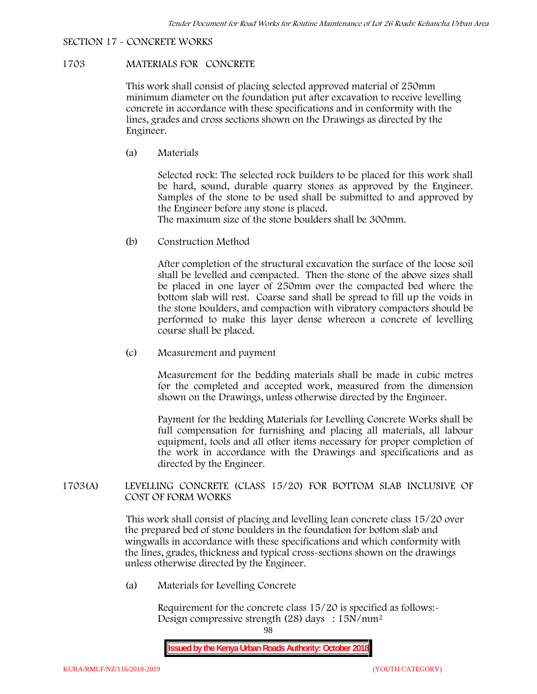### **SECTION 17 - CONCRETE WORKS**

## **1703 MATERIALS FOR CONCRETE**

This work shall consist of placing selected approved material of 250mm minimum diameter on the foundation put after excavation to receive levelling concrete in accordance with these specifications and in conformity with the lines, grades and cross sections shown on the Drawings as directed by the Engineer.

(a) **Materials**

Selected rock: The selected rock builders to be placed for this work shall be hard, sound, durable quarry stones as approved by the Engineer. Samples of the stone to be used shall be submitted to and approved by the Engineer before any stone is placed.

The maximum size of the stone boulders shall be 300mm.

(b) **Construction Method**

After completion of the structural excavation the surface of the loose soil shall be levelled and compacted. Then the stone of the above sizes shall be placed in one layer of 250mm over the compacted bed where the bottom slab will rest. Coarse sand shall be spread to fill up the voids in the stone boulders, and compaction with vibratory compactors should be performed to make this layer dense whereon a concrete of levelling course shall be placed.

(c) **Measurement and payment**

Measurement for the bedding materials shall be made in cubic metres for the completed and accepted work, measured from the dimension shown on the Drawings, unless otherwise directed by the Engineer.

Payment for the bedding Materials for Levelling Concrete Works shall be full compensation for furnishing and placing all materials, all labour equipment, tools and all other items necessary for proper completion of the work in accordance with the Drawings and specifications and as directed by the Engineer.

# **1703(A) LEVELLING CONCRETE (CLASS 15/20) FOR BOTTOM SLAB INCLUSIVE OF COST OF FORM WORKS**

This work shall consist of placing and levelling lean concrete class 15/20 over the prepared bed of stone boulders in the foundation for bottom slab and wingwalls in accordance with these specifications and which conformity with the lines, grades, thickness and typical cross-sections shown on the drawings unless otherwise directed by the Engineer.

(a) **Materials for Levelling Concrete**

Requirement for the concrete class  $15/20$  is specified as follows:-Design compressive strength (28) days : 15N/mm2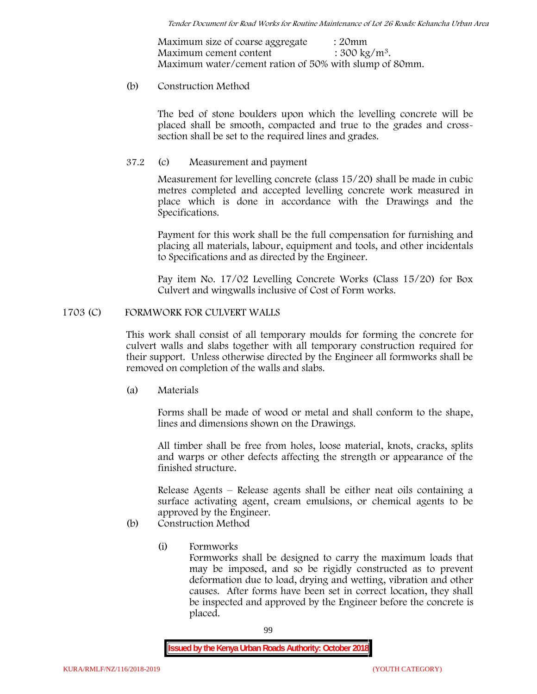Maximum size of coarse aggregate : 20mm Maximum cement content  $: 300 \text{ kg/m}^3$ . Maximum water/cement ration of 50% with slump of 80mm.

## (b) **Construction Method**

The bed of stone boulders upon which the levelling concrete will be placed shall be smooth, compacted and true to the grades and crosssection shall be set to the required lines and grades.

## **37.2** (c) **Measurement and payment**

Measurement for levelling concrete (class 15/20) shall be made in cubic metres completed and accepted levelling concrete work measured in place which is done in accordance with the Drawings and the Specifications.

Payment for this work shall be the full compensation for furnishing and placing all materials, labour, equipment and tools, and other incidentals to Specifications and as directed by the Engineer.

Pay item No. 17/02 Levelling Concrete Works (Class 15/20) for Box Culvert and wingwalls inclusive of Cost of Form works.

## **1703 (C) FORMWORK FOR CULVERT WALLS**

This work shall consist of all temporary moulds for forming the concrete for culvert walls and slabs together with all temporary construction required for their support. Unless otherwise directed by the Engineer all formworks shall be removed on completion of the walls and slabs.

(a) **Materials**

Forms shall be made of wood or metal and shall conform to the shape, lines and dimensions shown on the Drawings.

All timber shall be free from holes, loose material, knots, cracks, splits and warps or other defects affecting the strength or appearance of the finished structure.

Release Agents – Release agents shall be either neat oils containing a surface activating agent, cream emulsions, or chemical agents to be approved by the Engineer.

# (b) **Construction Method**

(i) **Formworks**

Formworks shall be designed to carry the maximum loads that may be imposed, and so be rigidly constructed as to prevent deformation due to load, drying and wetting, vibration and other causes. After forms have been set in correct location, they shall be inspected and approved by the Engineer before the concrete is placed.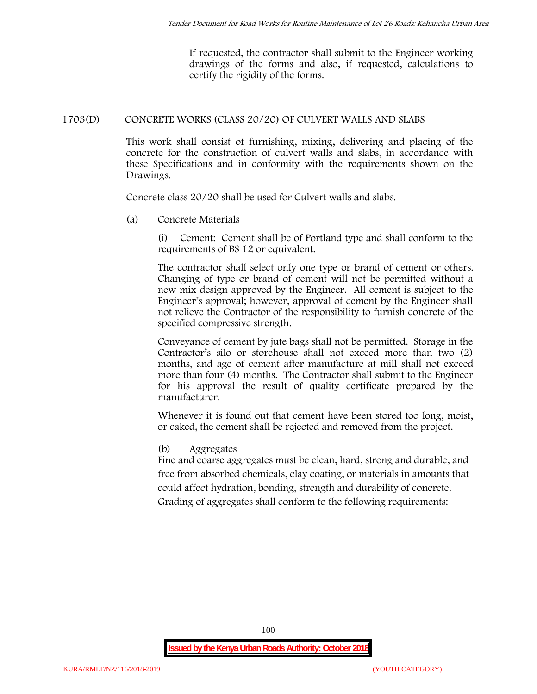If requested, the contractor shall submit to the Engineer working drawings of the forms and also, if requested, calculations to certify the rigidity of the forms.

## **1703(D) CONCRETE WORKS (CLASS 20/20) OF CULVERT WALLS AND SLABS**

This work shall consist of furnishing, mixing, delivering and placing of the concrete for the construction of culvert walls and slabs, in accordance with these Specifications and in conformity with the requirements shown on the Drawings.

Concrete class 20/20 shall be used for Culvert walls and slabs.

**(a) Concrete Materials**

(i) Cement: Cement shall be of Portland type and shall conform to the requirements of BS 12 or equivalent.

The contractor shall select only one type or brand of cement or others. Changing of type or brand of cement will not be permitted without a new mix design approved by the Engineer. All cement is subject to the Engineer's approval; however, approval of cement by the Engineer shall not relieve the Contractor of the responsibility to furnish concrete of the specified compressive strength.

Conveyance of cement by jute bags shall not be permitted. Storage in the Contractor's silo or storehouse shall not exceed more than two (2) months, and age of cement after manufacture at mill shall not exceed more than four (4) months. The Contractor shall submit to the Engineer for his approval the result of quality certificate prepared by the manufacturer.

Whenever it is found out that cement have been stored too long, moist, or caked, the cement shall be rejected and removed from the project.

# **(b) Aggregates**

Fine and coarse aggregates must be clean, hard, strong and durable, and free from absorbed chemicals, clay coating, or materials in amounts that could affect hydration, bonding, strength and durability of concrete. Grading of aggregates shall conform to the following requirements: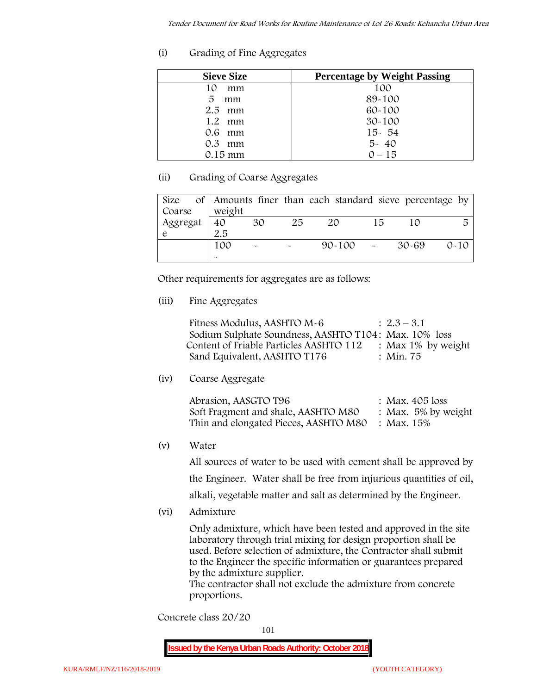# **(i) Grading of Fine Aggregates**

| <b>Sieve Size</b> | <b>Percentage by Weight Passing</b> |
|-------------------|-------------------------------------|
| 10<br>mm          | 100                                 |
| 5.<br>mm          | 89-100                              |
| $2.5$ mm          | $60 - 100$                          |
| $1.2$ mm          | $30 - 100$                          |
| 0.6 mm            | $15 - 54$                           |
| $0.3$ mm          | $5 - 40$                            |
| $0.15 \text{ mm}$ | $0 - 15$                            |

# **(ii) Grading of Coarse Aggregates**

| Size     |                       |                           |    | of Amounts finer than each standard sieve percentage by |        |       |          |
|----------|-----------------------|---------------------------|----|---------------------------------------------------------|--------|-------|----------|
| Coarse   | weight                |                           |    |                                                         |        |       |          |
| Aggregat | 40                    | 30                        | 25 | 20                                                      | 15     |       | 5        |
|          | 2.5                   |                           |    |                                                         |        |       |          |
|          | 100                   | $\widetilde{\phantom{m}}$ |    | $90 - 100$                                              | $\sim$ | 30-69 | $0 - 10$ |
|          | $\tilde{\phantom{a}}$ |                           |    |                                                         |        |       |          |

Other requirements for aggregates are as follows:

# **(iii) Fine Aggregates**

| Fitness Modulus, AASHTO M-6                           | $: 2.3 - 3.1$      |
|-------------------------------------------------------|--------------------|
| Sodium Sulphate Soundness, AASHTO T104: Max. 10% loss |                    |
| Content of Friable Particles AASHTO 112               | : Max 1% by weight |
| Sand Equivalent, AASHTO T176                          | : Min. 75          |

**(iv) Coarse Aggregate**

| Abrasion, AASGTO T96                             | : Max. $405$ loss      |
|--------------------------------------------------|------------------------|
| Soft Fragment and shale, AASHTO M80              | : Max. $5\%$ by weight |
| Thin and elongated Pieces, AASHTO M80 : Max. 15% |                        |

**(v) Water**

All sources of water to be used with cement shall be approved by the Engineer. Water shall be free from injurious quantities of oil, alkali, vegetable matter and salt as determined by the Engineer.

**(vi) Admixture**

Only admixture, which have been tested and approved in the site laboratory through trial mixing for design proportion shall be used. Before selection of admixture, the Contractor shall submit to the Engineer the specific information or guarantees prepared by the admixture supplier.

The contractor shall not exclude the admixture from concrete proportions.

**Concrete class 20/20**

101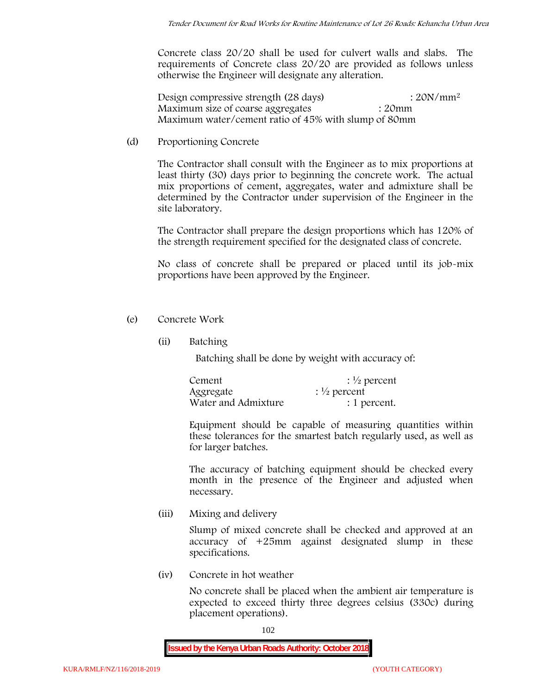Concrete class 20/20 shall be used for culvert walls and slabs. The requirements of Concrete class 20/20 are provided as follows unless otherwise the Engineer will designate any alteration.

Design compressive strength (28 days) : 20N/mm<sup>2</sup> Maximum size of coarse aggregates : 20mm Maximum water/cement ratio of 45% with slump of 80mm

(d) **Proportioning Concrete**

The Contractor shall consult with the Engineer as to mix proportions at least thirty (30) days prior to beginning the concrete work. The actual mix proportions of cement, aggregates, water and admixture shall be determined by the Contractor under supervision of the Engineer in the site laboratory.

The Contractor shall prepare the design proportions which has 120% of the strength requirement specified for the designated class of concrete.

No class of concrete shall be prepared or placed until its job-mix proportions have been approved by the Engineer.

- (e) **Concrete Work**
	- **(ii) Batching**

Batching shall be done by weight with accuracy of:

| Cement              | $\frac{1}{2}$ percent |
|---------------------|-----------------------|
| Aggregate           | $\frac{1}{2}$ percent |
| Water and Admixture | : 1 percent.          |

Equipment should be capable of measuring quantities within these tolerances for the smartest batch regularly used, as well as for larger batches.

The accuracy of batching equipment should be checked every month in the presence of the Engineer and adjusted when necessary.

**(iii) Mixing and delivery**

Slump of mixed concrete shall be checked and approved at an accuracy of +25mm against designated slump in these specifications.

**(iv) Concrete in hot weather**

No concrete shall be placed when the ambient air temperature is expected to exceed thirty three degrees celsius (330c) during placement operations).

102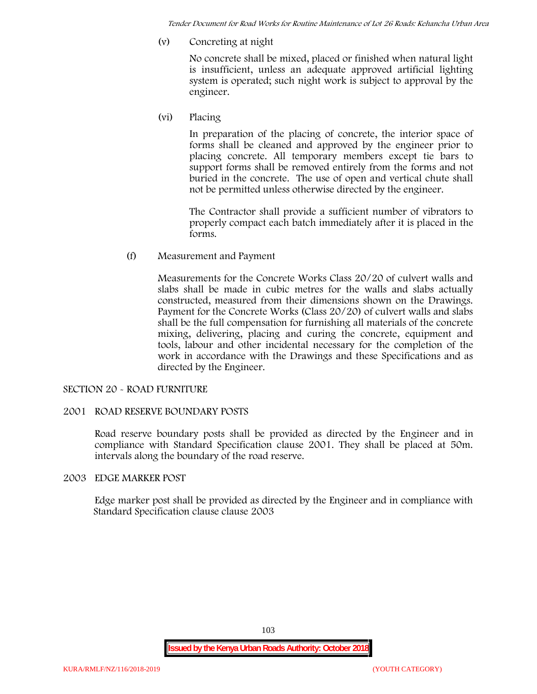*Tender Document for Road Works for Routine Maintenance of Lot 26 Roads: Kehancha Urban Area*

**(v) Concreting at night**

No concrete shall be mixed, placed or finished when natural light is insufficient, unless an adequate approved artificial lighting system is operated; such night work is subject to approval by the engineer.

**(vi) Placing**

In preparation of the placing of concrete, the interior space of forms shall be cleaned and approved by the engineer prior to placing concrete. All temporary members except tie bars to support forms shall be removed entirely from the forms and not buried in the concrete. The use of open and vertical chute shall not be permitted unless otherwise directed by the engineer.

The Contractor shall provide a sufficient number of vibrators to properly compact each batch immediately after it is placed in the forms.

(f) **Measurement and Payment**

Measurements for the Concrete Works Class 20/20 of culvert walls and slabs shall be made in cubic metres for the walls and slabs actually constructed, measured from their dimensions shown on the Drawings. Payment for the Concrete Works (Class 20/20) of culvert walls and slabs shall be the full compensation for furnishing all materials of the concrete mixing, delivering, placing and curing the concrete, equipment and tools, labour and other incidental necessary for the completion of the work in accordance with the Drawings and these Specifications and as directed by the Engineer.

## **SECTION 20 - ROAD FURNITURE**

## **2001 ROAD RESERVE BOUNDARY POSTS**

Road reserve boundary posts shall be provided as directed by the Engineer and in compliance with Standard Specification clause 2001. They shall be placed at 50m. intervals along the boundary of the road reserve.

#### **2003 EDGE MARKER POST**

Edge marker post shall be provided as directed by the Engineer and in compliance with Standard Specification clause clause 2003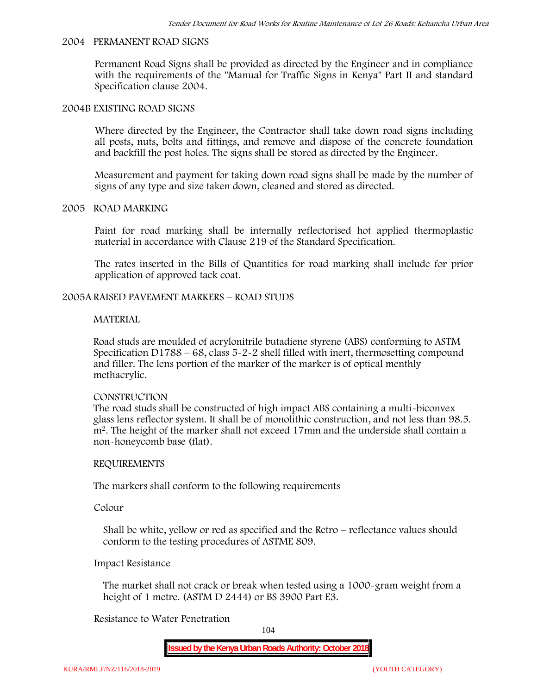#### **2004 PERMANENT ROAD SIGNS**

Permanent Road Signs shall be provided as directed by the Engineer and in compliance with the requirements of the "Manual for Traffic Signs in Kenya" Part II and standard Specification clause 2004.

#### **2004B EXISTING ROAD SIGNS**

Where directed by the Engineer, the Contractor shall take down road signs including all posts, nuts, bolts and fittings, and remove and dispose of the concrete foundation and backfill the post holes. The signs shall be stored as directed by the Engineer.

Measurement and payment for taking down road signs shall be made by the number of signs of any type and size taken down, cleaned and stored as directed.

### **2005 ROAD MARKING**

Paint for road marking shall be internally reflectorised hot applied thermoplastic material in accordance with Clause 219 of the Standard Specification.

The rates inserted in the Bills of Quantities for road marking shall include for prior application of approved tack coat.

### **2005A RAISED PAVEMENT MARKERS – ROAD STUDS**

#### **MATERIAL**

Road studs are moulded of acrylonitrile butadiene styrene (ABS) conforming to ASTM Specification D1788 – 68, class  $5 - 2 - 2$  shell filled with inert, thermosetting compound and filler. The lens portion of the marker of the marker is of optical menthly methacrylic.

#### **CONSTRUCTION**

The road studs shall be constructed of high impact ABS containing a multi-biconvex glass lens reflector system. It shall be of monolithic construction, and not less than 98.5. m2. The height of the marker shall not exceed 17mm and the underside shall contain a non-honeycomb base (flat).

#### **REQUIREMENTS**

The markers shall conform to the following requirements

**Colour**

Shall be white, yellow or red as specified and the Retro – reflectance values should conform to the testing procedures of ASTME 809.

## **Impact Resistance**

The market shall not crack or break when tested using a 1000**-**gram weight from a height of 1 metre. (ASTM D 2444) or BS 3900 Part E3.

## **Resistance to Water Penetration**

104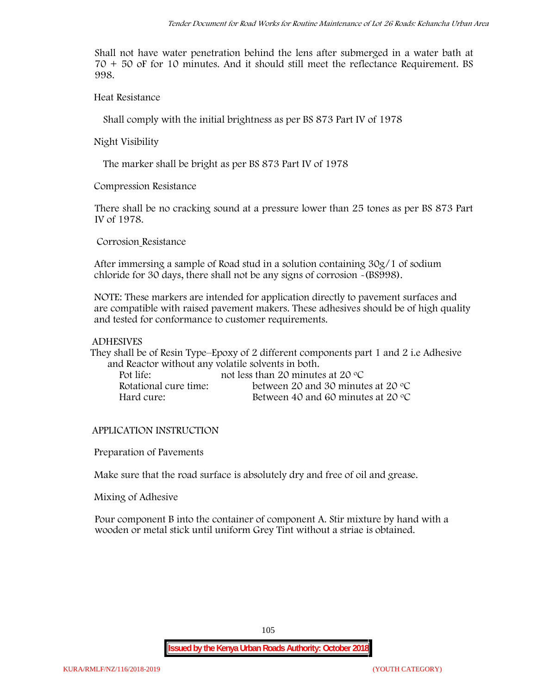Shall not have water penetration behind the lens after submerged in a water bath at 70 + 50 oF for 10 minutes. And it should still meet the reflectance Requirement. BS 998.

**Heat Resistance**

Shall comply with the initial brightness as per BS 873 Part IV of 1978

**Night Visibility**

The marker shall be bright as per BS 873 Part IV of 1978

**Compression Resistance**

There shall be no cracking sound at a pressure lower than 25 tones as per BS 873 Part IV of 1978.

**Corrosion Resistance**

After immersing a sample of Road stud in a solution containing 30g/1 of sodium chloride for 30 days, there shall not be any signs of corrosion **-**(BS998).

**NOTE**: These markers are intended for application directly to pavement surfaces and are compatible with raised pavement makers. These adhesives should be of high quality and tested for conformance to customer requirements.

## **ADHESIVES**

They shall be of Resin Type–Epoxy of 2 different components part 1 and 2 i.e Adhesive and Reactor without any volatile solvents in both.

| Pot life:             | not less than 20 minutes at 20 $\mathrm{^{\circ}C}$ |
|-----------------------|-----------------------------------------------------|
| Rotational cure time: | between 20 and 30 minutes at 20 $\degree$ C         |
| Hard cure:            | Between 40 and 60 minutes at 20 $\degree$ C         |

# **APPLICATION INSTRUCTION**

**Preparation of Pavements**

Make sure that the road surface is absolutely dry and free of oil and grease**.**

**Mixing of Adhesive**

Pour component B into the container of component A. Stir mixture by hand with a wooden or metal stick until uniform Grey Tint without a striae is obtained.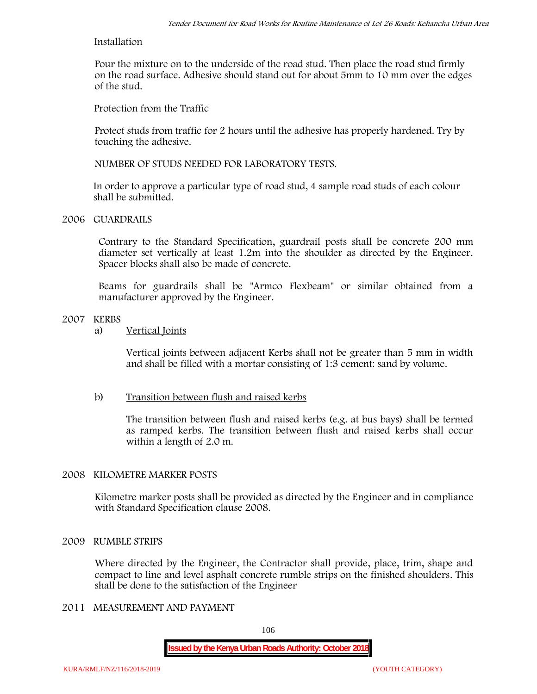## **Installation**

Pour the mixture on to the underside of the road stud. Then place the road stud firmly on the road surface. Adhesive should stand out for about 5mm to 10 mm over the edges of the stud.

**Protection from the Traffic**

Protect studs from traffic for 2 hours until the adhesive has properly hardened. Try by touching the adhesive.

**NUMBER OF STUDS NEEDED FOR LABORATORY TESTS.**

In order to approve a particular type of road stud, 4 sample road studs of each colour shall be submitted.

## **2006 GUARDRAILS**

Contrary to the Standard Specification, guardrail posts shall be concrete 200 mm diameter set vertically at least 1.2m into the shoulder as directed by the Engineer. Spacer blocks shall also be made of concrete.

Beams for guardrails shall be "Armco Flexbeam" or similar obtained from a manufacturer approved by the Engineer.

## **2007 KERBS**

a) **Vertical Joints**

Vertical joints between adjacent Kerbs shall not be greater than 5 mm in width and shall be filled with a mortar consisting of 1:3 cement: sand by volume.

## b) **Transition between flush and raised kerbs**

The transition between flush and raised kerbs (e.g. at bus bays) shall be termed as ramped kerbs. The transition between flush and raised kerbs shall occur within a length of 2.0 m.

## **2008 KILOMETRE MARKER POSTS**

Kilometre marker posts shall be provided as directed by the Engineer and in compliance with Standard Specification clause 2008.

## **2009 RUMBLE STRIPS**

Where directed by the Engineer, the Contractor shall provide, place, trim, shape and compact to line and level asphalt concrete rumble strips on the finished shoulders. This shall be done to the satisfaction of the Engineer

# **2011 MEASUREMENT AND PAYMENT**

106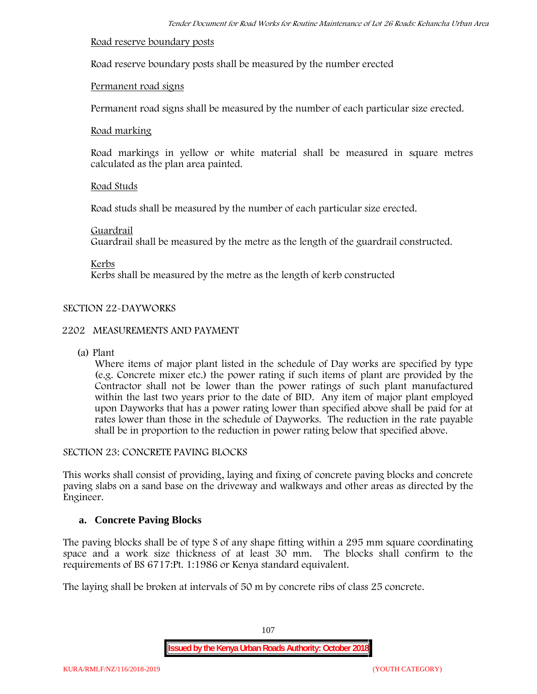## **Road reserve boundary posts**

Road reserve boundary posts shall be measured by the number erected

## **Permanent road signs**

Permanent road signs shall be measured by the number of each particular size erected.

## **Road marking**

Road markings in yellow or white material shall be measured in square metres calculated as the plan area painted.

## **Road Studs**

Road studs shall be measured by the number of each particular size erected.

## **Guardrail**

Guardrail shall be measured by the metre as the length of the guardrail constructed.

**Kerbs**

Kerbs shall be measured by the metre as the length of kerb constructed

# **SECTION 22-DAYWORKS**

## **2202 MEASUREMENTS AND PAYMENT**

(a) Plant

Where items of major plant listed in the schedule of Day works are specified by type (e.g. Concrete mixer etc.) the power rating if such items of plant are provided by the Contractor shall not be lower than the power ratings of such plant manufactured within the last two years prior to the date of BID. Any item of major plant employed upon Dayworks that has a power rating lower than specified above shall be paid for at rates lower than those in the schedule of Dayworks. The reduction in the rate payable shall be in proportion to the reduction in power rating below that specified above.

## **SECTION 23: CONCRETE PAVING BLOCKS**

This works shall consist of providing, laying and fixing of concrete paving blocks and concrete paving slabs on a sand base on the driveway and walkways and other areas as directed by the Engineer.

# **a. Concrete Paving Blocks**

The paving blocks shall be of type S of any shape fitting within a 295 mm square coordinating space and a work size thickness of at least 30 mm. The blocks shall confirm to the requirements of BS 6717:Pt. 1:1986 or Kenya standard equivalent.

The laying shall be broken at intervals of 50 m by concrete ribs of class 25 concrete.

107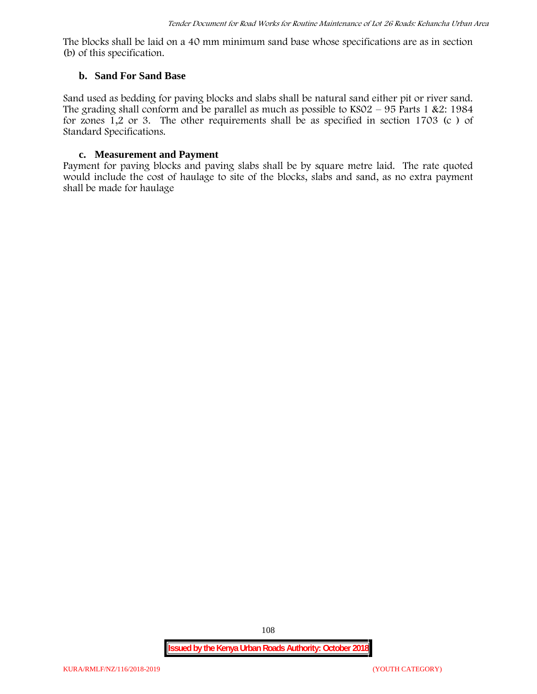The blocks shall be laid on a 40 mm minimum sand base whose specifications are as in section (b) of this specification.

#### **b. Sand For Sand Base**

Sand used as bedding for paving blocks and slabs shall be natural sand either pit or river sand. The grading shall conform and be parallel as much as possible to  $KSO2 - 95$  Parts 1 &2: 1984 for zones 1,2 or 3. The other requirements shall be as specified in section 1703 (c ) of Standard Specifications.

#### **c. Measurement and Payment**

Payment for paving blocks and paving slabs shall be by square metre laid. The rate quoted would include the cost of haulage to site of the blocks, slabs and sand, as no extra payment shall be made for haulage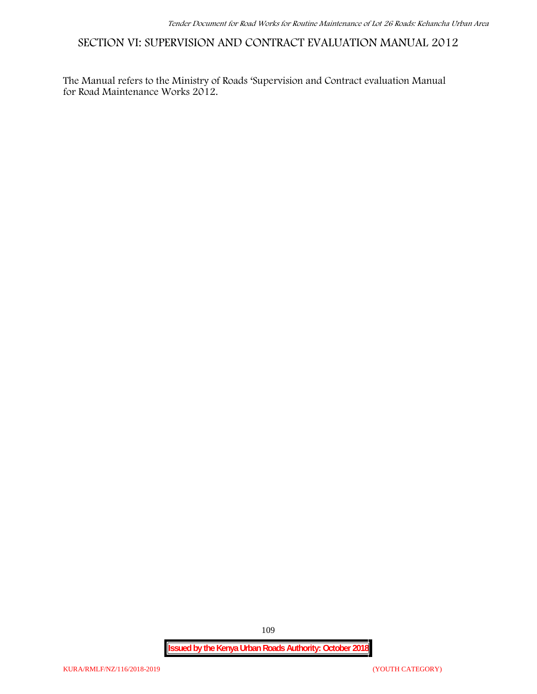**SECTION VI: SUPERVISION AND CONTRACT EVALUATION MANUAL 2012**

The Manual refers to the Ministry of Roads 'Supervision and Contract evaluation Manual for Road Maintenance Works 2012.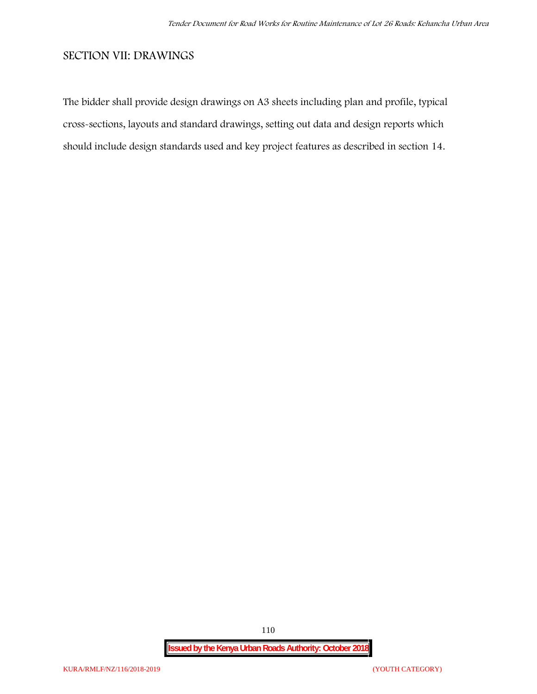# **SECTION VII: DRAWINGS**

The bidder shall provide design drawings on A3 sheets including plan and profile, typical cross-sections, layouts and standard drawings, setting out data and design reports which should include design standards used and key project features as described in section 14.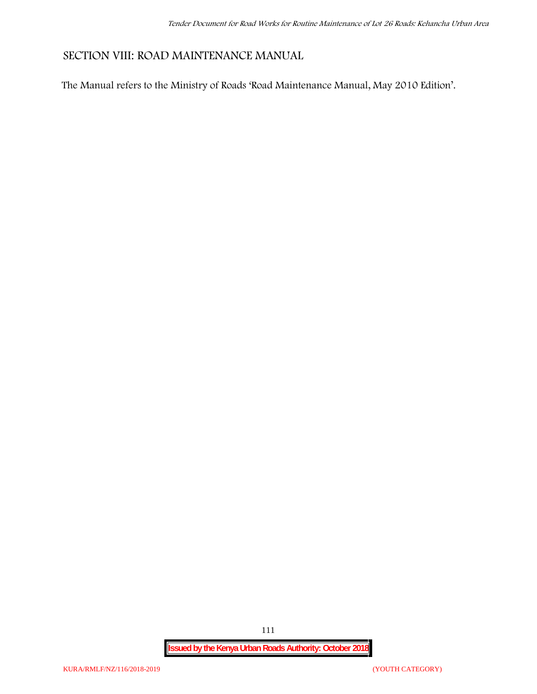# **SECTION VIII: ROAD MAINTENANCE MANUAL**

The Manual refers to the Ministry of Roads 'Road Maintenance Manual, May 2010 Edition'.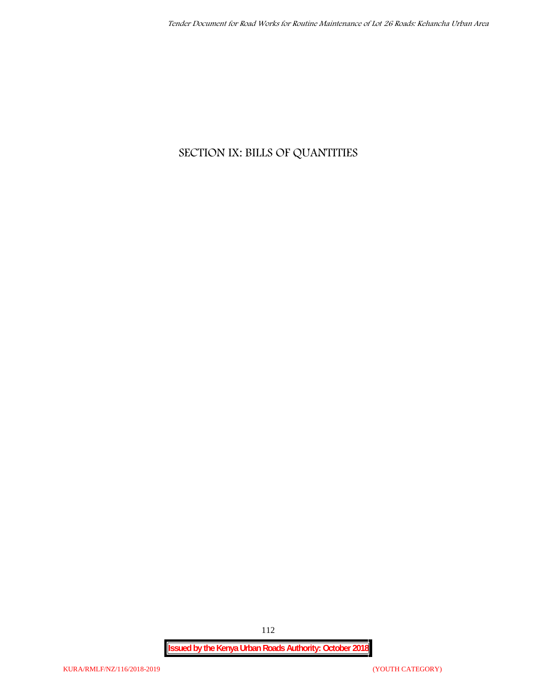# **SECTION IX: BILLS OF QUANTITIES**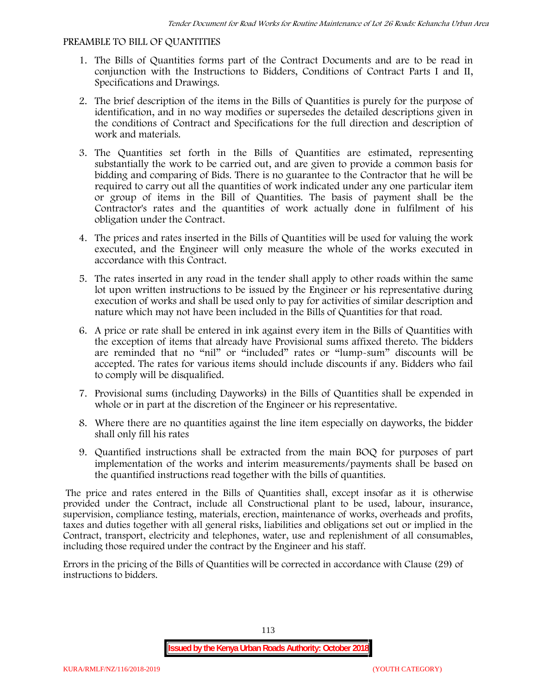#### **PREAMBLE TO BILL OF QUANTITIES**

- 1. The Bills of Quantities forms part of the Contract Documents and are to be read in conjunction with the Instructions to Bidders, Conditions of Contract Parts I and II, Specifications and Drawings.
- 2. The brief description of the items in the Bills of Quantities is purely for the purpose of identification, and in no way modifies or supersedes the detailed descriptions given in the conditions of Contract and Specifications for the full direction and description of work and materials.
- 3. The Quantities set forth in the Bills of Quantities are estimated, representing substantially the work to be carried out, and are given to provide a common basis for bidding and comparing of Bids. There is no guarantee to the Contractor that he will be required to carry out all the quantities of work indicated under any one particular item or group of items in the Bill of Quantities. The basis of payment shall be the Contractor's rates and the quantities of work actually done in fulfilment of his obligation under the Contract.
- 4. The prices and rates inserted in the Bills of Quantities will be used for valuing the work executed, and the Engineer will only measure the whole of the works executed in accordance with this Contract.
- 5. The rates inserted in any road in the tender shall apply to other roads within the same lot upon written instructions to be issued by the Engineer or his representative during execution of works and shall be used only to pay for activities of similar description and nature which may not have been included in the Bills of Quantities for that road.
- 6. A price or rate shall be entered in ink against every item in the Bills of Quantities with the exception of items that already have Provisional sums affixed thereto. The bidders are reminded that no "nil" or "included" rates or "lump-sum" discounts will be accepted. The rates for various items should include discounts if any. Bidders who fail to comply will be disqualified.
- 7. Provisional sums (including Dayworks) in the Bills of Quantities shall be expended in whole or in part at the discretion of the Engineer or his representative.
- 8. Where there are no quantities against the line item especially on dayworks, the bidder shall only fill his rates
- 9. Quantified instructions shall be extracted from the main BOQ for purposes of part implementation of the works and interim measurements/payments shall be based on the quantified instructions read together with the bills of quantities.

The price and rates entered in the Bills of Quantities shall, except insofar as it is otherwise provided under the Contract, include all Constructional plant to be used, labour, insurance, supervision, compliance testing, materials, erection, maintenance of works, overheads and profits, taxes and duties together with all general risks, liabilities and obligations set out or implied in the Contract, transport, electricity and telephones, water, use and replenishment of all consumables, including those required under the contract by the Engineer and his staff.

Errors in the pricing of the Bills of Quantities will be corrected in accordance with Clause (29) of instructions to bidders.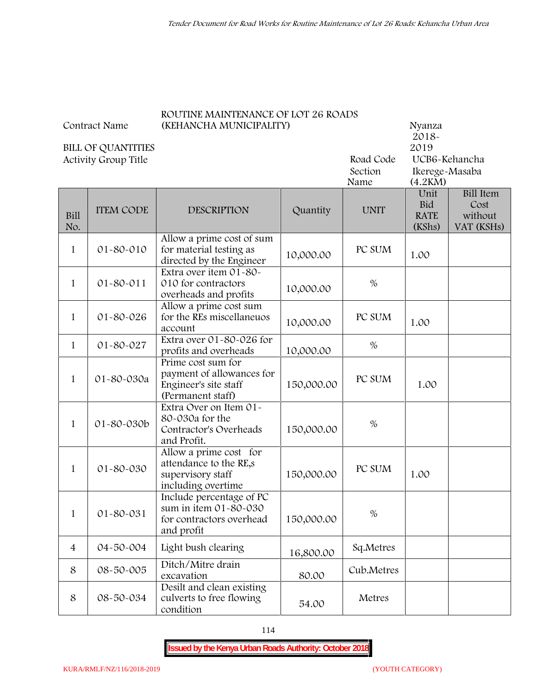**2018- 2019**

#### **ROUTINE MAINTENANCE OF LOT 26 ROADS (KEHANCHA MUNICIPALITY) Nyanza**

**Contract Name**

**BILL OF QUANTITIES**

**No.**

Activity Group Title **Road Code** UCB6-Kehancha Section Name Ikerege-Masaba (4.2KM) **Bill** ITEM CODE **IDESCRIPTION Quantity** UNIT **Unit Bid RATE (KShs) Bill Item Cost without VAT (KSHs)** 1 01-80-010 Allow a prime cost of sum for material testing as for material testing as  $\begin{array}{|l|c|c|c|c|c|} \hline 10,000.00 & \text{PC SUM} & 1.00 \hline \end{array}$  $1 \quad 01 - 80 - 011$ Extra over item 01-80- 010 for contractors 010 for contractors  $\begin{vmatrix} 10,000.00 \end{vmatrix}$  % 1 01-80-026 Allow a prime cost sum for the REs miscellaneuos  $\begin{array}{|l|l|}\n10,000.00 & PCSUM\n\end{array}$  1.00  $1 \begin{array}{|l|l|} \hline 1 \end{array}$  01-80-027 Extra over 01-80-026 for <br>profits and overheads 10,000.00 profits and overheads  $10,000.00$   $\frac{1}{8}$ 1 01-80-030a Prime cost sum for payment of allowances for Engineer's site staff (Permanent staff) 150,000.00 PC SUM 1.00 1 01-80-030b Extra Over on Item 01- 80-030a for the Contractor's Overheads and Profit. 150,000.00 <sup>%</sup> 1 01-80-030 Allow a prime cost for attendance to the RE,s supervisory staff including overtime 150,000.00 PC SUM 1.00 1 01-80-031 Include percentage of PC sum in item 01-80-030 for contractors overhead and profit 150,000.00  $\frac{\%}{\%}$  $4 \mid 04 - 50 - 004 \mid$  Light bush clearing  $16,800.00 \mid$  Sq.Metres

culverts to free flowing condition 54.00 Metres

**Issued by the Kenya Urban Roads Authority: October 2018**

8 08-50-034

 $8 \begin{array}{|l|} \hline \text{08-50-005} & \text{Ditch/Mitre drain} \\ \hline \text{excavation} & \hline \end{array}$ 

Desilt and clean existing

80.00 Cub.Metres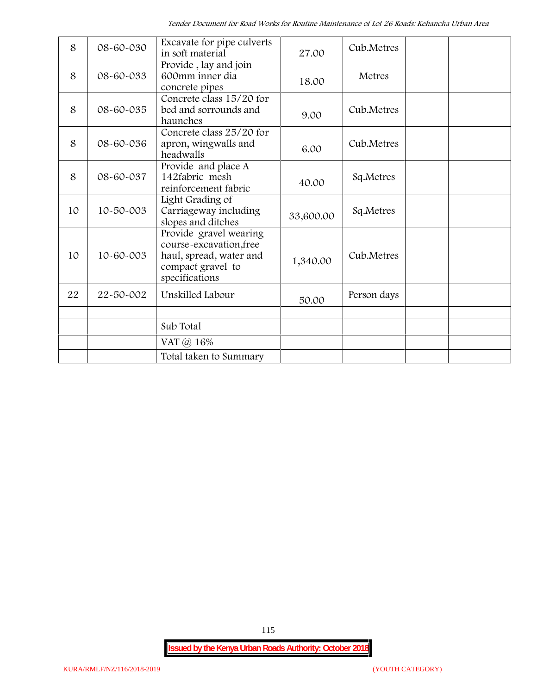| 8  | 08-60-030       | Excavate for pipe culverts<br>in soft material                                                                      | 27.00     | Cub.Metres  |  |
|----|-----------------|---------------------------------------------------------------------------------------------------------------------|-----------|-------------|--|
| 8  | 08-60-033       | Provide, lay and join<br>600mm inner dia<br>concrete pipes                                                          | 18.00     | Metres      |  |
| 8  | 08-60-035       | Concrete class 15/20 for<br>bed and sorrounds and<br>haunches                                                       | 9.00      | Cub.Metres  |  |
| 8  | 08-60-036       | Concrete class 25/20 for<br>apron, wingwalls and<br>headwalls                                                       | 6.00      | Cub.Metres  |  |
| 8  | 08-60-037       | Provide and place A<br>142fabric mesh<br>reinforcement fabric                                                       | 40.00     | Sq.Metres   |  |
| 10 | $10 - 50 - 003$ | Light Grading of<br>Carriageway including<br>slopes and ditches                                                     | 33,600.00 | Sq.Metres   |  |
| 10 | 10-60-003       | Provide gravel wearing<br>course-excavation, free<br>haul, spread, water and<br>compact gravel to<br>specifications | 1,340.00  | Cub.Metres  |  |
| 22 | 22-50-002       | Unskilled Labour                                                                                                    | 50.00     | Person days |  |
|    |                 | Sub Total                                                                                                           |           |             |  |
|    |                 | VAT @ 16%                                                                                                           |           |             |  |
|    |                 | Total taken to Summary                                                                                              |           |             |  |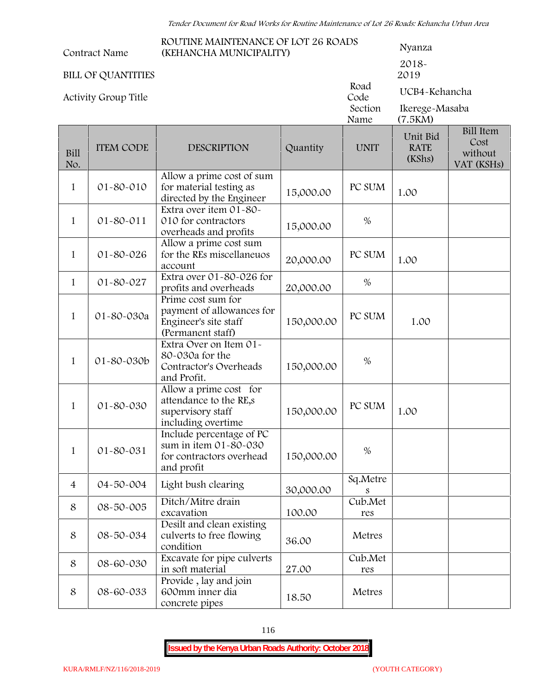| Contract Name |  |
|---------------|--|
|---------------|--|

#### **ROUTINE MAINTENANCE OF LOT 26 ROADS (KEHANCHA MUNICIPALITY) Nyanza**

#### **BILL OF QUANTITIES**

**Activity Group Title**

| $2018-$ |  |
|---------|--|
| 2019    |  |

UCB4-Kehancha Section Ikerege-Masaba

Name (7.5KM)

Road<br>Code

| Bill<br>No.    | <b>ITEM CODE</b> | <b>DESCRIPTION</b>                                                                            | Quantity   | <b>UNIT</b>    | Unit Bid<br><b>RATE</b><br>(KShs) | <b>Bill Item</b><br>Cost<br>without<br>VAT (KSHs) |
|----------------|------------------|-----------------------------------------------------------------------------------------------|------------|----------------|-----------------------------------|---------------------------------------------------|
| $\mathbf 1$    | 01-80-010        | Allow a prime cost of sum<br>for material testing as<br>directed by the Engineer              | 15,000.00  | PC SUM         | 1.00                              |                                                   |
| $\mathbf{1}$   | $01 - 80 - 011$  | Extra over item 01-80-<br>010 for contractors<br>overheads and profits                        | 15,000.00  | $\%$           |                                   |                                                   |
| $\mathbf{1}$   | 01-80-026        | Allow a prime cost sum<br>for the REs miscellaneuos<br>account                                | 20,000.00  | PC SUM         | 1.00                              |                                                   |
| $\mathbf{1}$   | 01-80-027        | Extra over 01-80-026 for<br>profits and overheads                                             | 20,000.00  | %              |                                   |                                                   |
| $\mathbf{1}$   | 01-80-030a       | Prime cost sum for<br>payment of allowances for<br>Engineer's site staff<br>(Permanent staff) | 150,000.00 | PC SUM         | 1.00                              |                                                   |
| $\mathbf{1}$   | 01-80-030b       | Extra Over on Item 01-<br>80-030a for the<br>Contractor's Overheads<br>and Profit.            | 150,000.00 | $\%$           |                                   |                                                   |
| $\mathbf{1}$   | 01-80-030        | Allow a prime cost for<br>attendance to the RE,s<br>supervisory staff<br>including overtime   | 150,000.00 | PC SUM         | 1.00                              |                                                   |
| $\mathbf{1}$   | 01-80-031        | Include percentage of PC<br>sum in item 01-80-030<br>for contractors overhead<br>and profit   | 150,000.00 | $\%$           |                                   |                                                   |
| $\overline{4}$ | 04-50-004        | Light bush clearing                                                                           | 30,000.00  | Sq.Metre<br>S  |                                   |                                                   |
| 8              | 08-50-005        | Ditch/Mitre drain<br>excavation                                                               | 100.00     | Cub.Met<br>res |                                   |                                                   |
| 8              | 08-50-034        | Desilt and clean existing<br>culverts to free flowing<br>condition                            | 36.00      | Metres         |                                   |                                                   |
| 8              | 08-60-030        | Excavate for pipe culverts<br>in soft material                                                | 27.00      | Cub.Met<br>res |                                   |                                                   |
| $\,8\,$        | 08-60-033        | Provide, lay and join<br>600mm inner dia<br>concrete pipes                                    | 18.50      | Metres         |                                   |                                                   |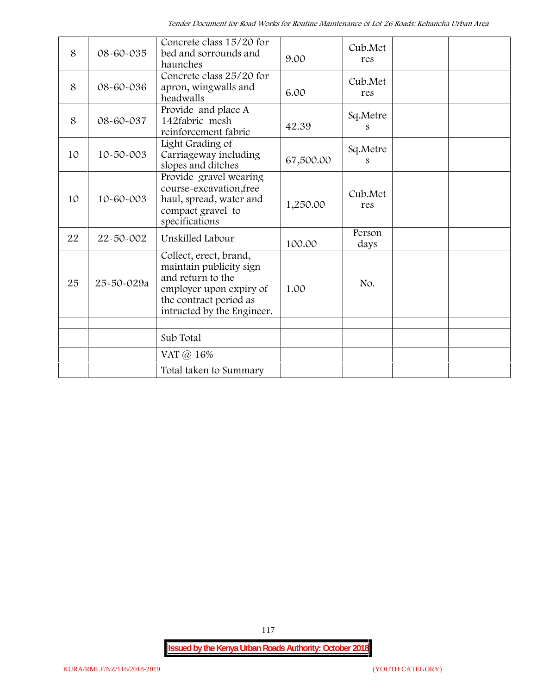| 8  | 08-60-035  | Concrete class 15/20 for<br>bed and sorrounds and<br>haunches                                                                                             | 9.00      | Cub.Met<br>res |  |
|----|------------|-----------------------------------------------------------------------------------------------------------------------------------------------------------|-----------|----------------|--|
| 8  | 08-60-036  | Concrete class 25/20 for<br>apron, wingwalls and<br>headwalls                                                                                             | 6.00      | Cub.Met<br>res |  |
| 8  | 08-60-037  | Provide and place A<br>142fabric mesh<br>reinforcement fabric                                                                                             | 42.39     | Sq.Metre<br>S  |  |
| 10 | 10-50-003  | Light Grading of<br>Carriageway including<br>slopes and ditches                                                                                           | 67,500.00 | Sq.Metre<br>s  |  |
| 10 | 10-60-003  | Provide gravel wearing<br>course-excavation, free<br>haul, spread, water and<br>compact gravel to<br>specifications                                       | 1,250.00  | Cub.Met<br>res |  |
| 22 | 22-50-002  | Unskilled Labour                                                                                                                                          | 100.00    | Person<br>days |  |
| 25 | 25-50-029a | Collect, erect, brand,<br>maintain publicity sign<br>and return to the<br>employer upon expiry of<br>the contract period as<br>intructed by the Engineer. | 1.00      | No.            |  |
|    |            |                                                                                                                                                           |           |                |  |
|    |            | Sub Total                                                                                                                                                 |           |                |  |
|    |            | VAT @ 16%                                                                                                                                                 |           |                |  |
|    |            | Total taken to Summary                                                                                                                                    |           |                |  |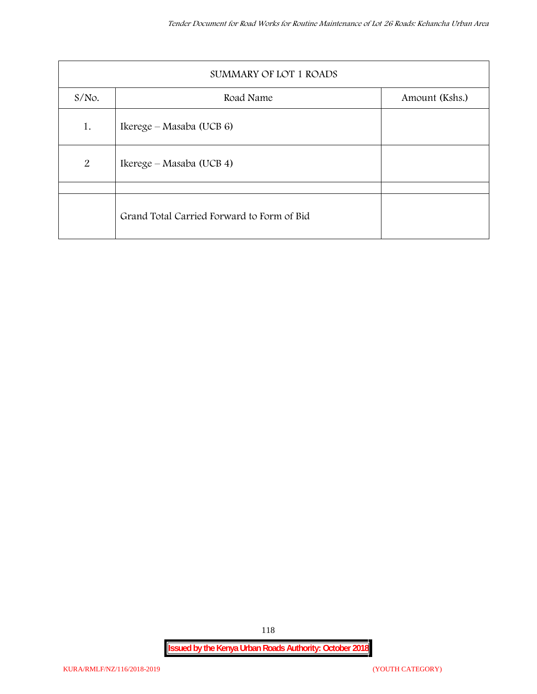| SUMMARY OF LOT 1 ROADS |                                            |  |  |  |
|------------------------|--------------------------------------------|--|--|--|
| $S/NO$ .               | Road Name<br>Amount (Kshs.)                |  |  |  |
| 1.                     | Ikerege – Masaba (UCB 6)                   |  |  |  |
| 2                      | Ikerege – Masaba (UCB 4)                   |  |  |  |
|                        | Grand Total Carried Forward to Form of Bid |  |  |  |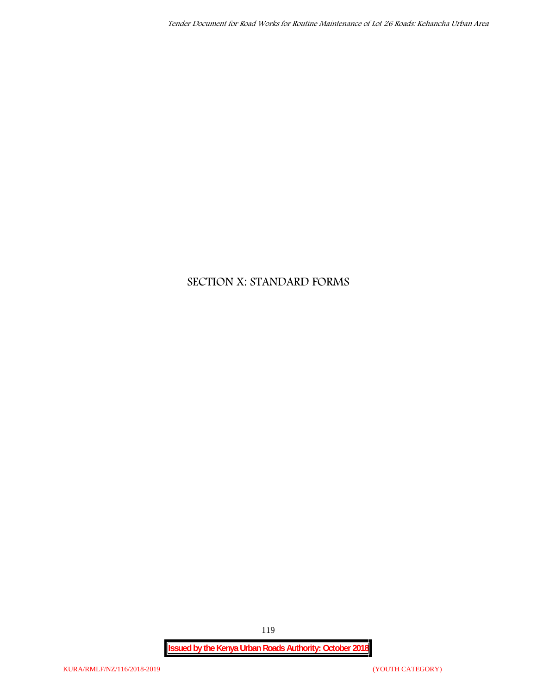# **SECTION X: STANDARD FORMS**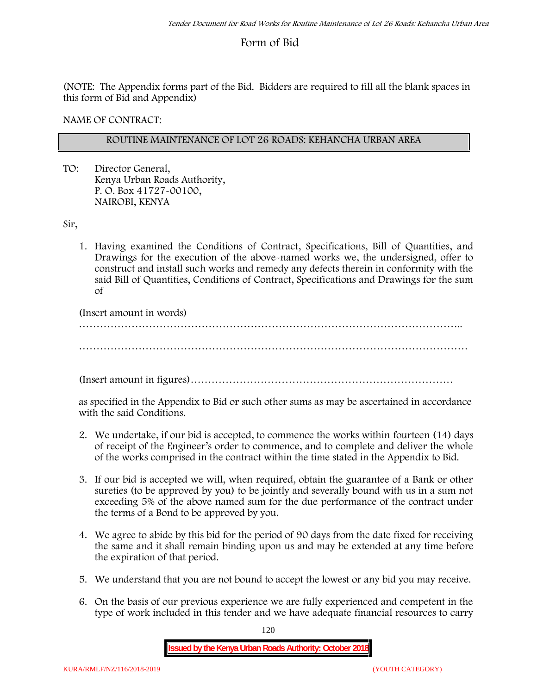# **Form of Bid**

(NOTE: The Appendix forms part of the Bid. Bidders are required to fill all the blank spaces in this form of Bid and Appendix)

**NAME OF CONTRACT:**

#### **ROUTINE MAINTENANCE OF LOT 26 ROADS: KEHANCHA URBAN AREA**

TO: Director General, Kenya Urban Roads Authority, P. O. Box 41727-00100, **NAIROBI, KENYA**

Sir,

1. Having examined the Conditions of Contract, Specifications, Bill of Quantities, and Drawings for the execution of the above-named works we, the undersigned, offer to construct and install such works and remedy any defects therein in conformity with the said Bill of Quantities, Conditions of Contract, Specifications and Drawings for the sum of

(Insert amount in words)

………………………………………………………………………………………………..

…………………………………………………………………………………………………

(Insert amount in figures)…………………………………………………………………

as specified in the Appendix to Bid or such other sums as may be ascertained in accordance with the said Conditions.

- 2. We undertake, if our bid is accepted, to commence the works within fourteen (14) days of receipt of the Engineer's order to commence, and to complete and deliver the whole of the works comprised in the contract within the time stated in the Appendix to Bid.
- 3. If our bid is accepted we will, when required, obtain the guarantee of a Bank or other sureties (to be approved by you) to be jointly and severally bound with us in a sum not exceeding 5% of the above named sum for the due performance of the contract under the terms of a Bond to be approved by you.
- 4. We agree to abide by this bid for the period of 90 days from the date fixed for receiving the same and it shall remain binding upon us and may be extended at any time before the expiration of that period.
- 5. We understand that you are not bound to accept the lowest or any bid you may receive.
- 6. On the basis of our previous experience we are fully experienced and competent in the type of work included in this tender and we have adequate financial resources to carry

120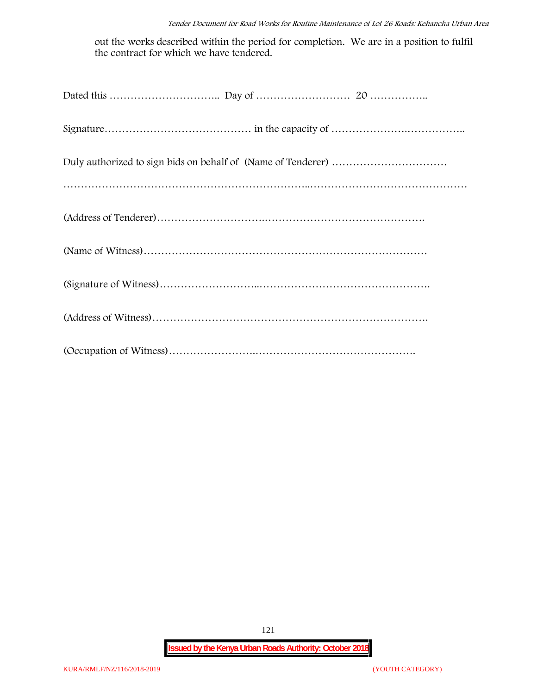out the works described within the period for completion. We are in a position to fulfil the contract for which we have tendered.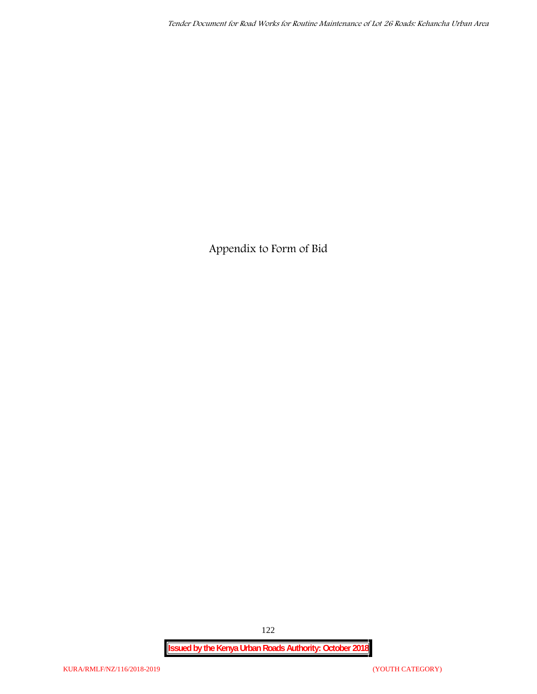**Appendix to Form of Bid**

**Issued by the Kenya Urban Roads Authority: October 2018**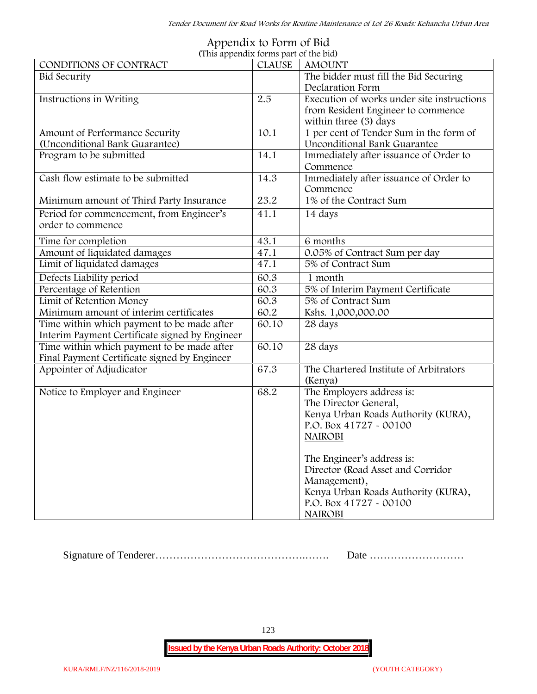| (This appendix forms part of the bid)          |               |                                            |  |  |
|------------------------------------------------|---------------|--------------------------------------------|--|--|
| CONDITIONS OF CONTRACT                         | <b>CLAUSE</b> | <b>AMOUNT</b>                              |  |  |
| <b>Bid Security</b>                            |               | The bidder must fill the Bid Securing      |  |  |
|                                                |               | Declaration Form                           |  |  |
| Instructions in Writing                        | 2.5           | Execution of works under site instructions |  |  |
|                                                |               | from Resident Engineer to commence         |  |  |
|                                                |               | within three (3) days                      |  |  |
| Amount of Performance Security                 | 10.1          | 1 per cent of Tender Sum in the form of    |  |  |
| (Unconditional Bank Guarantee)                 |               | Unconditional Bank Guarantee               |  |  |
| Program to be submitted                        | 14.1          | Immediately after issuance of Order to     |  |  |
|                                                |               | Commence                                   |  |  |
| Cash flow estimate to be submitted             | 14.3          | Immediately after issuance of Order to     |  |  |
|                                                |               | Commence                                   |  |  |
| Minimum amount of Third Party Insurance        | 23.2          | 1% of the Contract Sum                     |  |  |
| Period for commencement, from Engineer's       | 41.1          | 14 days                                    |  |  |
| order to commence                              |               |                                            |  |  |
| Time for completion                            | 43.1          | 6 months                                   |  |  |
| Amount of liquidated damages                   | 47.1          | 0.05% of Contract Sum per day              |  |  |
| Limit of liquidated damages                    | 47.1          | 5% of Contract Sum                         |  |  |
| Defects Liability period                       | 60.3          | 1 month                                    |  |  |
| Percentage of Retention                        | 60.3          | 5% of Interim Payment Certificate          |  |  |
| Limit of Retention Money                       | 60.3          | 5% of Contract Sum                         |  |  |
| Minimum amount of interim certificates         | 60.2          | Kshs. 1,000,000.00                         |  |  |
| Time within which payment to be made after     | 60.10         | 28 days                                    |  |  |
| Interim Payment Certificate signed by Engineer |               |                                            |  |  |
| Time within which payment to be made after     | 60.10         | 28 days                                    |  |  |
| Final Payment Certificate signed by Engineer   |               |                                            |  |  |
| Appointer of Adjudicator                       | 67.3          | The Chartered Institute of Arbitrators     |  |  |
|                                                |               | (Kenya)                                    |  |  |
| Notice to Employer and Engineer                | 68.2          | The Employers address is:                  |  |  |
|                                                |               | The Director General,                      |  |  |
|                                                |               | Kenya Urban Roads Authority (KURA),        |  |  |
|                                                |               | P.O. Box 41727 - 00100                     |  |  |
|                                                |               | <b>NAIROBI</b>                             |  |  |
|                                                |               |                                            |  |  |
|                                                |               | The Engineer's address is:                 |  |  |
|                                                |               | Director (Road Asset and Corridor          |  |  |
|                                                |               | Management),                               |  |  |
|                                                |               | Kenya Urban Roads Authority (KURA),        |  |  |
|                                                |               | P.O. Box 41727 - 00100                     |  |  |
|                                                |               | <b>NAIROBI</b>                             |  |  |

# **Appendix to Form of Bid**

Signature of Tenderer…………………………………….……. Date ………………………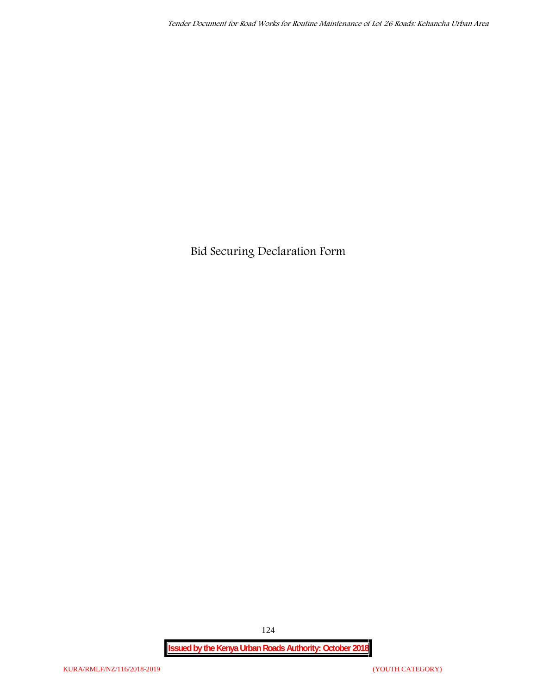**Bid Securing Declaration Form**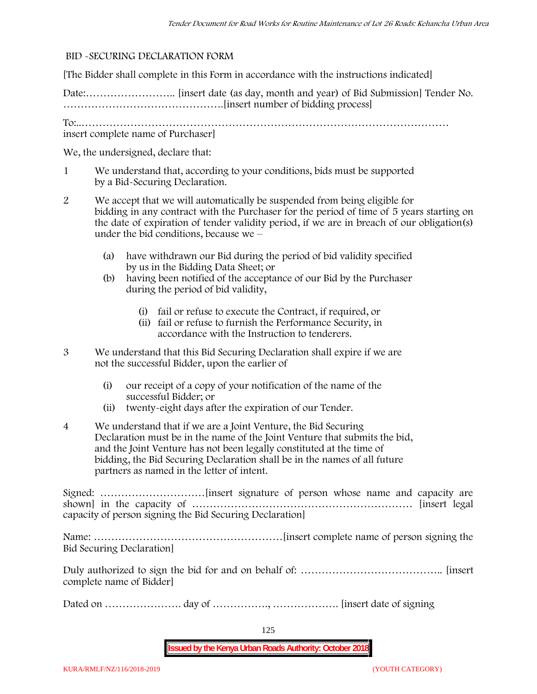#### **BID -SECURING DECLARATION FORM**

[The Bidder shall complete in this Form in accordance with the instructions indicated]

Date:…………………….. [insert date (as day, month and year) of Bid Submission] Tender No. ……………………………………….[insert number of bidding process]

To:..…………………………………………………………………………………………… insert complete name of Purchaser]

We, the undersigned, declare that:

- 1 We understand that, according to your conditions, bids must be supported by a Bid-Securing Declaration.
- 2 We accept that we will automatically be suspended from being eligible for bidding in any contract with the Purchaser for the period of time of **5 years** starting on the date of expiration of tender validity period, if we are in breach of our obligation(s) under the bid conditions, because we –
	- (a) have withdrawn our Bid during the period of bid validity specified by us in the Bidding Data Sheet; or
	- (b) having been notified of the acceptance of our Bid by the Purchaser during the period of bid validity,
		- (i) fail or refuse to execute the Contract, if required, or
		- (ii) fail or refuse to furnish the Performance Security, in accordance with the Instruction to tenderers.
- 3 We understand that this Bid Securing Declaration shall expire if we are not the successful Bidder, upon the earlier of
	- (i) our receipt of a copy of your notification of the name of the successful Bidder; or
	- (ii) twenty-eight days after the expiration of our Tender.
- 4 We understand that if we are a Joint Venture, the Bid Securing Declaration must be in the name of the Joint Venture that submits the bid, and the Joint Venture has not been legally constituted at the time of bidding, the Bid Securing Declaration shall be in the names of all future partners as named in the letter of intent.

Signed: …………………………[insert signature of person whose name and capacity are shown] in the capacity of ……………………………………………………… [insert legal capacity of person signing the Bid Securing Declaration]

Name: ………………………………………………[insert complete name of person signing the Bid Securing Declaration]

Duly authorized to sign the bid for and on behalf of: ………………………………….. [insert complete name of Bidder]

Dated on …………………. day of ……………., ………………. [insert date of signing

125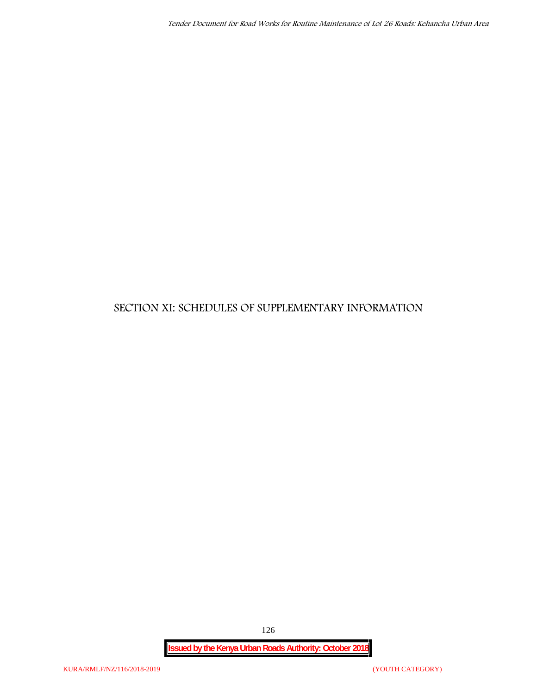# **SECTION XI: SCHEDULES OF SUPPLEMENTARY INFORMATION**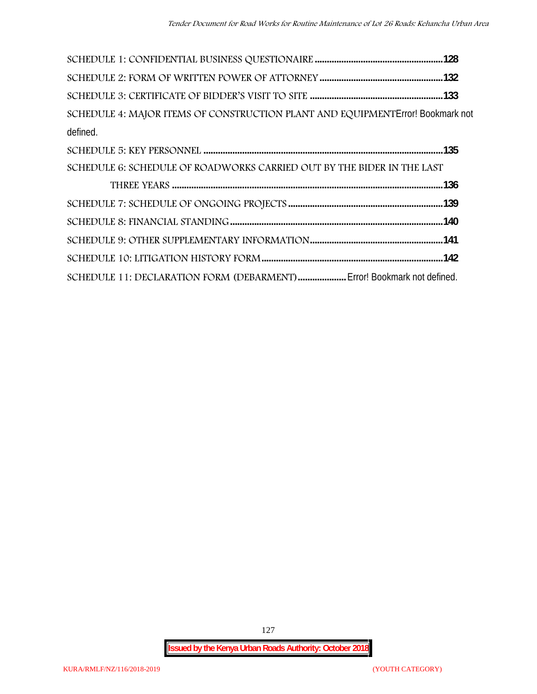| SCHEDULE 4: MAJOR ITEMS OF CONSTRUCTION PLANT AND EQUIPMENT Error! Bookmark not |  |
|---------------------------------------------------------------------------------|--|
| defined.                                                                        |  |
|                                                                                 |  |
| SCHEDULE 6: SCHEDULE OF ROADWORKS CARRIED OUT BY THE BIDER IN THE LAST          |  |
|                                                                                 |  |
|                                                                                 |  |
|                                                                                 |  |
|                                                                                 |  |
|                                                                                 |  |
| SCHEDULE 11: DECLARATION FORM (DEBARMENT) Error! Bookmark not defined.          |  |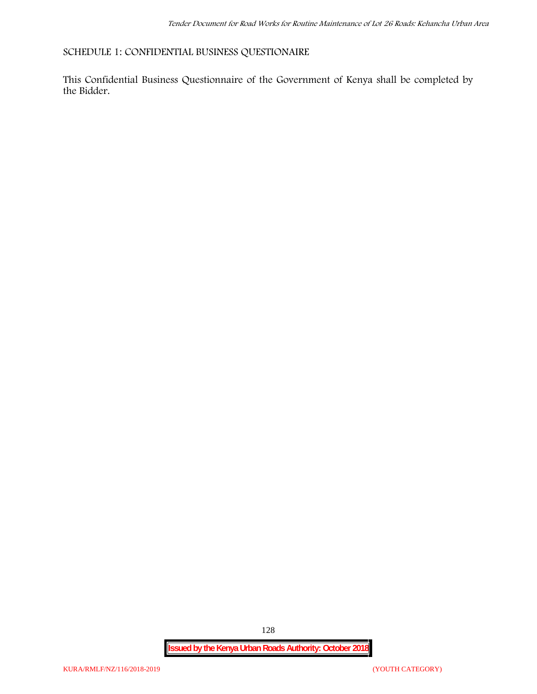**SCHEDULE 1: CONFIDENTIAL BUSINESS QUESTIONAIRE**

This Confidential Business Questionnaire of the Government of Kenya shall be completed by the Bidder.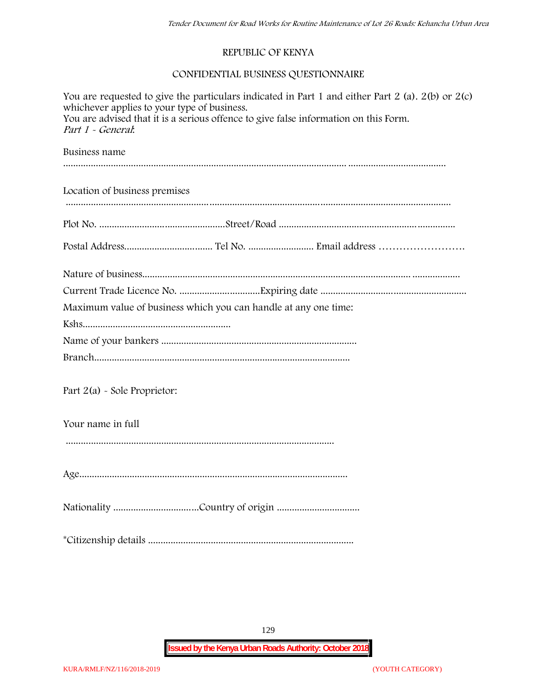#### **REPUBLIC OF KENYA**

#### **CONFIDENTIAL BUSINESS QUESTIONNAIRE**

| You are requested to give the particulars indicated in Part 1 and either Part 2 (a). $2(b)$ or $2(c)$<br>whichever applies to your type of business.<br>You are advised that it is a serious offence to give false information on this Form.<br>Part 1 - General. |  |  |  |  |  |
|-------------------------------------------------------------------------------------------------------------------------------------------------------------------------------------------------------------------------------------------------------------------|--|--|--|--|--|
| Business name                                                                                                                                                                                                                                                     |  |  |  |  |  |
| Location of business premises                                                                                                                                                                                                                                     |  |  |  |  |  |
|                                                                                                                                                                                                                                                                   |  |  |  |  |  |
|                                                                                                                                                                                                                                                                   |  |  |  |  |  |
|                                                                                                                                                                                                                                                                   |  |  |  |  |  |
|                                                                                                                                                                                                                                                                   |  |  |  |  |  |
| Maximum value of business which you can handle at any one time:                                                                                                                                                                                                   |  |  |  |  |  |
|                                                                                                                                                                                                                                                                   |  |  |  |  |  |
|                                                                                                                                                                                                                                                                   |  |  |  |  |  |
|                                                                                                                                                                                                                                                                   |  |  |  |  |  |
| Part $2(a)$ - Sole Proprietor:                                                                                                                                                                                                                                    |  |  |  |  |  |
| Your name in full                                                                                                                                                                                                                                                 |  |  |  |  |  |
|                                                                                                                                                                                                                                                                   |  |  |  |  |  |
|                                                                                                                                                                                                                                                                   |  |  |  |  |  |
|                                                                                                                                                                                                                                                                   |  |  |  |  |  |
|                                                                                                                                                                                                                                                                   |  |  |  |  |  |

129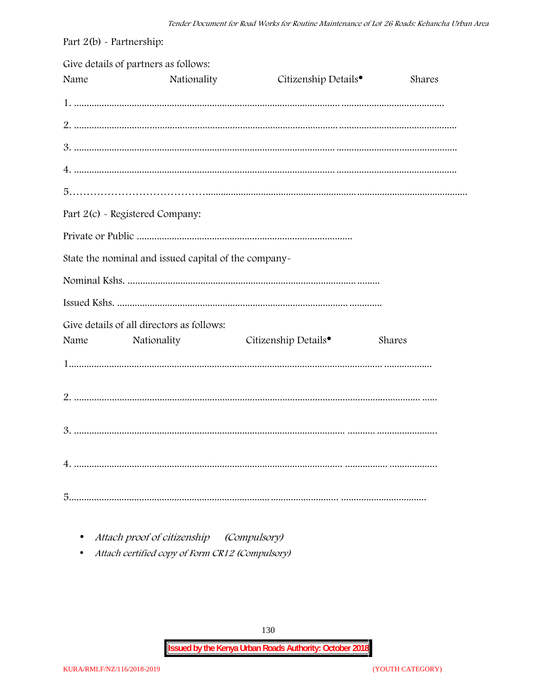| Part $2(b)$ - Partnership: |                                                          |                                  |        |
|----------------------------|----------------------------------------------------------|----------------------------------|--------|
| Name                       | Give details of partners as follows:<br>Nationality      | Citizenship Details <sup>•</sup> | Shares |
|                            |                                                          |                                  |        |
|                            |                                                          |                                  |        |
|                            |                                                          |                                  |        |
|                            |                                                          |                                  |        |
|                            |                                                          |                                  |        |
|                            | Part 2(c) - Registered Company:                          |                                  |        |
|                            |                                                          |                                  |        |
|                            | State the nominal and issued capital of the company-     |                                  |        |
|                            |                                                          |                                  |        |
|                            |                                                          |                                  |        |
| Name                       | Give details of all directors as follows:<br>Nationality | Citizenship Details <sup>•</sup> | Shares |
|                            |                                                          |                                  |        |
|                            |                                                          |                                  |        |
|                            |                                                          |                                  |        |
|                            |                                                          |                                  |        |
|                            |                                                          |                                  |        |

- Attach proof of citizenship (Compulsory)
- Attach certified copy of Form CR12 (Compulsory)  $\bullet$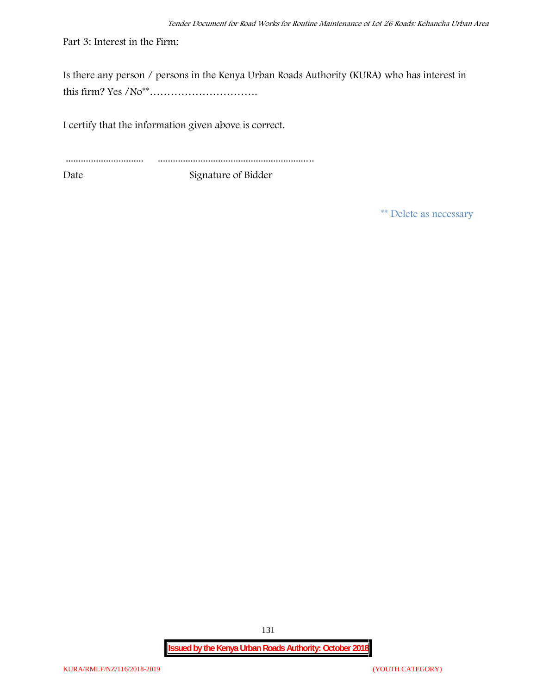Part 3: Interest in the Firm:

Is there any person / persons in the Kenya Urban Roads Authority (KURA) who has interest in this firm? Yes /No\*\*………………………….

I certify that the information given above is correct.

............................... .............................................................. Date Signature of Bidder

**\*\* Delete as necessary**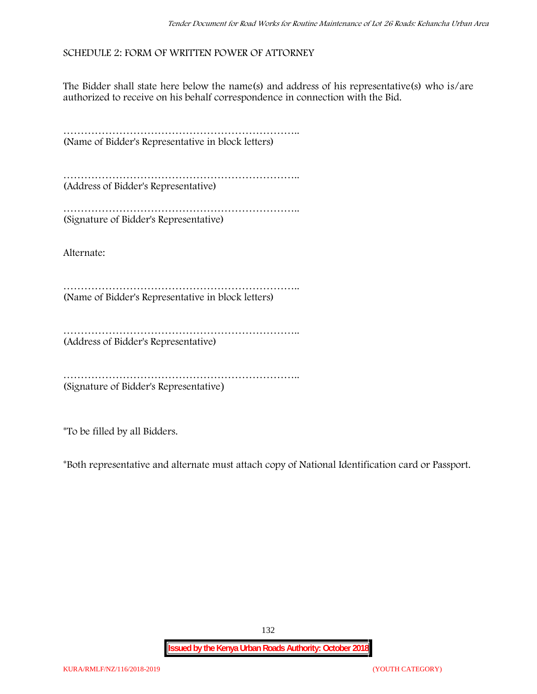#### **SCHEDULE 2: FORM OF WRITTEN POWER OF ATTORNEY**

The Bidder shall state here below the name(s) and address of his representative(s) who is/are authorized to receive on his behalf correspondence in connection with the Bid.

………………………………………………………….. (Name of Bidder's Representative in block letters)

………………………………………………………….. (Address of Bidder's Representative)

………………………………………………………….. (Signature of Bidder's Representative)

Alternate:

………………………………………………………….. (Name of Bidder's Representative in block letters)

……………………………………………………………………… (Address of Bidder's Representative)

………………………………………………………….. (Signature of Bidder's Representative)

\*To be filled by all Bidders.

\*Both representative and alternate **must** attach copy of National Identification card or Passport.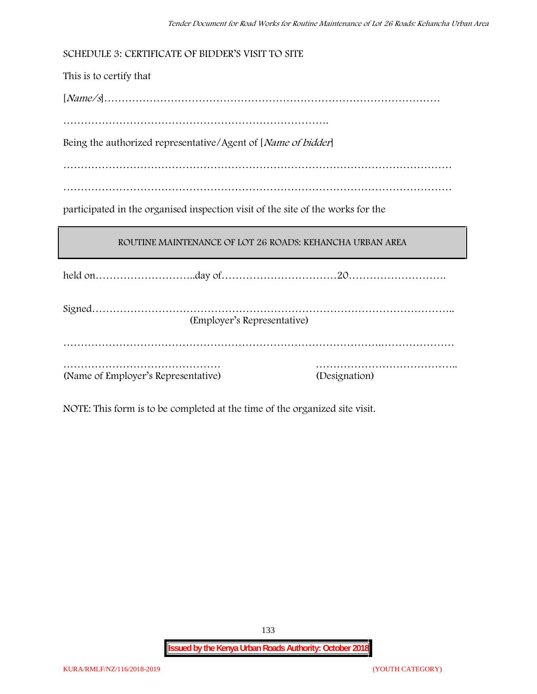**SCHEDULE 3: CERTIFICATE OF BIDDER'S VISIT TO SITE**

This is to certify that

[*Name/s*]……………………………………………………………………………………

………………………………………………………………….

Being the authorized representative/Agent of [*Name of bidder*]

…………………………………………………………………………………………………

…………………………………………………………………………………………………

participated in the organised inspection visit of the site of the works for the

#### **ROUTINE MAINTENANCE OF LOT 26 ROADS: KEHANCHA URBAN AREA**

held on………………………..day of……………………………20……………………….

| (Employer's Representative)         |               |
|-------------------------------------|---------------|
|                                     |               |
|                                     |               |
| (Name of Employer's Representative) | (Designation) |

NOTE: This form is to be completed at the time of the organized site visit.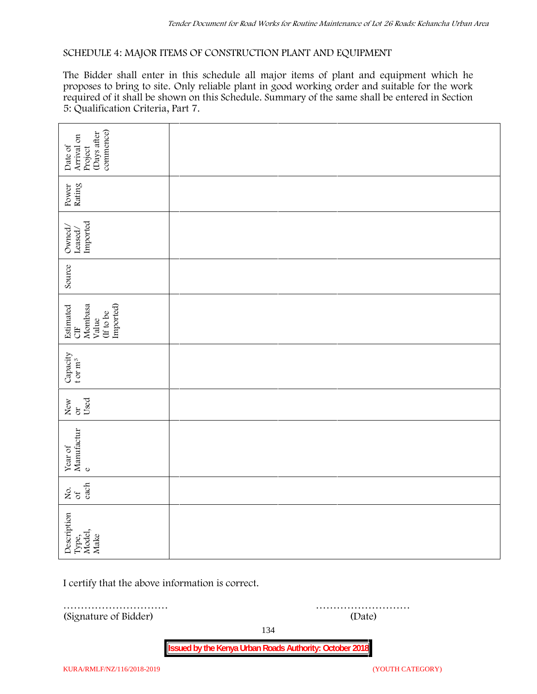#### **SCHEDULE 4: MAJOR ITEMS OF CONSTRUCTION PLANT AND EQUIPMENT**

The Bidder shall enter in this schedule all major items of plant and equipment which he proposes to bring to site. Only reliable plant in good working order and suitable for the work required of it shall be shown on this Schedule. Summary of the same shall be entered in Section 5: Qualification Criteria, Part 7.

| commence)<br>Days after<br>Arrival on<br>Date of<br>Project    |             |
|----------------------------------------------------------------|-------------|
| Power<br>Rating                                                |             |
| $\frac{\mbox{Leased}}{\mbox{imported}}$<br>Owned/              |             |
| Source                                                         |             |
| Imported)<br>Estimated<br>CIF<br>Mombasa<br>(If to be<br>Value |             |
| Capacity t or $\mathbf{m}^3$                                   |             |
| Used<br>New or                                                 |             |
| Year of Manufactur $_{\rm e}$                                  |             |
| each<br>Σό.                                                    |             |
| Description<br>Type,<br>Model,<br>Make                         |             |
| I certify that the above information is correct.               |             |
| (Signature of Bidder)                                          | .<br>(Date) |

134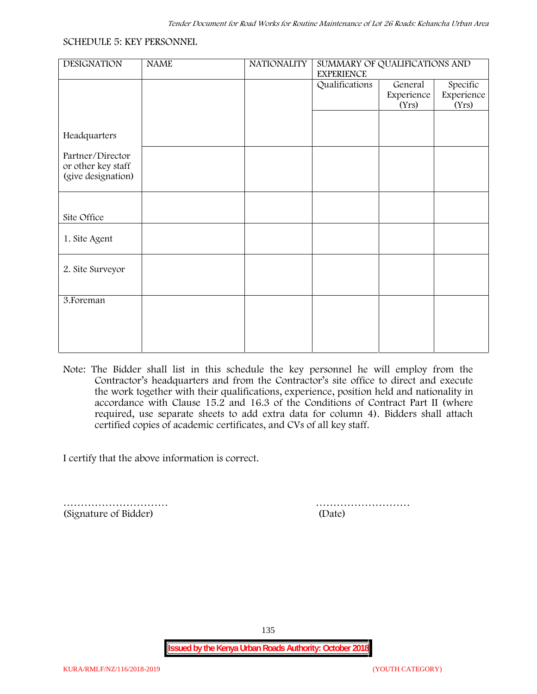#### **SCHEDULE 5: KEY PERSONNEL**

| <b>DESIGNATION</b> | <b>NAME</b> | <b>NATIONALITY</b> | SUMMARY OF QUALIFICATIONS AND<br><b>EXPERIENCE</b> |                     |                     |  |
|--------------------|-------------|--------------------|----------------------------------------------------|---------------------|---------------------|--|
|                    |             |                    | Qualifications                                     | General             | Specific            |  |
|                    |             |                    |                                                    | Experience<br>(Yrs) | Experience<br>(Yrs) |  |
|                    |             |                    |                                                    |                     |                     |  |
|                    |             |                    |                                                    |                     |                     |  |
| Headquarters       |             |                    |                                                    |                     |                     |  |
| Partner/Director   |             |                    |                                                    |                     |                     |  |
| or other key staff |             |                    |                                                    |                     |                     |  |
| (give designation) |             |                    |                                                    |                     |                     |  |
|                    |             |                    |                                                    |                     |                     |  |
|                    |             |                    |                                                    |                     |                     |  |
| Site Office        |             |                    |                                                    |                     |                     |  |
| 1. Site Agent      |             |                    |                                                    |                     |                     |  |
|                    |             |                    |                                                    |                     |                     |  |
| 2. Site Surveyor   |             |                    |                                                    |                     |                     |  |
|                    |             |                    |                                                    |                     |                     |  |
| 3. Foreman         |             |                    |                                                    |                     |                     |  |
|                    |             |                    |                                                    |                     |                     |  |
|                    |             |                    |                                                    |                     |                     |  |
|                    |             |                    |                                                    |                     |                     |  |
|                    |             |                    |                                                    |                     |                     |  |

**Note:** The Bidder shall list in this schedule the key personnel he will employ from the Contractor's headquarters and from the Contractor's site office to direct and execute the work together with their qualifications, experience, position held and nationality in accordance with Clause 15.2 and 16.3 of the Conditions of Contract Part II (where required, use separate sheets to add extra data for column 4). Bidders shall attach certified copies of academic certificates, and CVs of all key staff.

I certify that the above information is correct.

(Signature of Bidder) (Date)

………………………… ………………………

135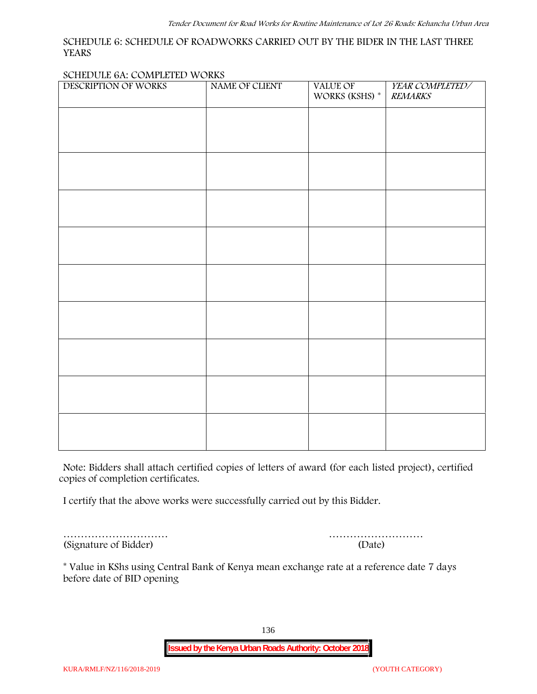#### **SCHEDULE 6: SCHEDULE OF ROADWORKS CARRIED OUT BY THE BIDER IN THE LAST THREE YEARS**

#### **SCHEDULE 6A: COMPLETED WORKS**

| DESCRIPTION OF WORKS | NAME OF CLIENT | VALUE OF<br>WORKS (KSHS) * | YEAR COMPLETED/<br><b>REMARKS</b> |
|----------------------|----------------|----------------------------|-----------------------------------|
|                      |                |                            |                                   |
|                      |                |                            |                                   |
|                      |                |                            |                                   |
|                      |                |                            |                                   |
|                      |                |                            |                                   |
|                      |                |                            |                                   |
|                      |                |                            |                                   |
|                      |                |                            |                                   |
|                      |                |                            |                                   |
|                      |                |                            |                                   |
|                      |                |                            |                                   |
|                      |                |                            |                                   |
|                      |                |                            |                                   |
|                      |                |                            |                                   |
|                      |                |                            |                                   |
|                      |                |                            |                                   |

**Note:** Bidders shall attach certified copies of letters of award (for each listed project), certified copies of completion certificates.

I certify that the above works were successfully carried out by this Bidder.

(Signature of Bidder) (Date)

………………………… ………………………

\* **Value in KShs using Central Bank of Kenya mean exchange rate at a reference date 7 days before date of BID opening**

136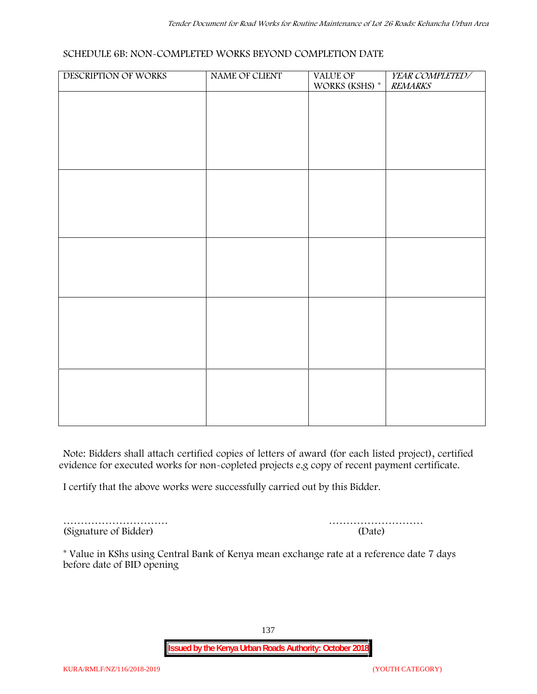#### **SCHEDULE 6B: NON-COMPLETED WORKS BEYOND COMPLETION DATE**

| DESCRIPTION OF WORKS | NAME OF CLIENT | VALUE OF<br>WORKS (KSHS) * | YEAR COMPLETED/<br><b>REMARKS</b> |
|----------------------|----------------|----------------------------|-----------------------------------|
|                      |                |                            |                                   |
|                      |                |                            |                                   |
|                      |                |                            |                                   |
|                      |                |                            |                                   |
|                      |                |                            |                                   |
|                      |                |                            |                                   |
|                      |                |                            |                                   |
|                      |                |                            |                                   |
|                      |                |                            |                                   |
|                      |                |                            |                                   |
|                      |                |                            |                                   |
|                      |                |                            |                                   |
|                      |                |                            |                                   |
|                      |                |                            |                                   |
|                      |                |                            |                                   |
|                      |                |                            |                                   |
|                      |                |                            |                                   |
|                      |                |                            |                                   |

**Note:** Bidders shall attach certified copies of letters of award (for each listed project), certified evidence for executed works for non-copleted projects e.g copy of recent payment certificate.

I certify that the above works were successfully carried out by this Bidder.

(Signature of Bidder) (Date)

………………………… ………………………

\* **Value in KShs using Central Bank of Kenya mean exchange rate at a reference date 7 days before date of BID opening**

137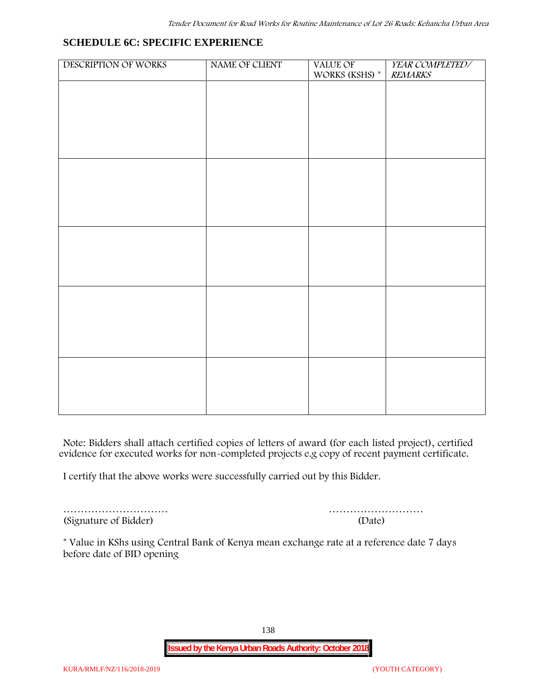#### **SCHEDULE 6C: SPECIFIC EXPERIENCE**

| DESCRIPTION OF WORKS | NAME OF CLIENT | VALUE OF<br>WORKS (KSHS) $^\ast$ | YEAR COMPLETED/<br><b>REMARKS</b> |
|----------------------|----------------|----------------------------------|-----------------------------------|
|                      |                |                                  |                                   |
|                      |                |                                  |                                   |
|                      |                |                                  |                                   |
|                      |                |                                  |                                   |
|                      |                |                                  |                                   |
|                      |                |                                  |                                   |
|                      |                |                                  |                                   |
|                      |                |                                  |                                   |
|                      |                |                                  |                                   |
|                      |                |                                  |                                   |
|                      |                |                                  |                                   |
|                      |                |                                  |                                   |
|                      |                |                                  |                                   |
|                      |                |                                  |                                   |
|                      |                |                                  |                                   |
|                      |                |                                  |                                   |
|                      |                |                                  |                                   |
|                      |                |                                  |                                   |
|                      |                |                                  |                                   |
|                      |                |                                  |                                   |

**Note:** Bidders shall attach certified copies of letters of award (for each listed project), certified evidence for executed works for non-completed projects e.g copy of recent payment certificate.

I certify that the above works were successfully carried out by this Bidder.

(Signature of Bidder) (Date)

………………………… ………………………

\* **Value in KShs using Central Bank of Kenya mean exchange rate at a reference date 7 days before date of BID opening**

138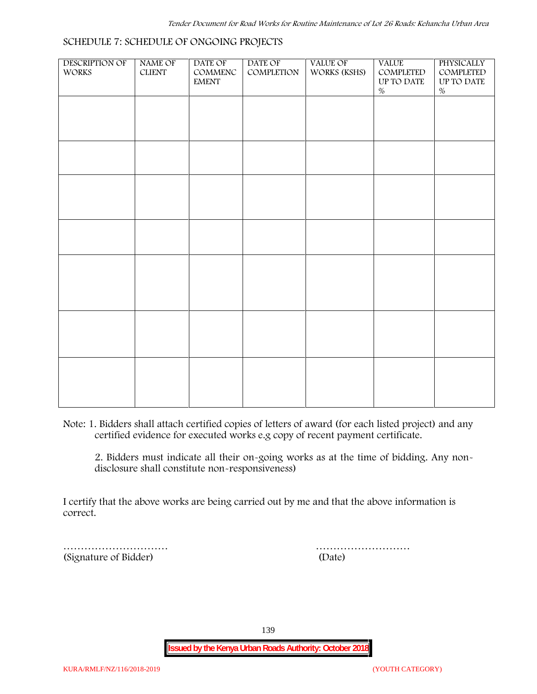#### **SCHEDULE 7: SCHEDULE OF ONGOING PROJECTS**

| DESCRIPTION OF<br><b>WORKS</b> | NAME OF<br><b>CLIENT</b> | DATE OF<br>$\mathsf{COMMENC}$<br><b>EMENT</b> | DATE OF<br>COMPLETION | VALUE OF<br>WORKS (KSHS) | <b>VALUE</b><br>COMPLETED<br>$\,$ UP TO DATE<br>$\%$ | PHYSICALLY<br>COMPLETED<br>$\,$ UP TO DATE<br>$\%$ |  |
|--------------------------------|--------------------------|-----------------------------------------------|-----------------------|--------------------------|------------------------------------------------------|----------------------------------------------------|--|
|                                |                          |                                               |                       |                          |                                                      |                                                    |  |
|                                |                          |                                               |                       |                          |                                                      |                                                    |  |
|                                |                          |                                               |                       |                          |                                                      |                                                    |  |
|                                |                          |                                               |                       |                          |                                                      |                                                    |  |
|                                |                          |                                               |                       |                          |                                                      |                                                    |  |
|                                |                          |                                               |                       |                          |                                                      |                                                    |  |
|                                |                          |                                               |                       |                          |                                                      |                                                    |  |
|                                |                          |                                               |                       |                          |                                                      |                                                    |  |
|                                |                          |                                               |                       |                          |                                                      |                                                    |  |

**Note:** 1. Bidders shall attach certified copies of letters of award (for each listed project) and any certified evidence for executed works e.g copy of recent payment certificate.

2. Bidders must indicate all their on-going works as at the time of bidding. Any non disclosure shall constitute non-responsiveness)

I certify that the above works are being carried out by me and that the above information is correct.

(Signature of Bidder) (Date)

………………………… ………………………

139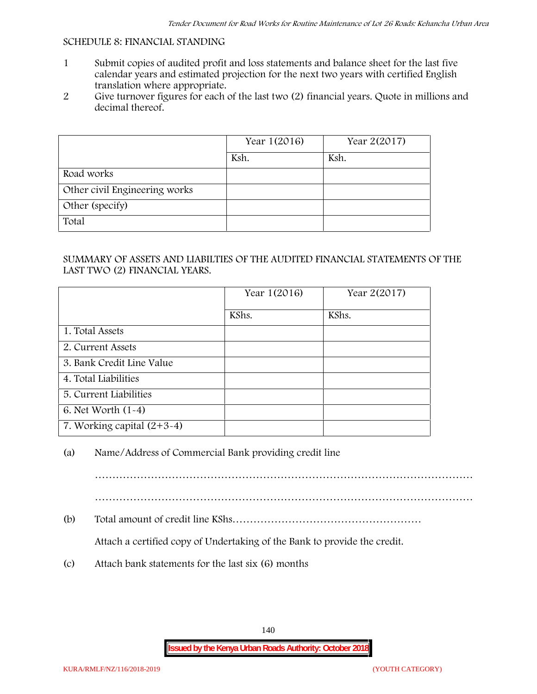#### **SCHEDULE 8: FINANCIAL STANDING**

- 1 Submit copies of audited profit and loss statements and balance sheet for the last five calendar years and estimated projection for the next two years with certified English translation where appropriate.
- 2 Give turnover figures for each of the last two (2) financial years. Quote in millions and decimal thereof.

|                               | Year 1(2016) | Year 2(2017) |
|-------------------------------|--------------|--------------|
|                               | Ksh.         | Ksh.         |
| Road works                    |              |              |
| Other civil Engineering works |              |              |
| Other (specify)               |              |              |
| Total                         |              |              |

#### SUMMARY OF ASSETS AND LIABILTIES OF THE AUDITED FINANCIAL STATEMENTS OF THE LAST TWO (2) FINANCIAL YEARS.

|                              | Year 1(2016) | Year 2(2017) |
|------------------------------|--------------|--------------|
|                              | KShs.        | KShs.        |
| 1. Total Assets              |              |              |
| 2. Current Assets            |              |              |
| 3. Bank Credit Line Value    |              |              |
| 4. Total Liabilities         |              |              |
| 5. Current Liabilities       |              |              |
| 6. Net Worth $(1-4)$         |              |              |
| 7. Working capital $(2+3-4)$ |              |              |

#### (a) Name/Address of Commercial Bank providing credit line

………………………………………………………………………………………………

………………………………………………………………………………………………

(b) Total amount of credit line KShs………………………………………………

Attach a certified copy of Undertaking of the Bank to provide the credit.

(c) Attach bank statements for the last six (6) months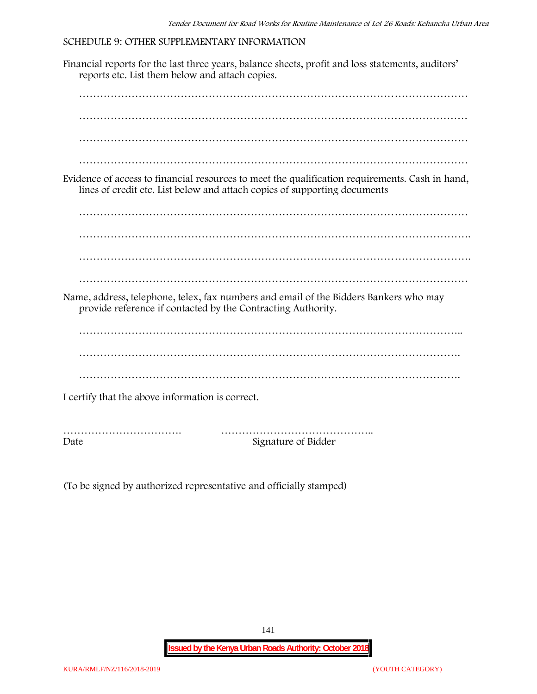#### **SCHEDULE 9: OTHER SUPPLEMENTARY INFORMATION**

Financial reports for the last three years, balance sheets, profit and loss statements, auditors' reports etc. List them below and attach copies. ………………………………………………………………………………………………… ………………………………………………………………………………………………… ………………………………………………………………………………………………… ………………………………………………………………………………………………… Evidence of access to financial resources to meet the qualification requirements. Cash in hand, lines of credit etc. List below and attach copies of supporting documents ………………………………………………………………………………………………… …………………………………………………………………………………………………. ………………………………………………………………………………………………… Name, address, telephone, telex, fax numbers and email of the Bidders Bankers who may provide reference if contacted by the Contracting Authority. ……………………………………………………………………………………………….. ………………………………………………………………………………………………. ………………………………………………………………………………………………. I certify that the above information is correct. ……………………………. …………………………………….. Date Signature of Bidder

(To be signed by authorized representative and officially stamped)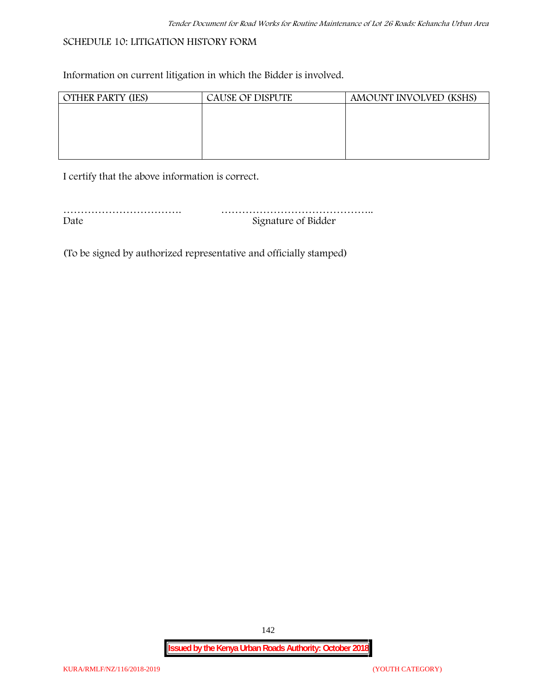### **SCHEDULE 10: LITIGATION HISTORY FORM**

Information on current litigation in which the Bidder is involved.

| <b>OTHER PARTY (IES)</b> | CAUSE OF DISPUTE | AMOUNT INVOLVED (KSHS) |
|--------------------------|------------------|------------------------|
|                          |                  |                        |
|                          |                  |                        |
|                          |                  |                        |
|                          |                  |                        |
|                          |                  |                        |

I certify that the above information is correct.

| Date | Signature of Bidder |
|------|---------------------|

(To be signed by authorized representative and officially stamped)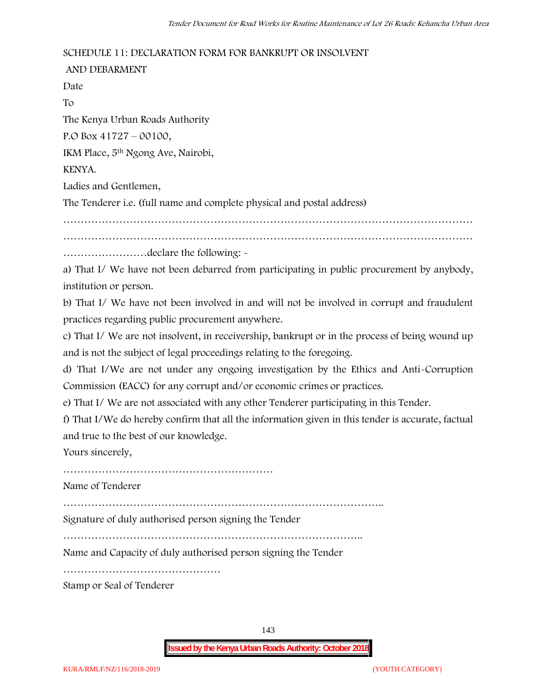#### **SCHEDULE 11: DECLARATION FORM FOR BANKRUPT OR INSOLVENT**

**AND DEBARMENT** Date To The Kenya Urban Roads Authority P.O Box 41727 – 00100, IKM Place, 5th Ngong Ave, Nairobi, KENYA. Ladies and Gentlemen, The Tenderer i.e. (full name and complete physical and postal address) ……………………………………………………………………………………………………… ……………………declare the following: a) That I/ We have not been debarred from participating in public procurement by anybody,

institution or person.

b) That I/ We have not been involved in and will not be involved in corrupt and fraudulent practices regarding public procurement anywhere.

c) That I/ We are not insolvent, in receivership, bankrupt or in the process of being wound up and is not the subject of legal proceedings relating to the foregoing.

d) That I/We are not under any ongoing investigation by the Ethics and Anti-Corruption Commission (EACC) for any corrupt and/or economic crimes or practices.

e) That I/ We are not associated with any other Tenderer participating in this Tender.

f) That I/We do hereby confirm that all the information given in this tender is accurate, factual and true to the best of our knowledge.

Yours sincerely,

……………………………………………………

Name of Tenderer

………………………………………………………………………………..

Signature of duly authorised person signing the Tender

…………………………………………………………………………..

Name and Capacity of duly authorised person signing the Tender

………………………………………

Stamp or Seal of Tenderer

143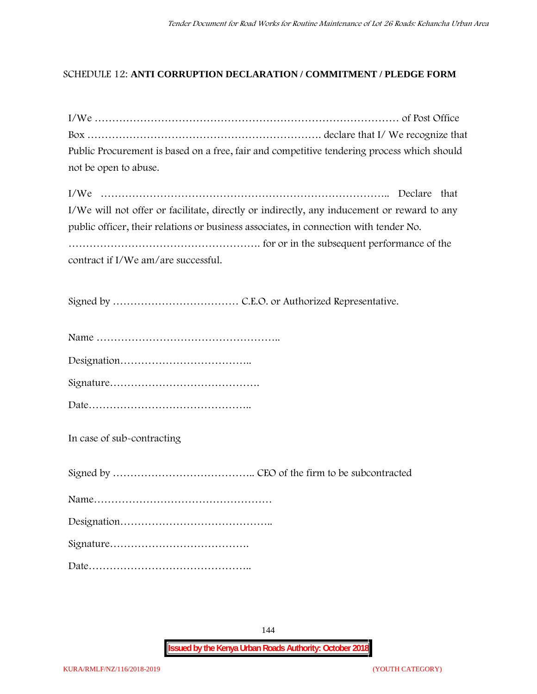### **SCHEDULE 12: ANTI CORRUPTION DECLARATION / COMMITMENT / PLEDGE FORM**

| Public Procurement is based on a free, fair and competitive tendering process which should |  |
|--------------------------------------------------------------------------------------------|--|
| not be open to abuse.                                                                      |  |
|                                                                                            |  |

| I/We will not offer or facilitate, directly or indirectly, any inducement or reward to any |
|--------------------------------------------------------------------------------------------|
| public officer, their relations or business associates, in connection with tender No.      |
|                                                                                            |
| contract if I/We am/are successful.                                                        |

Signed by ……………………………… C.E.O. or Authorized Representative.

Designation………………………………..

|--|

**In case of sub-contracting**

Signed by ………………………………….. CEO of the firm to be subcontracted Name…………………………………………… Designation…………………………………….. Signature…………………………………. Date………………………………………..

144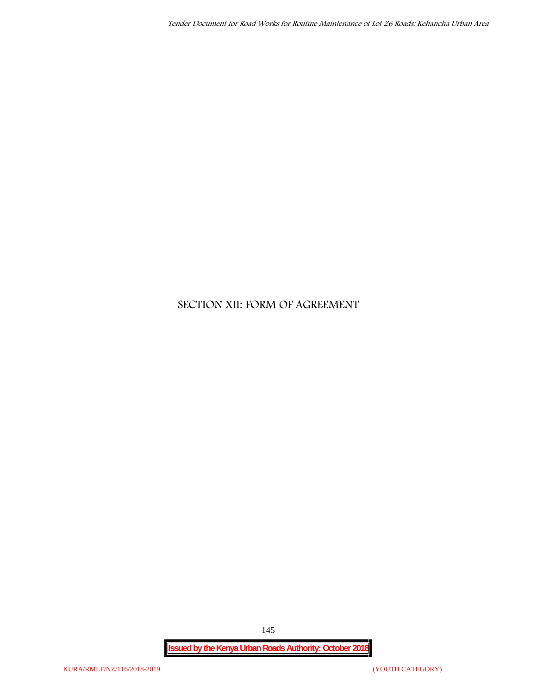## **SECTION XII: FORM OF AGREEMENT**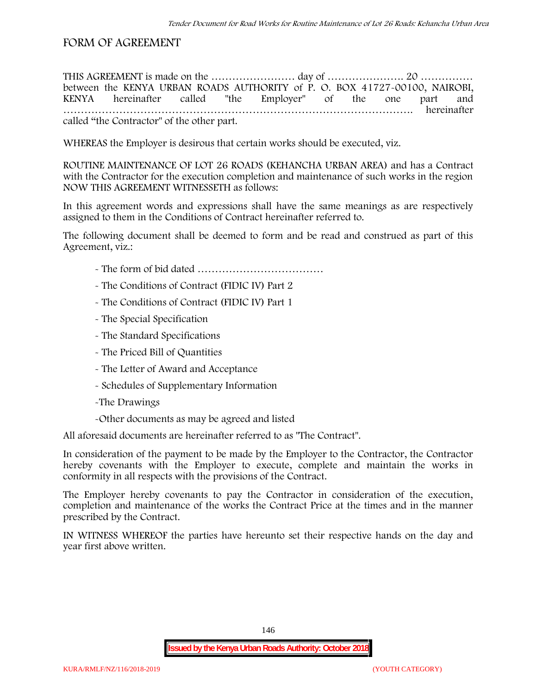### **FORM OF AGREEMENT**

THIS AGREEMENT is made on the ………………………… day of ……………………………………………………………………………………… between the **KENYA URBAN ROADS AUTHORITY** of **P. O. BOX 41727-00100, NAIROBI, KENYA** hereinafter called "the Employer" of the one part and **……………………………………………………………………………………….** hereinafter called "the Contractor" of the other part.

WHEREAS the Employer is desirous that certain works should be executed, viz.

**ROUTINE MAINTENANCE OF LOT 26 ROADS (KEHANCHA URBAN AREA)** and has a Contract with the Contractor for the execution completion and maintenance of such works in the region NOW THIS AGREEMENT WITNESSETH as follows:

In this agreement words and expressions shall have the same meanings as are respectively assigned to them in the Conditions of Contract hereinafter referred to.

The following document shall be deemed to form and be read and construed as part of this Agreement, viz.:

- The form of bid dated **………………………………**
- The Conditions of Contract (FIDIC IV) Part 2
- The Conditions of Contract (FIDIC IV) Part 1
- The Special Specification
- The Standard Specifications
- The Priced Bill of Quantities
- The Letter of Award and Acceptance
- Schedules of Supplementary Information
- -The Drawings
- -Other documents as may be agreed and listed

All aforesaid documents are hereinafter referred to as "The Contract".

In consideration of the payment to be made by the Employer to the Contractor, the Contractor hereby covenants with the Employer to execute, complete and maintain the works in conformity in all respects with the provisions of the Contract.

The Employer hereby covenants to pay the Contractor in consideration of the execution, completion and maintenance of the works the Contract Price at the times and in the manner prescribed by the Contract.

IN WITNESS WHEREOF the parties have hereunto set their respective hands on the day and year first above written.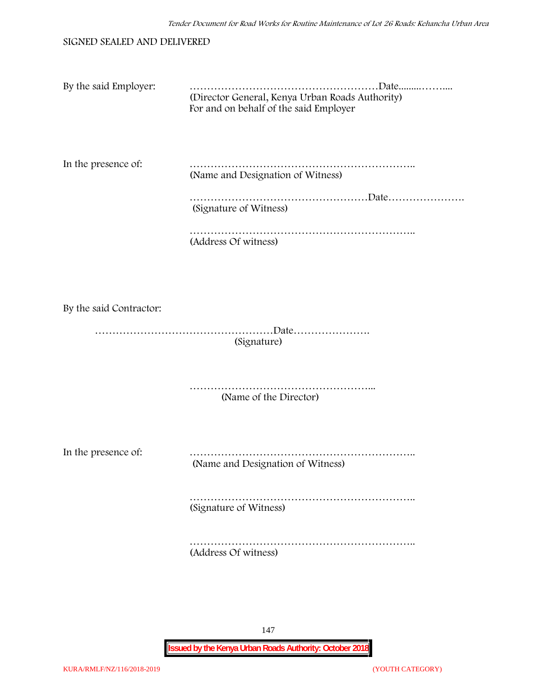|  | SIGNED SEALED AND DELIVERED |  |
|--|-----------------------------|--|
|  |                             |  |

| By the said Employer: | (Director General, Kenya Urban Roads Authority)<br>For and on behalf of the said Employer |
|-----------------------|-------------------------------------------------------------------------------------------|
| In the presence of:   | (Name and Designation of Witness)                                                         |
|                       | Date<br>(Signature of Witness)                                                            |
|                       |                                                                                           |

(Address Of witness)

By the said Contractor:

……………………………………………Date…………………. (Signature)

> ……………………………………………………… (Name of the Director)

In the presence of: ……………………………………………………….. (Name and Designation of Witness)

> ……………………………………………………….. (Signature of Witness)

> ……………………………………………………….. (Address Of witness)

> > 147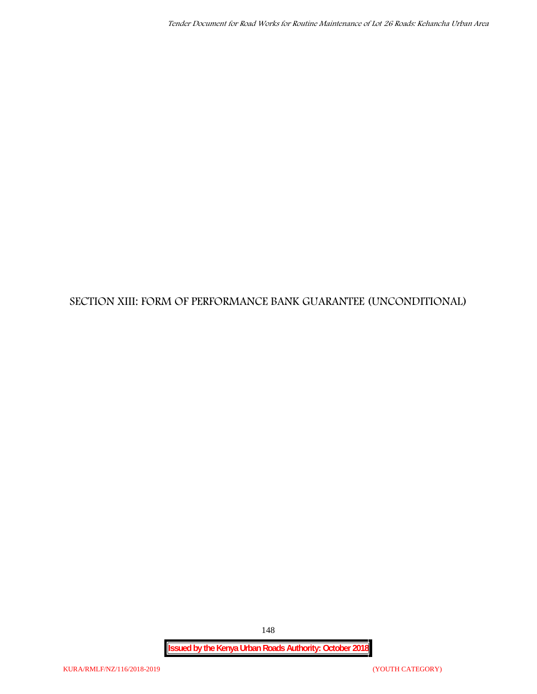# **SECTION XIII: FORM OF PERFORMANCE BANK GUARANTEE (UNCONDITIONAL)**